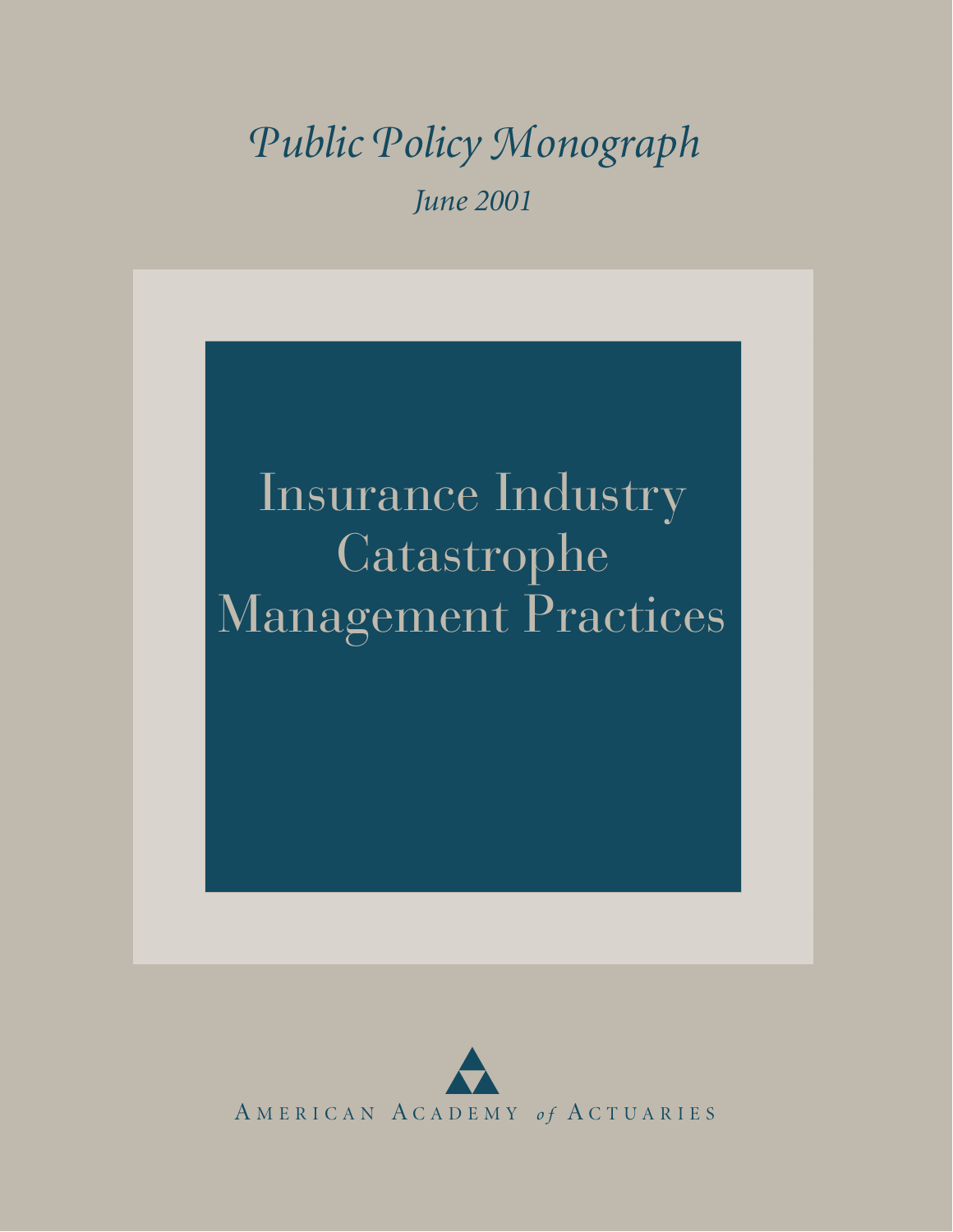## *Pu blic Pol i c y Monograph June 2001*

# Insurance Industry Catastrophe Management Practices

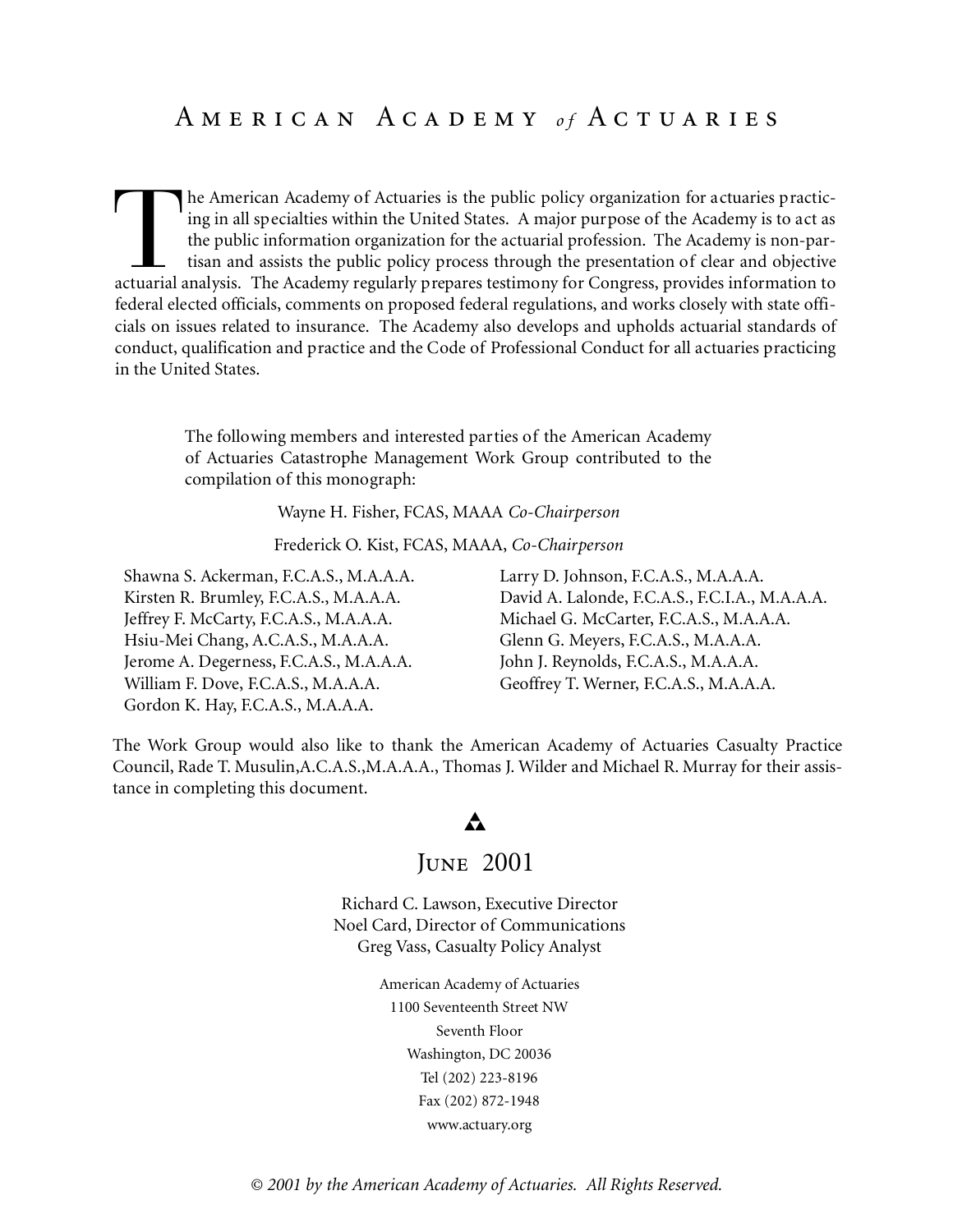## A m e r i c a n A c a d e m y *o f* A c t u a r i e s

The American Academy of Actuaries is the public policy organization for actuaries practicing in all specialties within the United States. A major purpose of the Academy is to act as the public information organization for he American Academy of Actuaries is the public policy organization for actuaries practicing in all specialties within the United States. A major purpose of the Academy is to act as the public information organization for the actuarial profession. The Academy is non-partisan and assists the public policy process through the presentation of clear and objective federal elected officials, comments on proposed federal regulations, and works closely with state officials on issues related to insurance. The Academy also develops and upholds actuarial standards of conduct, qualification and practice and the Code of Professional Conduct for all actuaries practicing in the United States.

The following members and interested parties of the American Academy of Actuaries Catastrophe Management Work Group contributed to the compilation of this monograph:

Wayne H. Fisher, FCAS, MAAA *Co-Chairperson*

Frederick O. Kist, FCAS, MAAA, *Co-Chairperson*

Shawna S. Ackerman, F.C.A.S., M.A.A.A. Kirsten R. Brumley, F.C.A.S., M.A.A.A. Jeffrey F. McCarty, F.C.A.S., M.A.A.A. Hsiu-Mei Chang, A.C.A.S., M.A.A.A. Jerome A. Degerness, F.C.A.S., M.A.A.A. William F. Dove, F.C.A.S., M.A.A.A. Gordon K. Hay, F.C.A.S., M.A.A.A.

Larry D. Johnson, F.C.A.S., M.A.A.A. David A. Lalonde, F.C.A.S., F.C.I.A., M.A.A.A. Michael G. McCarter, F.C.A.S., M.A.A.A. Glenn G. Meyers, F.C.A.S., M.A.A.A. John J. Reynolds, F.C.A.S., M.A.A.A. Geoffrey T. Werner, F.C.A.S., M.A.A.A.

The Work Group would also like to thank the American Academy of Actuaries Casualty Practice Council, Rade T. Musulin,A.C.A.S.,M.A.A.A., Thomas J. Wilder and Michael R. Murray for their assistance in completing this document.

### A

### June 2001

Richard C. Lawson, Executive Director Noel Card, Director of Communications Greg Vass, Casualty Policy Analyst

> American Academy of Actuaries 1100 Seventeenth Street NW Seventh Floor Washington, DC 20036 Tel (202) 223-8196 Fax (202) 872-1948 www.actuary.org

*© 2001 by the American Academy of Actuaries. All Rights Reserved.*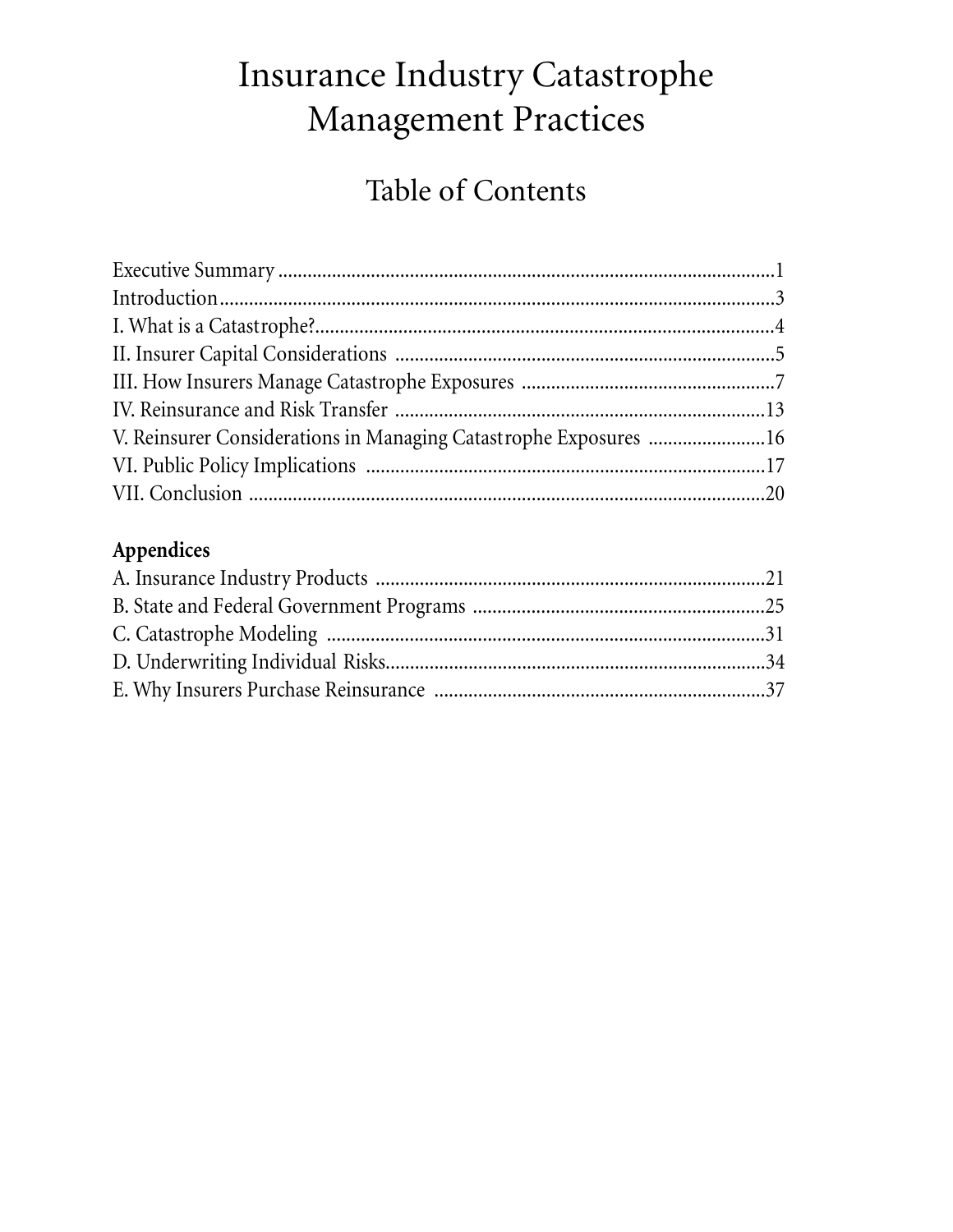## Insurance Industry Catastrophe Management Practices

## Table of Contents

| V. Reinsurer Considerations in Managing Catastrophe Exposures 16 |  |
|------------------------------------------------------------------|--|
|                                                                  |  |
|                                                                  |  |

## Appendices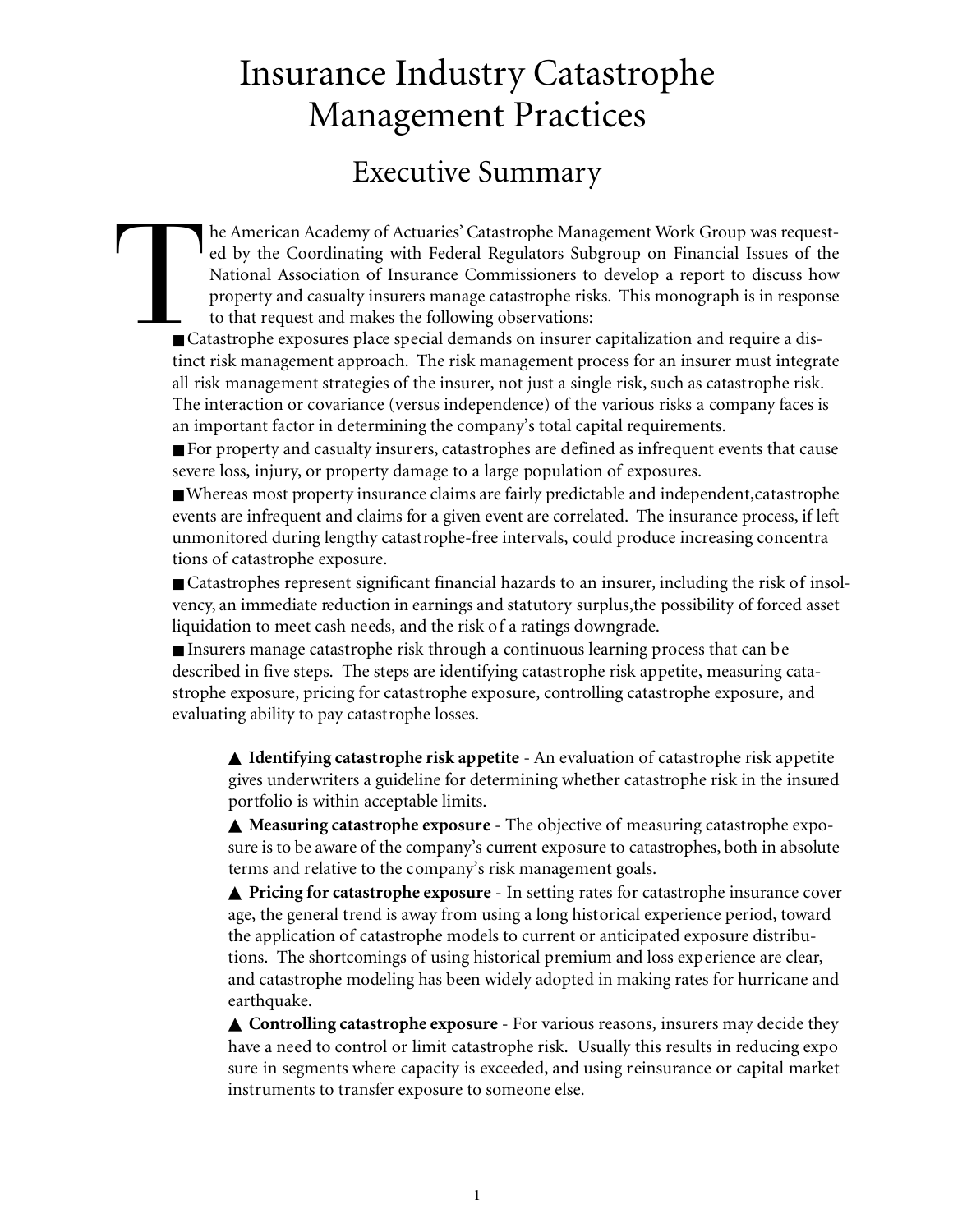## Insurance Industry Catastrophe Management Practices

## Executive Summary

 $\begin{array}{c}\n\hline\n\end{array}$ he American Academy of Actuaries' Catastrophe Management Work Group was requested by the Coordinating with Federal Regulators Subgroup on Financial Issues of the National Association of Insurance Commissioners to develop a report to discuss how property and casualty insurers manage catastrophe risks. This monograph is in response to that request and makes the following observations:

■ Catastrophe exposures place special demands on insurer capitalization and require a distinct risk management approach. The risk management process for an insurer must integrate all risk management strategies of the insurer, not just a single risk, such as catastrophe risk. The interaction or covariance (versus independence) of the various risks a company faces is an important factor in determining the company's total capital requirements.

■ For property and casualty insurers, catastrophes are defined as infrequent events that cause severe loss, injury, or property damage to a large population of exposures.

■ Whereas most property insurance claims are fairly predictable and independent, catastrophe events are infrequent and claims for a given event are correlated. The insurance process, if left unmonitored during lengthy catastrophe-free intervals, could produce increasing concentra tions of catastrophe exposure.

■ Catastrophes represent significant financial hazards to an insurer, including the risk of insolvency, an immediate reduction in earnings and statutory surplus,the possibility of forced asset liquidation to meet cash needs, and the risk of a ratings downgrade.

■ Insurers manage catastrophe risk through a continuous learning process that can be described in five steps. The steps are identifying catastrophe risk appetite, measuring catastrophe exposure, pricing for catastrophe exposure, controlling catastrophe exposure, and evaluating ability to pay catastrophe losses.

▲ **Identifying catastrophe risk appetite** - An evaluation of catastrophe risk appetite gives underwriters a guideline for determining whether catastrophe risk in the insured portfolio is within acceptable limits.

▲ **Measuring catastrophe exposure** - The objective of measuring catastrophe exposure is to be aware of the company's current exposure to catastrophes, both in absolute terms and relative to the company's risk management goals.

▲ **Pricing for catastrophe exposure** - In setting rates for catastrophe insurance cover age, the general trend is away from using a long historical experience period, toward the application of catastrophe models to current or anticipated exposure distributions. The shortcomings of using historical premium and loss experience are clear, and catastrophe modeling has been widely adopted in making rates for hurricane and earthquake.

▲ **Controlling catastrophe exposure** - For various reasons, insurers may decide they have a need to control or limit catastrophe risk. Usually this results in reducing expo sure in segments where capacity is exceeded, and using reinsurance or capital market instruments to transfer exposure to someone else.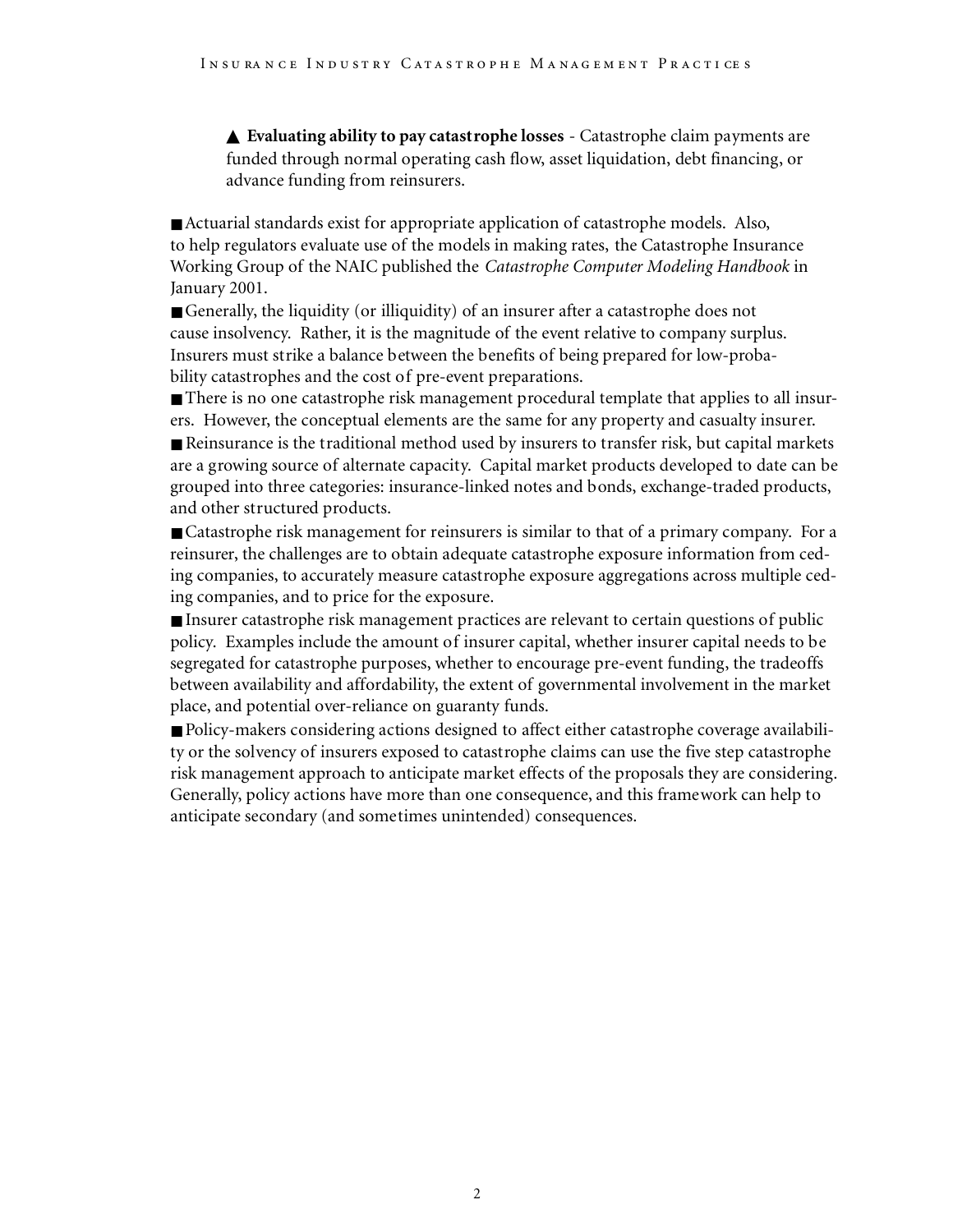▲ **Evaluating ability to pay catastrophe losses** - Catastrophe claim payments are funded through normal operating cash flow, asset liquidation, debt financing, or advance funding from reinsurers.

■ Actuarial standards exist for appropriate application of catastrophe models. Also, to help regulators evaluate use of the models in making rates, the Catastrophe Insurance Working Group of the NAIC published the *Catastrophe Computer Modeling Handbook* in January 2001.

■ Generally, the liquidity (or illiquidity) of an insurer after a catastrophe does not cause insolvency. Rather, it is the magnitude of the event relative to company surplus. Insurers must strike a balance between the benefits of being prepared for low-probability catastrophes and the cost of pre-event preparations.

■ There is no one catastrophe risk management procedural template that applies to all insurers. However, the conceptual elements are the same for any property and casualty insurer.

■ Reinsurance is the traditional method used by insurers to transfer risk, but capital markets are a growing source of alternate capacity. Capital market products developed to date can be grouped into three categories: insurance-linked notes and bonds, exchange-traded products, and other structured products.

■ Catastrophe risk management for reinsurers is similar to that of a primary company. For a reinsurer, the challenges are to obtain adequate catastrophe exposure information from ceding companies, to accurately measure catastrophe exposure aggregations across multiple ceding companies, and to price for the exposure.

■ Insurer catastrophe risk management practices are relevant to certain questions of public policy. Examples include the amount of insurer capital, whether insurer capital needs to be segregated for catastrophe purposes, whether to encourage pre-event funding, the tradeoffs between availability and affordability, the extent of governmental involvement in the market place, and potential over-reliance on guaranty funds.

■ Policy-makers considering actions designed to affect either catastrophe coverage availability or the solvency of insurers exposed to catastrophe claims can use the five step catastrophe risk management approach to anticipate market effects of the proposals they are considering. Generally, policy actions have more than one consequence, and this framework can help to anticipate secondary (and sometimes unintended) consequences.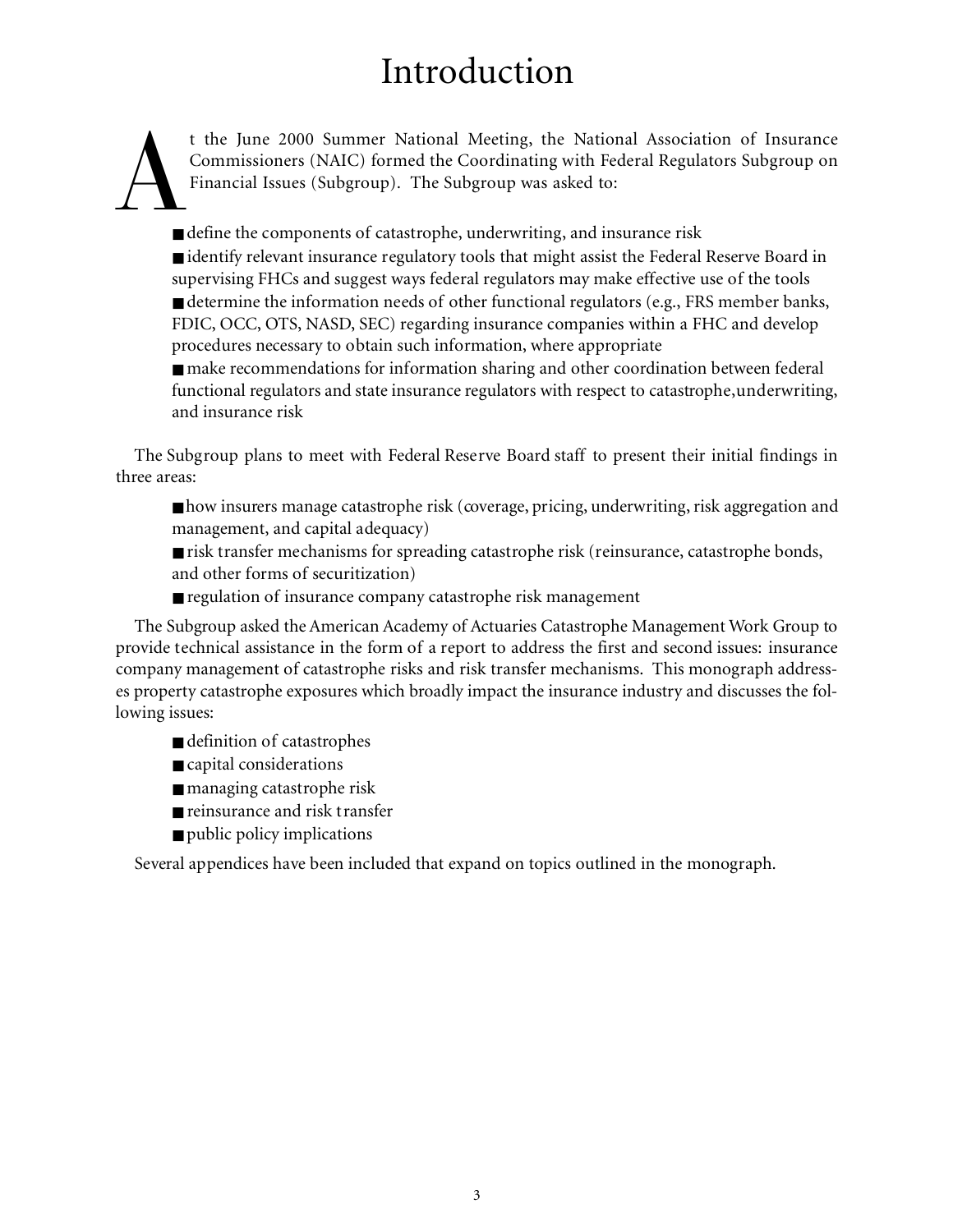## Introduction

t the June 2000 Summer National Meeting, the National Association of Insurance Commissioners (NAIC) formed the Coordinating with Federal Regulators Subgroup on Financial Issues (Subgroup). The Subgroup was asked to:

A ■ define the components of catastrophe, underwriting, and insurance risk

■ identify relevant insurance regulatory tools that might assist the Federal Reserve Board in supervising FHCs and suggest ways federal regulators may make effective use of the tools ■ determine the information needs of other functional regulators (e.g., FRS member banks, FDIC, OCC, OTS, NASD, SEC) regarding insurance companies within a FHC and develop procedures necessary to obtain such information, where appropriate

■ make recommendations for information sharing and other coordination between federal functional regulators and state insurance regulators with respect to catastrophe,underwriting, and insurance risk

The Subgroup plans to meet with Federal Reserve Board staff to present their initial findings in three areas:

■ how insurers manage catastrophe risk (coverage, pricing, underwriting, risk aggregation and management, and capital adequacy)

■ risk transfer mechanisms for spreading catastrophe risk (reinsurance, catastrophe bonds, and other forms of securitization)

■ regulation of insurance company catastrophe risk management

The Subgroup asked the American Academy of Actuaries Catastrophe Management Work Group to provide technical assistance in the form of a report to address the first and second issues: insurance company management of catastrophe risks and risk transfer mechanisms. This monograph addresses property catastrophe exposures which broadly impact the insurance industry and discusses the following issues:

- definition of catastrophes
- capital considerations
- managing catastrophe risk
- reinsurance and risk transfer
- public policy implications

Several appendices have been included that expand on topics outlined in the monograph.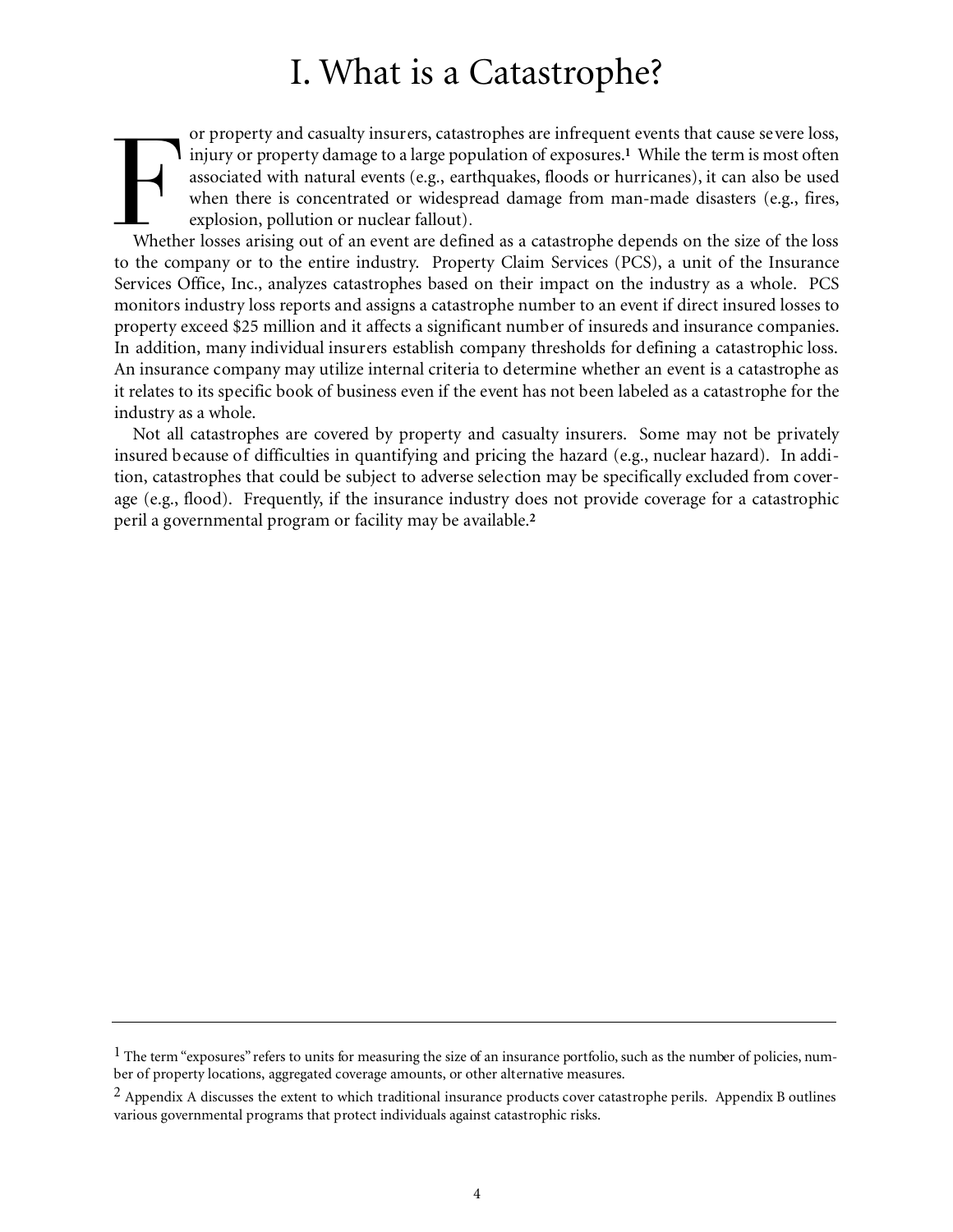## I. What is a Catastrophe?

Figure 1 and casually insurers, catastrophes are immediate verifs that cause severe loss, injury or property damage to a large population of exposures.<sup>1</sup> While the term is most often associated with natural events (e.g., or property and casualty insurers, catastrophes are infrequent events that cause severe loss, injury or property damage to a large population of exposures.**<sup>1</sup>** While the term is most often associated with natural events (e.g., earthquakes, floods or hurricanes), it can also be used when there is concentrated or widespread damage from man-made disasters (e.g., fires, explosion, pollution or nuclear fallout).

to the company or to the entire industry. Property Claim Services (PCS), a unit of the Insurance Services Office, Inc., analyzes catastrophes based on their impact on the industry as a whole. PCS monitors industry loss reports and assigns a catastrophe number to an event if direct insured losses to property exceed \$25 million and it affects a significant number of insureds and insurance companies. In addition, many individual insurers establish company thresholds for defining a catastrophic loss. An insurance company may utilize internal criteria to determine whether an event is a catastrophe as it relates to its specific book of business even if the event has not been labeled as a catastrophe for the industry as a whole.

Not all catastrophes are covered by property and casualty insurers. Some may not be privately insured because of difficulties in quantifying and pricing the hazard (e.g., nuclear hazard). In addition, catastrophes that could be subject to adverse selection may be specifically excluded from coverage (e.g., flood). Frequently, if the insurance industry does not provide coverage for a catastrophic peril a governmental program or facility may be available.**<sup>2</sup>**

 $<sup>1</sup>$  The term "exposures" refers to units for measuring the size of an insurance portfolio, such as the number of policies, num-</sup> ber of property locations, aggregated coverage amounts, or other alternative measures.

<sup>&</sup>lt;sup>2</sup> Appendix A discusses the extent to which traditional insurance products cover catastrophe perils. Appendix B outlines various governmental programs that protect individuals against catastrophic risks.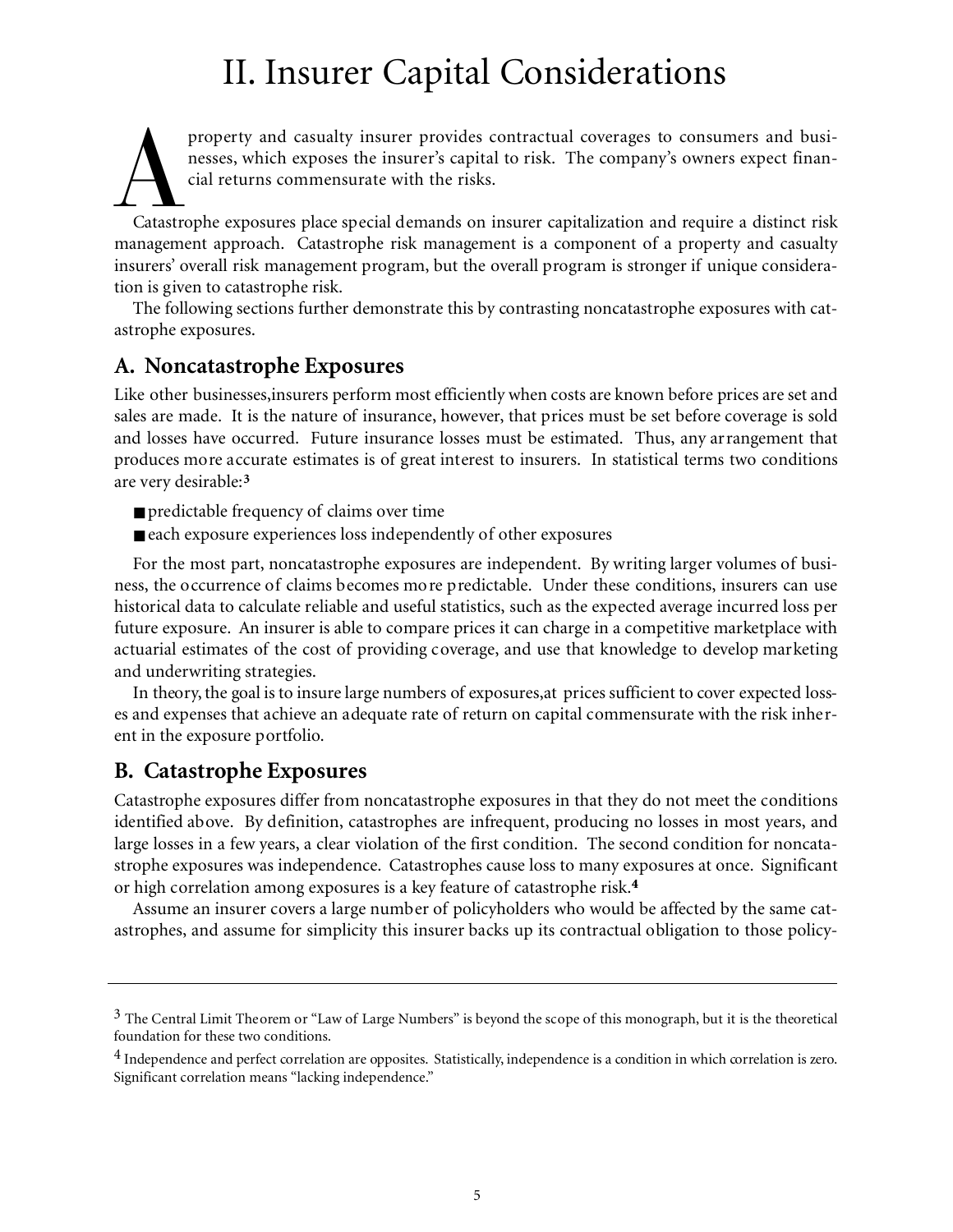## II. Insurer Capital Considerations

property and casualty insurer provides contractual coverages to consumers and businesses, which exposes the insurer's capital to risk. The company's owners expect financial returns commensurate with the risks.<br>Catastrophe property and casualty insurer provides contractual coverages to consumers and businesses, which exposes the insurer's capital to risk. The company's owners expect financial returns commensurate with the risks.

management approach. Catastrophe risk management is a component of a property and casualty insurers' overall risk management program, but the overall program is stronger if unique consideration is given to catastrophe risk.

The following sections further demonstrate this by contrasting noncatastrophe exposures with catastrophe exposures.

### **A. Noncatastrophe Exposures**

Like other businesses,insurers perform most efficiently when costs are known before prices are set and sales are made. It is the nature of insurance, however, that prices must be set before coverage is sold and losses have occurred. Future insurance losses must be estimated. Thus, any arrangement that produces more accurate estimates is of great interest to insurers. In statistical terms two conditions are very desirable:**<sup>3</sup>**

- predictable frequency of claims over time
- each exposure experiences loss independently of other exposures

For the most part, noncatastrophe exposures are independent. By writing larger volumes of business, the occurrence of claims becomes more predictable. Under these conditions, insurers can use historical data to calculate reliable and useful statistics, such as the expected average incurred loss per future exposure. An insurer is able to compare prices it can charge in a competitive marketplace with actuarial estimates of the cost of providing coverage, and use that knowledge to develop marketing and underwriting strategies.

In theory, the goal is to insure large numbers of exposures, at prices sufficient to cover expected losses and expenses that achieve an adequate rate of return on capital commensurate with the risk inherent in the exposure portfolio.

## **B. Catastrophe Exposures**

Catastrophe exposures differ from noncatastrophe exposures in that they do not meet the conditions identified above. By definition, catastrophes are infrequent, producing no losses in most years, and large losses in a few years, a clear violation of the first condition. The second condition for noncatastrophe exposures was independence. Catastrophes cause loss to many exposures at once. Significant or high correlation among exposures is a key feature of catastrophe risk.**4**

Assume an insurer covers a large number of policyholders who would be affected by the same catastrophes, and assume for simplicity this insurer backs up its contractual obligation to those policy-

<sup>3</sup> The Central Limit Theorem or "Law of Large Numbers" is beyond the scope of this monograph, but it is the theoretical foundation for these two conditions.

<sup>4</sup> Independence and perfect correlation are opposites. Statistically, independence is a condition in which correlation is zero. Significant correlation means "lacking independence."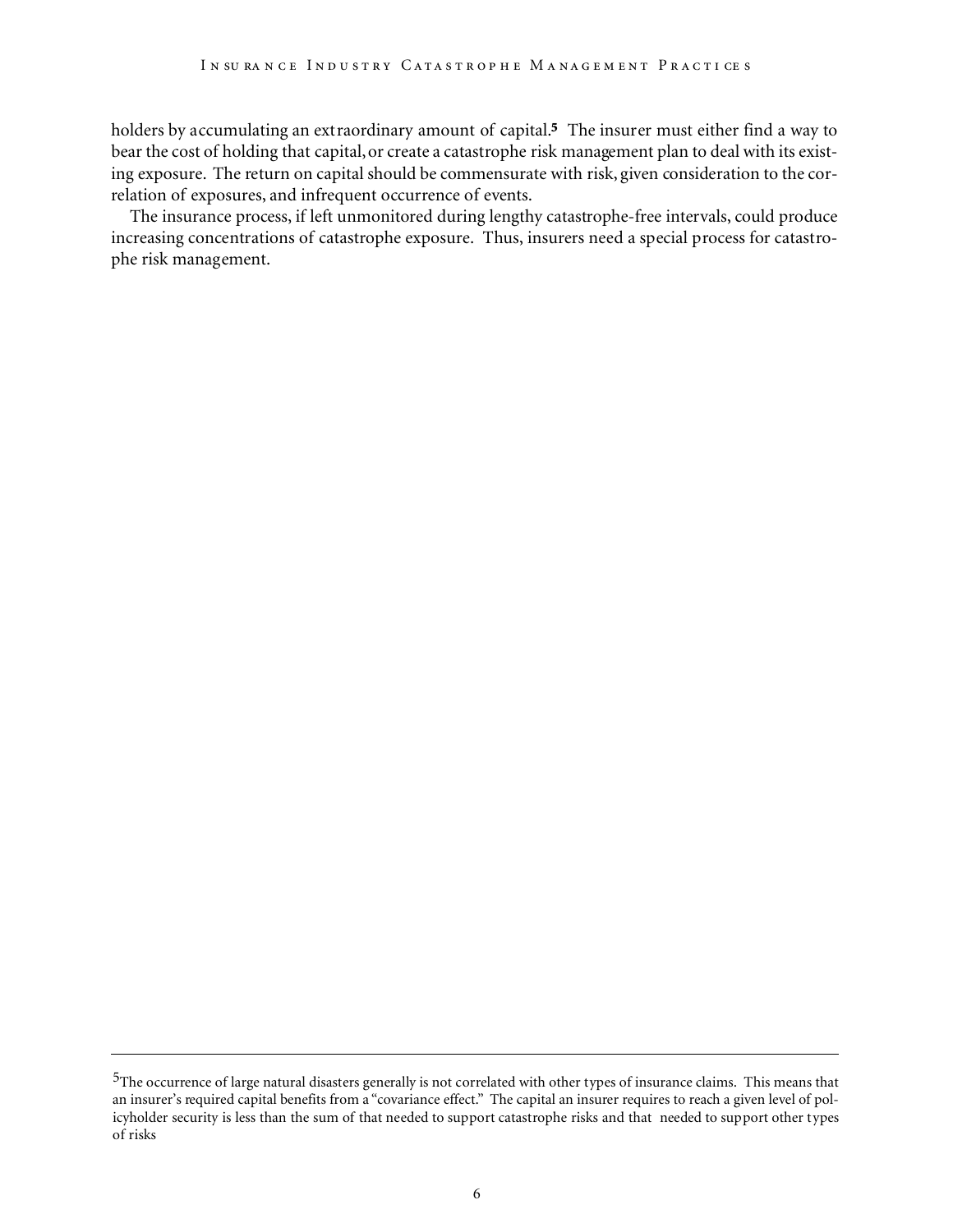holders by accumulating an extraordinary amount of capital.**5** The insurer must either find a way to bear the cost of holding that capital,or create a catastrophe risk management plan to deal with its existing exposure. The return on capital should be commensurate with risk, given consideration to the correlation of exposures, and infrequent occurrence of events.

The insurance process, if left unmonitored during lengthy catastrophe-free intervals, could produce increasing concentrations of catastrophe exposure. Thus, insurers need a special process for catastrophe risk management.

<sup>5</sup>The occurrence of large natural disasters generally is not correlated with other types of insurance claims. This means that an insurer's required capital benefits from a "covariance effect." The capital an insurer requires to reach a given level of policyholder security is less than the sum of that needed to support catastrophe risks and that needed to support other types of risks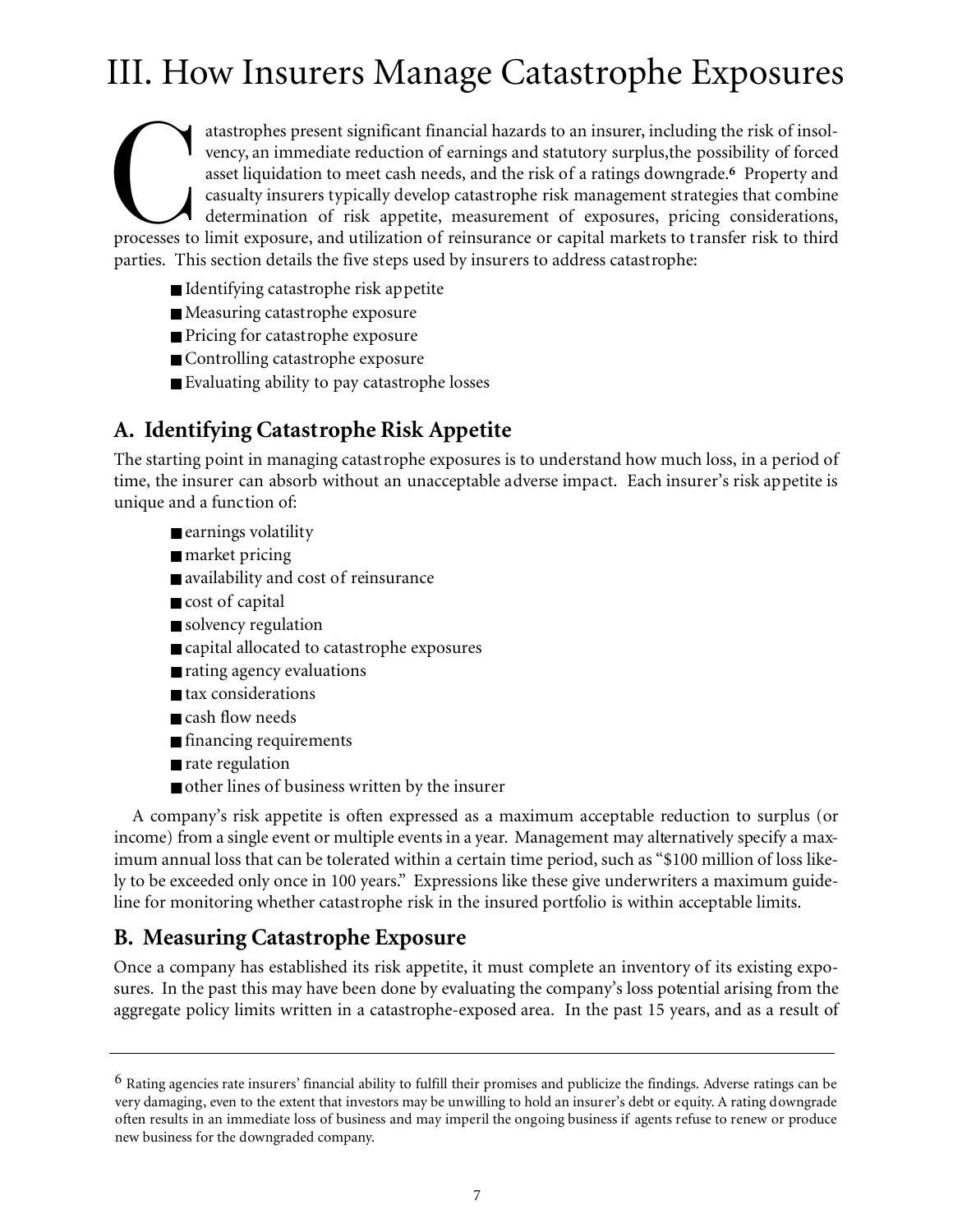## III. How Insurers Manage Catastrophe Exposures

atastrophes present significant financial hazards to an insurer, including the risk of insolvency, an immediate reduction of earnings and statutory surplus, the possibility of forced asset liquidation to meet cash needs, a atastrophes present significant financial hazards to an insurer, including the risk of insolvency, an immediate reduction of earnings and statutory surplus,the possibility of forced asset liquidation to meet cash needs, and the risk of a ratings downgrade.**<sup>6</sup>** Property and casualty insurers typically develop catastrophe risk management strategies that combine determination of risk appetite, measurement of exposures, pricing considerations, parties. This section details the five steps used by insurers to address catastrophe:

- Identifying catastrophe risk appetite
- Measuring catastrophe exposure
- Pricing for catastrophe exposure
- Controlling catastrophe exposure
- Evaluating ability to pay catastrophe losses

## **A. Identifying Catastrophe Risk Appetite**

The starting point in managing catastrophe exposures is to understand how much loss, in a period of time, the insurer can absorb without an unacceptable adverse impact. Each insurer's risk appetite is unique and a function of:

- earnings volatility
- market pricing
- availability and cost of reinsurance
- cost of capital
- solvency regulation
- capital allocated to catastrophe exposures
- rating agency evaluations
- tax considerations
- cash flow needs
- financing requirements
- rate regulation
- other lines of business written by the insurer

A company's risk appetite is often expressed as a maximum acceptable reduction to surplus (or income) from a single event or multiple events in a year. Management may alternatively specify a maximum annual loss that can be tolerated within a certain time period, such as "\$100 million of loss likely to be exceeded only once in 100 years." Expressions like these give underwriters a maximum guideline for monitoring whether catastrophe risk in the insured portfolio is within acceptable limits.

## **B. Measuring Catastrophe Exposure**

Once a company has established its risk appetite, it must complete an inventory of its existing exposures. In the past this may have been done by evaluating the company's loss potential arising from the aggregate policy limits written in a catastrophe-exposed area. In the past 15 years, and as a result of

<sup>6</sup> Rating agencies rate insurers' financial ability to fulfill their promises and publicize the findings. Adverse ratings can be very damaging, even to the extent that investors may be unwilling to hold an insurer's debt or equity. A rating downgrade often results in an immediate loss of business and may imperil the ongoing business if agents refuse to renew or produce new business for the downgraded company.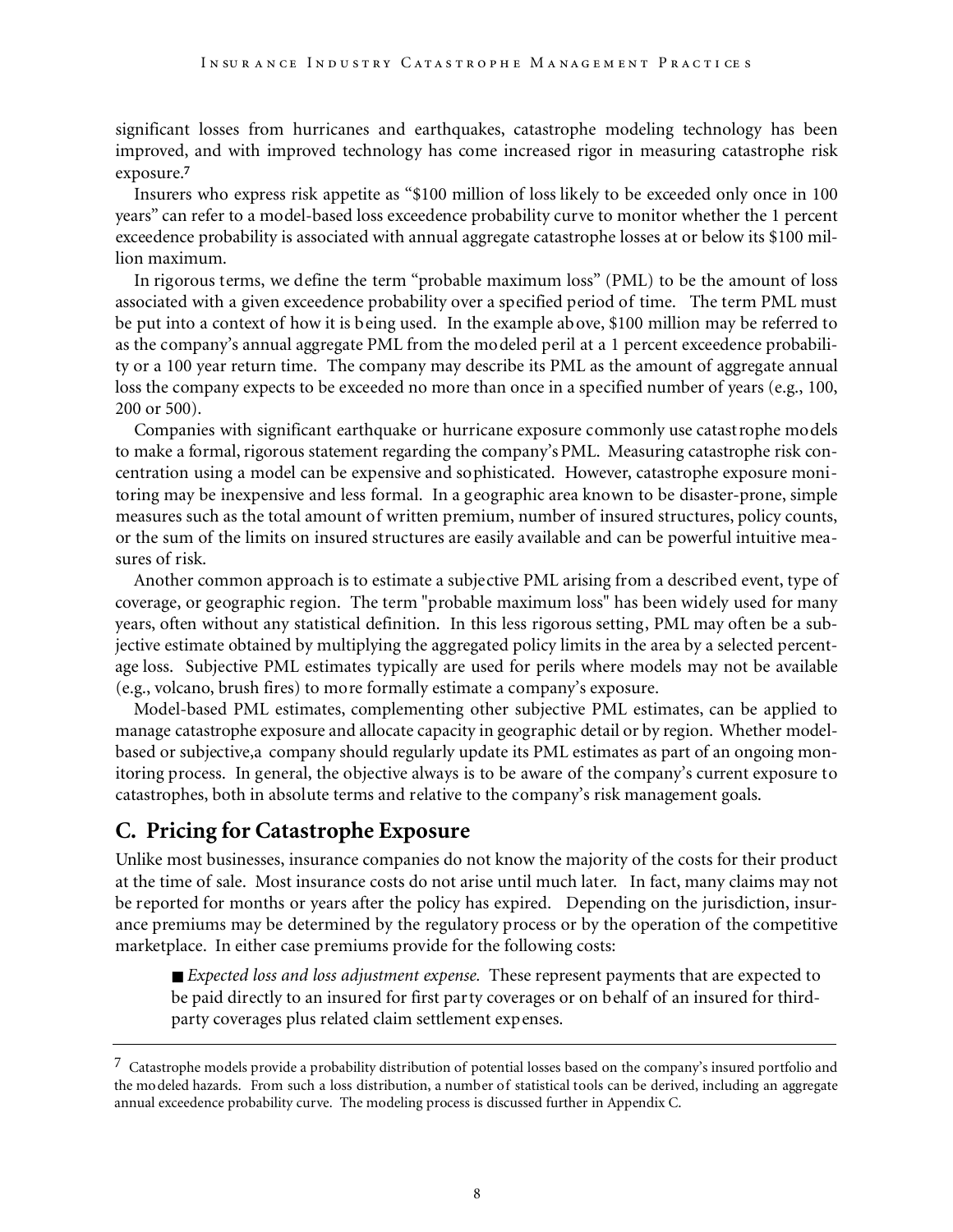significant losses from hurricanes and earthquakes, catastrophe modeling technology has been improved, and with improved technology has come increased rigor in measuring catastrophe risk exposure.**<sup>7</sup>**

Insurers who express risk appetite as "\$100 million of loss likely to be exceeded only once in 100 years" can refer to a model-based loss exceedence probability curve to monitor whether the 1 percent exceedence probability is associated with annual aggregate catastrophe losses at or below its \$100 million maximum.

In rigorous terms, we define the term "probable maximum loss" (PML) to be the amount of loss associated with a given exceedence probability over a specified period of time. The term PML must be put into a context of how it is being used. In the example above, \$100 million may be referred to as the company's annual aggregate PML from the modeled peril at a 1 percent exceedence probability or a 100 year return time. The company may describe its PML as the amount of aggregate annual loss the company expects to be exceeded no more than once in a specified number of years (e.g., 100, 200 or 500).

Companies with significant earthquake or hurricane exposure commonly use catastrophe models to make a formal, rigorous statement regarding the company's PML. Measuring catastrophe risk concentration using a model can be expensive and sophisticated. However, catastrophe exposure monitoring may be inexpensive and less formal. In a geographic area known to be disaster-prone, simple measures such as the total amount of written premium, number of insured structures, policy counts, or the sum of the limits on insured structures are easily available and can be powerful intuitive measures of risk.

Another common approach is to estimate a subjective PML arising from a described event, type of coverage, or geographic region. The term "probable maximum loss" has been widely used for many years, often without any statistical definition. In this less rigorous setting, PML may often be a subjective estimate obtained by multiplying the aggregated policy limits in the area by a selected percentage loss. Subjective PML estimates typically are used for perils where models may not be available (e.g., volcano, brush fires) to more formally estimate a company's exposure.

Model-based PML estimates, complementing other subjective PML estimates, can be applied to manage catastrophe exposure and allocate capacity in geographic detail or by region. Whether modelbased or subjective,a company should regularly update its PML estimates as part of an ongoing monitoring process. In general, the objective always is to be aware of the company's current exposure to catastrophes, both in absolute terms and relative to the company's risk management goals.

### **C. Pricing for Catastrophe Exposure**

Unlike most businesses, insurance companies do not know the majority of the costs for their product at the time of sale. Most insurance costs do not arise until much later. In fact, many claims may not be reported for months or years after the policy has expired. Depending on the jurisdiction, insurance premiums may be determined by the regulatory process or by the operation of the competitive marketplace. In either case premiums provide for the following costs:

■ *Expected loss and loss adjustment expense*. These represent payments that are expected to be paid directly to an insured for first party coverages or on behalf of an insured for thirdparty coverages plus related claim settlement expenses.

 $\frac{7}{10}$  Catastrophe models provide a probability distribution of potential losses based on the company's insured portfolio and the modeled hazards. From such a loss distribution, a number of statistical tools can be derived, including an aggregate annual exceedence probability curve. The modeling process is discussed further in Appendix C.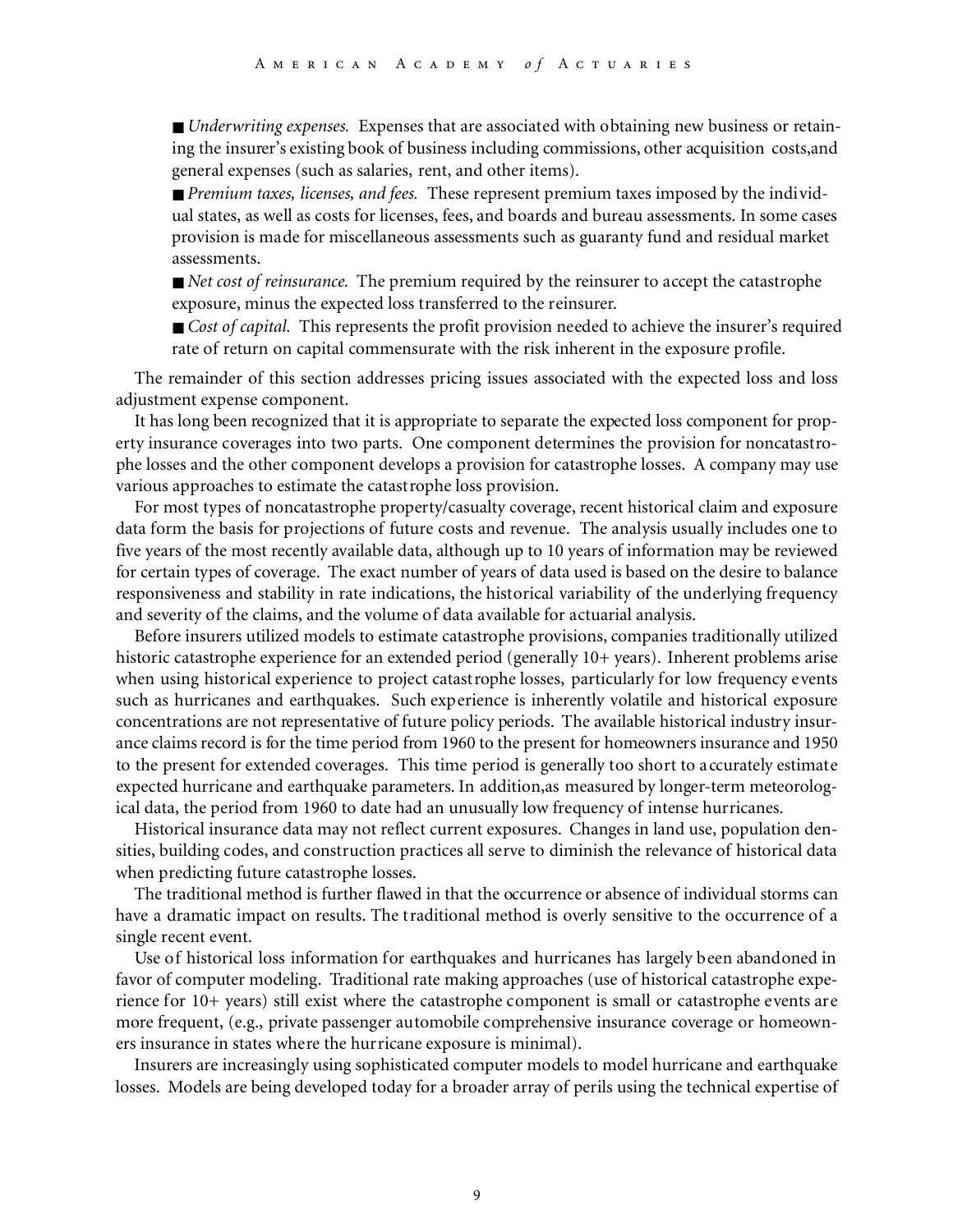■ *Underwriting expenses*. Expenses that are associated with obtaining new business or retaining the insurer's existing book of business including commissions, other acquisition costs,and general expenses (such as salaries, rent, and other items).

■ *Premium taxes, licenses, and fees.* These represent premium taxes imposed by the individual states, as well as costs for licenses, fees, and boards and bureau assessments. In some cases provision is made for miscellaneous assessments such as guaranty fund and residual market assessments.

■ *Net cost of reinsurance*. The premium required by the reinsurer to accept the catastrophe exposure, minus the expected loss transferred to the reinsurer.

■ *Cost of capital.* This represents the profit provision needed to achieve the insurer's required rate of return on capital commensurate with the risk inherent in the exposure profile.

The remainder of this section addresses pricing issues associated with the expected loss and loss adjustment expense component.

It has long been recognized that it is appropriate to separate the expected loss component for property insurance coverages into two parts. One component determines the provision for noncatastrophe losses and the other component develops a provision for catastrophe losses. A company may use various approaches to estimate the catastrophe loss provision.

For most types of noncatastrophe property/casualty coverage, recent historical claim and exposure data form the basis for projections of future costs and revenue. The analysis usually includes one to five years of the most recently available data, although up to 10 years of information may be reviewed for certain types of coverage. The exact number of years of data used is based on the desire to balance responsiveness and stability in rate indications, the historical variability of the underlying frequency and severity of the claims, and the volume of data available for actuarial analysis.

Before insurers utilized models to estimate catastrophe provisions, companies traditionally utilized historic catastrophe experience for an extended period (generally 10+ years). Inherent problems arise when using historical experience to project catastrophe losses, particularly for low frequency events such as hurricanes and earthquakes. Such experience is inherently volatile and historical exposure concentrations are not representative of future policy periods. The available historical industry insurance claims record is for the time period from 1960 to the present for homeowners insurance and 1950 to the present for extended coverages. This time period is generally too short to accurately estimate expected hurricane and earthquake parameters. In addition,as measured by longer-term meteorological data, the period from 1960 to date had an unusually low frequency of intense hurricanes.

Historical insurance data may not reflect current exposures. Changes in land use, population densities, building codes, and construction practices all serve to diminish the relevance of historical data when predicting future catastrophe losses.

The traditional method is further flawed in that the occurrence or absence of individual storms can have a dramatic impact on results. The traditional method is overly sensitive to the occurrence of a single recent event.

Use of historical loss information for earthquakes and hurricanes has largely been abandoned in favor of computer modeling. Traditional rate making approaches (use of historical catastrophe experience for 10+ years) still exist where the catastrophe component is small or catastrophe events are more frequent, (e.g., private passenger automobile comprehensive insurance coverage or homeowners insurance in states where the hurricane exposure is minimal).

Insurers are increasingly using sophisticated computer models to model hurricane and earthquake losses. Models are being developed today for a broader array of perils using the technical expertise of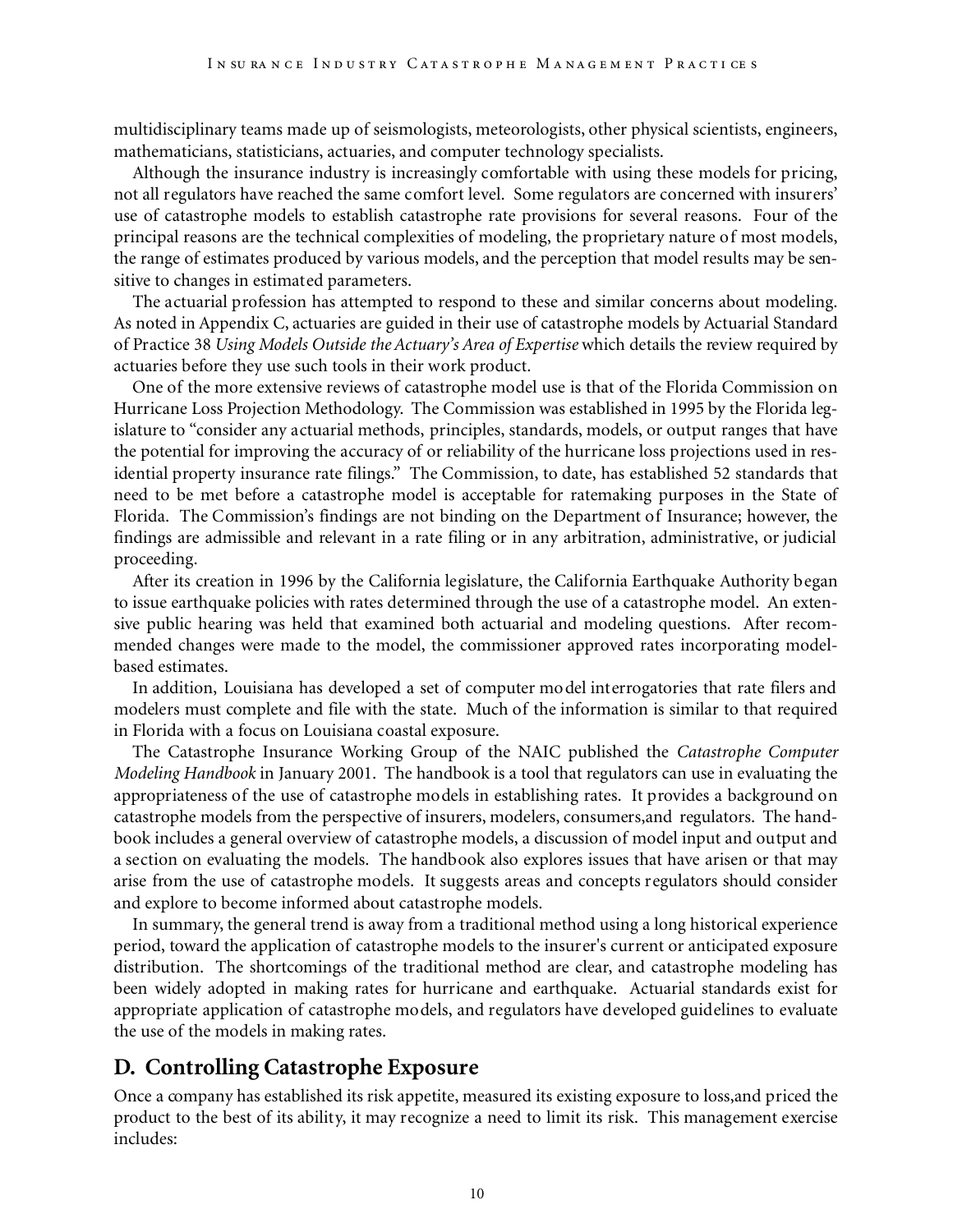multidisciplinary teams made up of seismologists, meteorologists, other physical scientists, engineers, mathematicians, statisticians, actuaries, and computer technology specialists.

Although the insurance industry is increasingly comfortable with using these models for pricing, not all regulators have reached the same comfort level. Some regulators are concerned with insurers' use of catastrophe models to establish catastrophe rate provisions for several reasons. Four of the principal reasons are the technical complexities of modeling, the proprietary nature of most models, the range of estimates produced by various models, and the perception that model results may be sensitive to changes in estimated parameters.

The actuarial profession has attempted to respond to these and similar concerns about modeling. As noted in Appendix C, actuaries are guided in their use of catastrophe models by Actuarial Standard of Practice 38 *Using Models Outside the Actuary's Area of Expertise* which details the review required by actuaries before they use such tools in their work product.

One of the more extensive reviews of catastrophe model use is that of the Florida Commission on Hurricane Loss Projection Methodology. The Commission was established in 1995 by the Florida legislature to "consider any actuarial methods, principles, standards, models, or output ranges that have the potential for improving the accuracy of or reliability of the hurricane loss projections used in residential property insurance rate filings." The Commission, to date, has established 52 standards that need to be met before a catastrophe model is acceptable for ratemaking purposes in the State of Florida. The Commission's findings are not binding on the Department of Insurance; however, the findings are admissible and relevant in a rate filing or in any arbitration, administrative, or judicial proceeding.

After its creation in 1996 by the California legislature, the California Earthquake Authority began to issue earthquake policies with rates determined through the use of a catastrophe model. An extensive public hearing was held that examined both actuarial and modeling questions. After recommended changes were made to the model, the commissioner approved rates incorporating modelbased estimates.

In addition, Louisiana has developed a set of computer model interrogatories that rate filers and modelers must complete and file with the state. Much of the information is similar to that required in Florida with a focus on Louisiana coastal exposure.

The Catastrophe Insurance Working Group of the NAIC published the *Catastrophe Computer Modeling Handbook* in January 2001. The handbook is a tool that regulators can use in evaluating the appropriateness of the use of catastrophe models in establishing rates. It provides a background on catastrophe models from the perspective of insurers, modelers, consumers,and regulators. The handbook includes a general overview of catastrophe models, a discussion of model input and output and a section on evaluating the models. The handbook also explores issues that have arisen or that may arise from the use of catastrophe models. It suggests areas and concepts regulators should consider and explore to become informed about catastrophe models.

In summary, the general trend is away from a traditional method using a long historical experience period, toward the application of catastrophe models to the insurer's current or anticipated exposure distribution. The shortcomings of the traditional method are clear, and catastrophe modeling has been widely adopted in making rates for hurricane and earthquake. Actuarial standards exist for appropriate application of catastrophe models, and regulators have developed guidelines to evaluate the use of the models in making rates.

## **D. Controlling Catastrophe Exposure**

Once a company has established its risk appetite, measured its existing exposure to loss,and priced the product to the best of its ability, it may recognize a need to limit its risk. This management exercise includes: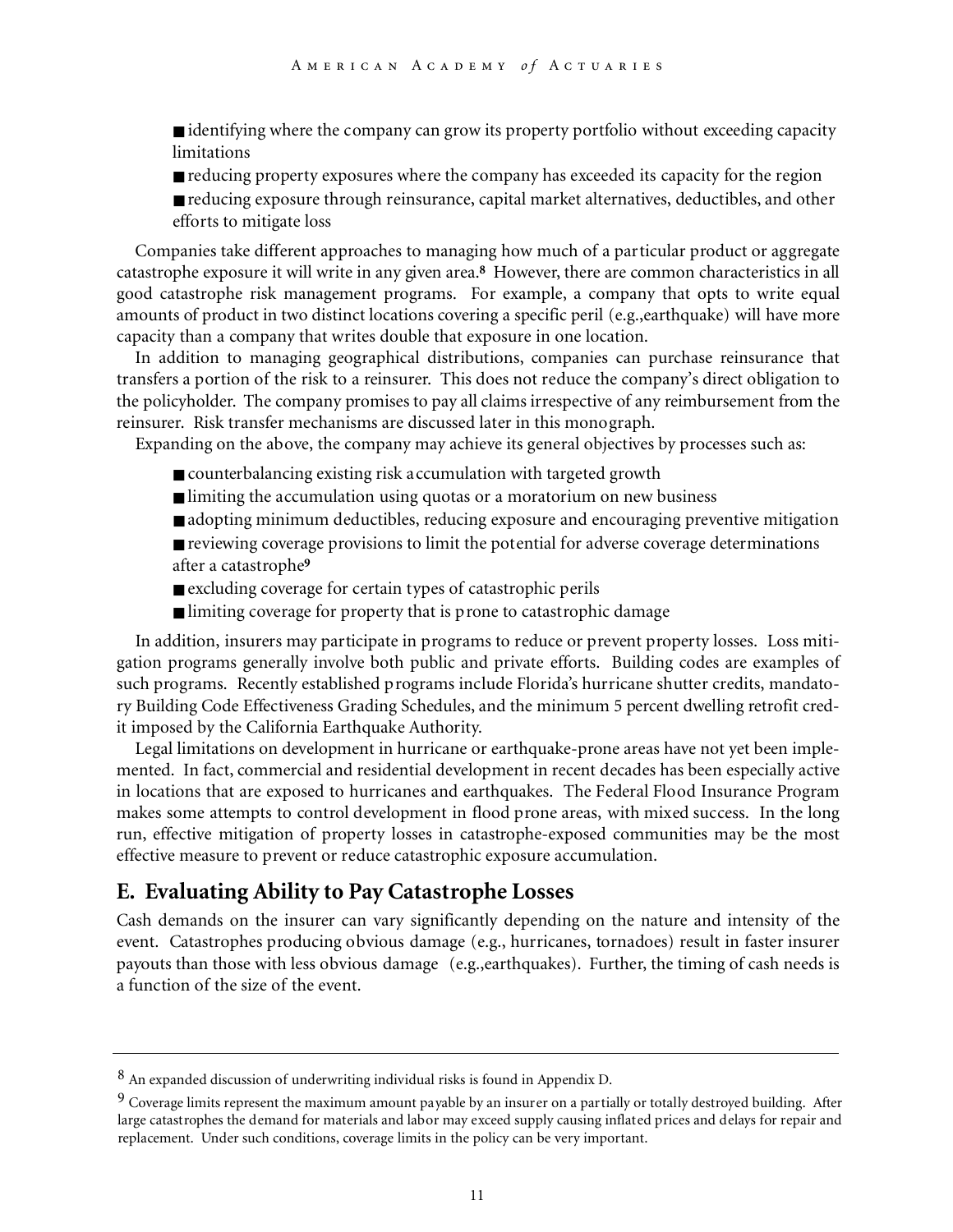■ identifying where the company can grow its property portfolio without exceeding capacity limitations

- reducing property exposures where the company has exceeded its capacity for the region
- reducing exposure through reinsurance, capital market alternatives, deductibles, and other efforts to mitigate loss

Companies take different approaches to managing how much of a particular product or aggregate catastrophe exposure it will write in any given area.**<sup>8</sup>** However, there are common characteristics in all good catastrophe risk management programs. For example, a company that opts to write equal amounts of product in two distinct locations covering a specific peril (e.g.,earthquake) will have more capacity than a company that writes double that exposure in one location.

In addition to managing geographical distributions, companies can purchase reinsurance that transfers a portion of the risk to a reinsurer. This does not reduce the company's direct obligation to the policyholder. The company promises to pay all claims irrespective of any reimbursement from the reinsurer. Risk transfer mechanisms are discussed later in this monograph.

Expanding on the above, the company may achieve its general objectives by processes such as:

- counterbalancing existing risk accumulation with targeted growth
- limiting the accumulation using quotas or a moratorium on new business
- adopting minimum deductibles, reducing exposure and encouraging preventive mitigation
- reviewing coverage provisions to limit the potential for adverse coverage determinations after a catastrophe**<sup>9</sup>**
- excluding coverage for certain types of catastrophic perils
- limiting coverage for property that is prone to catastrophic damage

In addition, insurers may participate in programs to reduce or prevent property losses. Loss mitigation programs generally involve both public and private efforts. Building codes are examples of such programs. Recently established programs include Florida's hurricane shutter credits, mandatory Building Code Effectiveness Grading Schedules, and the minimum 5 percent dwelling retrofit credit imposed by the California Earthquake Authority.

Legal limitations on development in hurricane or earthquake-prone areas have not yet been implemented. In fact, commercial and residential development in recent decades has been especially active in locations that are exposed to hurricanes and earthquakes. The Federal Flood Insurance Program makes some attempts to control development in flood prone areas, with mixed success. In the long run, effective mitigation of property losses in catastrophe-exposed communities may be the most effective measure to prevent or reduce catastrophic exposure accumulation.

### **E. Evaluating Ability to Pay Catastrophe Losses**

Cash demands on the insurer can vary significantly depending on the nature and intensity of the event. Catastrophes producing obvious damage (e.g., hurricanes, tornadoes) result in faster insurer payouts than those with less obvious damage (e.g.,earthquakes). Further, the timing of cash needs is a function of the size of the event.

<sup>8</sup> An expanded discussion of underwriting individual risks is found in Appendix D.

<sup>&</sup>lt;sup>9</sup> Coverage limits represent the maximum amount payable by an insurer on a partially or totally destroyed building. After large catastrophes the demand for materials and labor may exceed supply causing inflated prices and delays for repair and replacement. Under such conditions, coverage limits in the policy can be very important.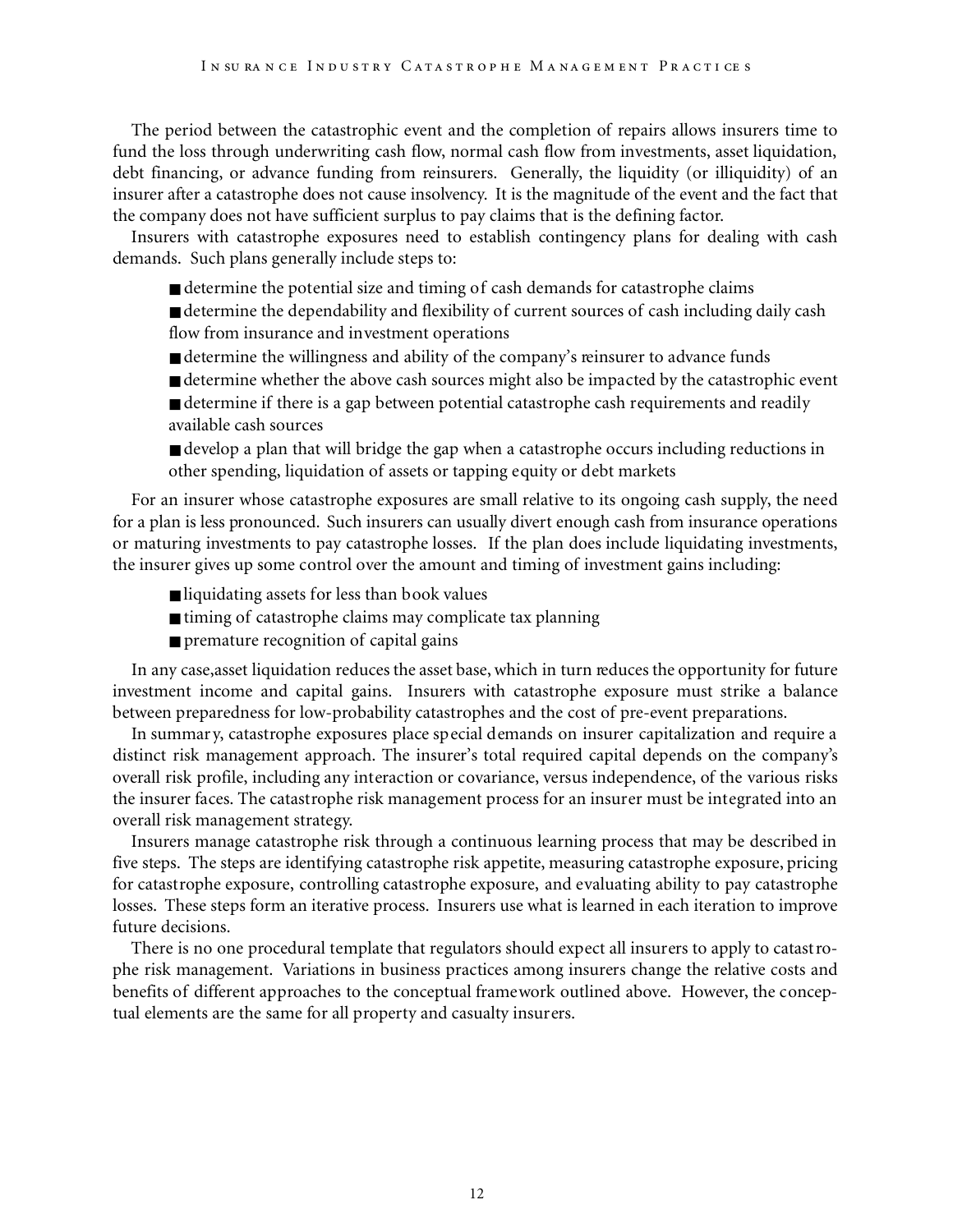The period between the catastrophic event and the completion of repairs allows insurers time to fund the loss through underwriting cash flow, normal cash flow from investments, asset liquidation, debt financing, or advance funding from reinsurers. Generally, the liquidity (or illiquidity) of an insurer after a catastrophe does not cause insolvency. It is the magnitude of the event and the fact that the company does not have sufficient surplus to pay claims that is the defining factor.

Insurers with catastrophe exposures need to establish contingency plans for dealing with cash demands. Such plans generally include steps to:

■ determine the potential size and timing of cash demands for catastrophe claims

■ determine the dependability and flexibility of current sources of cash including daily cash flow from insurance and investment operations

- determine the willingness and ability of the company's reinsurer to advance funds
- determine whether the above cash sources might also be impacted by the catastrophic event ■ determine if there is a gap between potential catastrophe cash requirements and readily
- available cash sources
- develop a plan that will bridge the gap when a catastrophe occurs including reductions in other spending, liquidation of assets or tapping equity or debt markets

For an insurer whose catastrophe exposures are small relative to its ongoing cash supply, the need for a plan is less pronounced. Such insurers can usually divert enough cash from insurance operations or maturing investments to pay catastrophe losses. If the plan does include liquidating investments, the insurer gives up some control over the amount and timing of investment gains including:

- liquidating assets for less than book values
- timing of catastrophe claims may complicate tax planning
- premature recognition of capital gains

In any case,asset liquidation reduces the asset base, which in turn reduces the opportunity for future investment income and capital gains. Insurers with catastrophe exposure must strike a balance between preparedness for low-probability catastrophes and the cost of pre-event preparations.

In summar y, catastrophe exposures place special demands on insurer capitalization and require a distinct risk management approach. The insurer's total required capital depends on the company's overall risk profile, including any interaction or covariance, versus independence, of the various risks the insurer faces. The catastrophe risk management process for an insurer must be integrated into an overall risk management strategy.

Insurers manage catastrophe risk through a continuous learning process that may be described in five steps. The steps are identifying catastrophe risk appetite, measuring catastrophe exposure, pricing for catastrophe exposure, controlling catastrophe exposure, and evaluating ability to pay catastrophe losses. These steps form an iterative process. Insurers use what is learned in each iteration to improve future decisions.

There is no one procedural template that regulators should expect all insurers to apply to catastrophe risk management. Variations in business practices among insurers change the relative costs and benefits of different approaches to the conceptual framework outlined above. However, the conceptual elements are the same for all property and casualty insurers.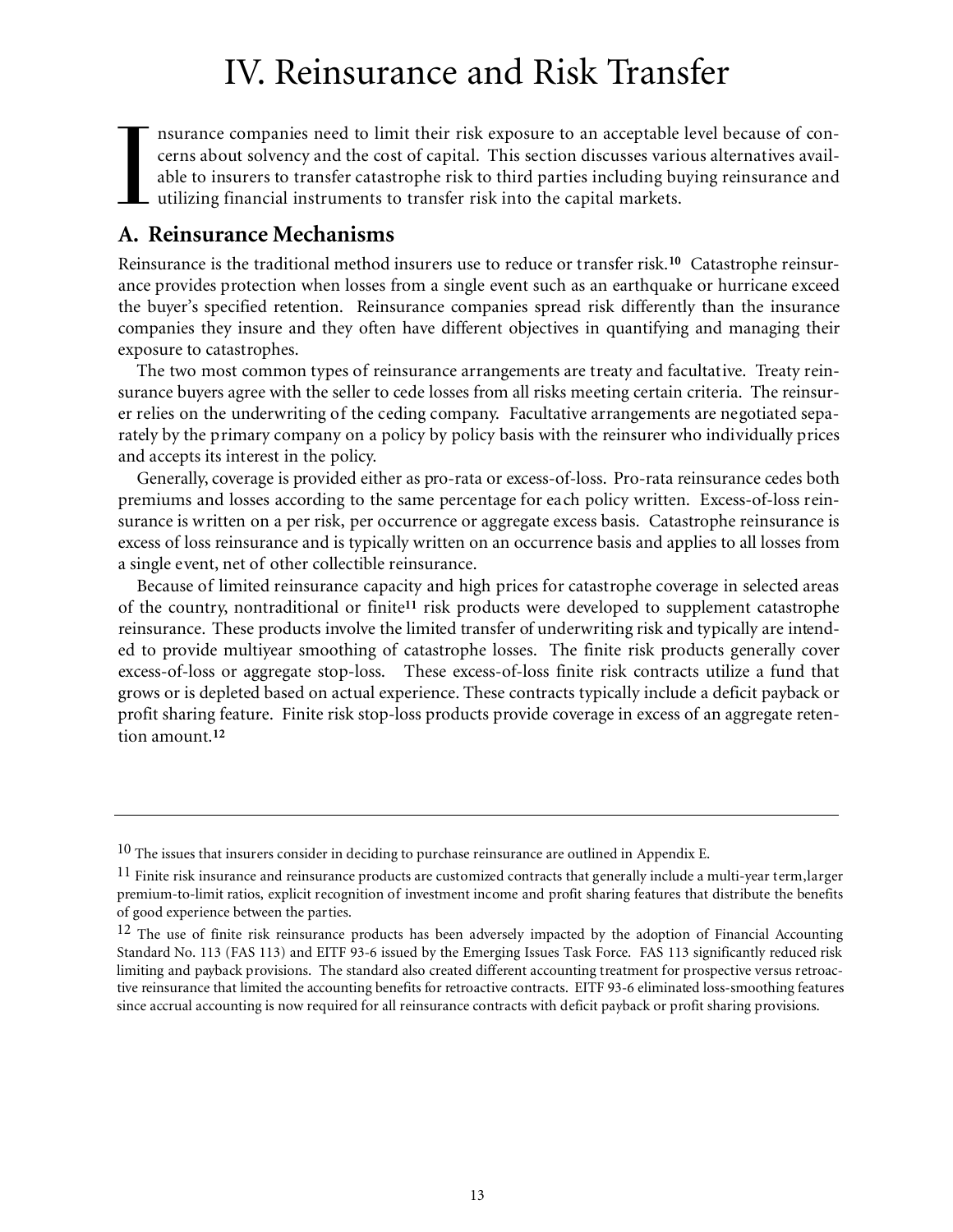## IV. Reinsurance and Risk Transfer

I nsurance companies need to limit their risk exposure to an acceptable level because of concerns about solvency and the cost of capital. This section discusses various alternatives available to insurers to transfer catastrophe risk to third parties including buying reinsurance and  $\mathsf L$  utilizing financial instruments to transfer risk into the capital markets.

## **A. Reinsurance Mechanisms**

Reinsurance is the traditional method insurers use to reduce or transfer risk.**<sup>10</sup>** Catastrophe reinsurance provides protection when losses from a single event such as an earthquake or hurricane exceed the buyer's specified retention. Reinsurance companies spread risk differently than the insurance companies they insure and they often have different objectives in quantifying and managing their exposure to catastrophes.

The two most common types of reinsurance arrangements are treaty and facultative. Treaty reinsurance buyers agree with the seller to cede losses from all risks meeting certain criteria. The reinsurer relies on the underwriting of the ceding company. Facultative arrangements are negotiated separately by the primary company on a policy by policy basis with the reinsurer who individually prices and accepts its interest in the policy.

Generally, coverage is provided either as pro-rata or excess-of-loss. Pro-rata reinsurance cedes both premiums and losses according to the same percentage for each policy written. Excess-of-loss reinsurance is written on a per risk, per occurrence or aggregate excess basis. Catastrophe reinsurance is excess of loss reinsurance and is typically written on an occurrence basis and applies to all losses from a single event, net of other collectible reinsurance.

Because of limited reinsurance capacity and high prices for catastrophe coverage in selected areas of the country, nontraditional or finite **<sup>11</sup>** risk products were developed to supplement catastrophe reinsurance. These products involve the limited transfer of underwriting risk and typically are intended to provide multiyear smoothing of catastrophe losses. The finite risk products generally cover excess-of-loss or aggregate stop-loss. These excess-of-loss finite risk contracts utilize a fund that grows or is depleted based on actual experience. These contracts typically include a deficit payback or profit sharing feature. Finite risk stop-loss products provide coverage in excess of an aggregate retention amount.**<sup>12</sup>**

 $10$  The issues that insurers consider in deciding to purchase reinsurance are outlined in Appendix E.

<sup>&</sup>lt;sup>11</sup> Finite risk insurance and reinsurance products are customized contracts that generally include a multi-year term,larger premium-to-limit ratios, explicit recognition of investment income and profit sharing features that distribute the benefits of good experience between the parties.

 $12$  The use of finite risk reinsurance products has been adversely impacted by the adoption of Financial Accounting Standard No. 113 (FAS 113) and EITF 93-6 issued by the Emerging Issues Task Force. FAS 113 significantly reduced risk limiting and payback provisions. The standard also created different accounting treatment for prospective versus retroactive reinsurance that limited the accounting benefits for retroactive contracts. EITF 93-6 eliminated loss-smoothing features since accrual accounting is now required for all reinsurance contracts with deficit payback or profit sharing provisions.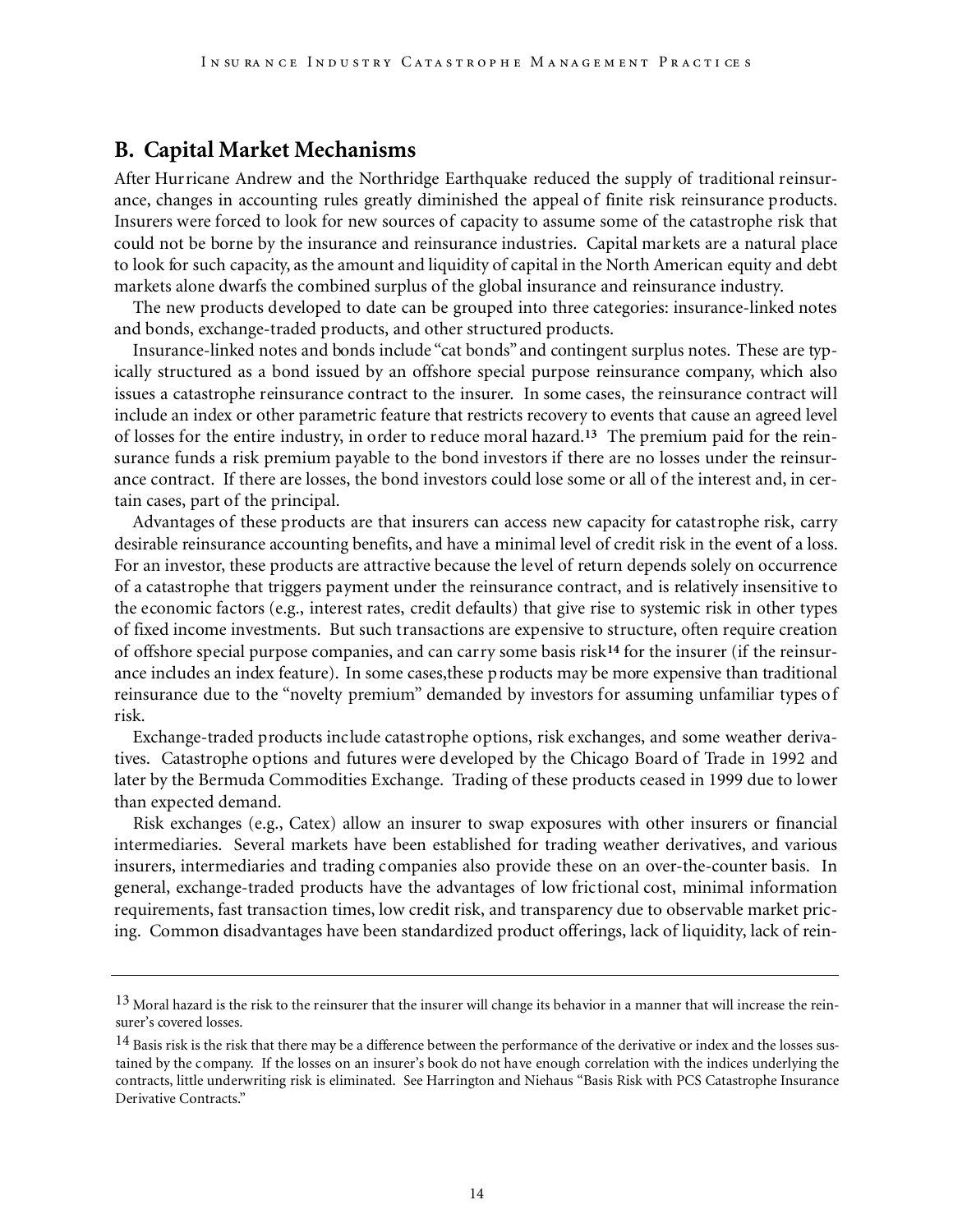### **B. Capital Market Mechanisms**

After Hurricane Andrew and the Northridge Earthquake reduced the supply of traditional reinsurance, changes in accounting rules greatly diminished the appeal of finite risk reinsurance products. Insurers were forced to look for new sources of capacity to assume some of the catastrophe risk that could not be borne by the insurance and reinsurance industries. Capital markets are a natural place to look for such capacity, as the amount and liquidity of capital in the North American equity and debt markets alone dwarfs the combined surplus of the global insurance and reinsurance industry.

The new products developed to date can be grouped into three categories: insurance-linked notes and bonds, exchange-traded products, and other structured products.

Insurance-linked notes and bonds include "cat bonds" and contingent surplus notes. These are typically structured as a bond issued by an offshore special purpose reinsurance company, which also issues a catastrophe reinsurance contract to the insurer. In some cases, the reinsurance contract will include an index or other parametric feature that restricts recovery to events that cause an agreed level of losses for the entire industry, in order to reduce moral hazard.**<sup>13</sup>** The premium paid for the reinsurance funds a risk premium payable to the bond investors if there are no losses under the reinsurance contract. If there are losses, the bond investors could lose some or all of the interest and, in certain cases, part of the principal.

Advantages of these products are that insurers can access new capacity for catastrophe risk, carry desirable reinsurance accounting benefits, and have a minimal level of credit risk in the event of a loss. For an investor, these products are attractive because the level of return depends solely on occurrence of a catastrophe that triggers payment under the reinsurance contract, and is relatively insensitive to the economic factors (e.g., interest rates, credit defaults) that give rise to systemic risk in other types of fixed income investments. But such transactions are expensive to structure, often require creation of offshore special purpose companies, and can carry some basis risk**<sup>14</sup>** for the insurer (if the reinsurance includes an index feature). In some cases,these products may be more expensive than traditional reinsurance due to the "novelty premium" demanded by investors for assuming unfamiliar types of risk.

Exchange-traded products include catastrophe options, risk exchanges, and some weather derivatives. Catastrophe options and futures were developed by the Chicago Board of Trade in 1992 and later by the Bermuda Commodities Exchange. Trading of these products ceased in 1999 due to lower than expected demand.

Risk exchanges (e.g., Catex) allow an insurer to swap exposures with other insurers or financial intermediaries. Several markets have been established for trading weather derivatives, and various insurers, intermediaries and trading companies also provide these on an over-the-counter basis. In general, exchange-traded products have the advantages of low frictional cost, minimal information requirements, fast transaction times, low credit risk, and transparency due to observable market pricing. Common disadvantages have been standardized product offerings, lack of liquidity, lack of rein-

<sup>&</sup>lt;sup>13</sup> Moral hazard is the risk to the reinsurer that the insurer will change its behavior in a manner that will increase the reinsurer's covered losses.

<sup>&</sup>lt;sup>14</sup> Basis risk is the risk that there may be a difference between the performance of the derivative or index and the losses sustained by the company. If the losses on an insurer's book do not have enough correlation with the indices underlying the contracts, little underwriting risk is eliminated. See Harrington and Niehaus "Basis Risk with PCS Catastrophe Insurance Derivative Contracts."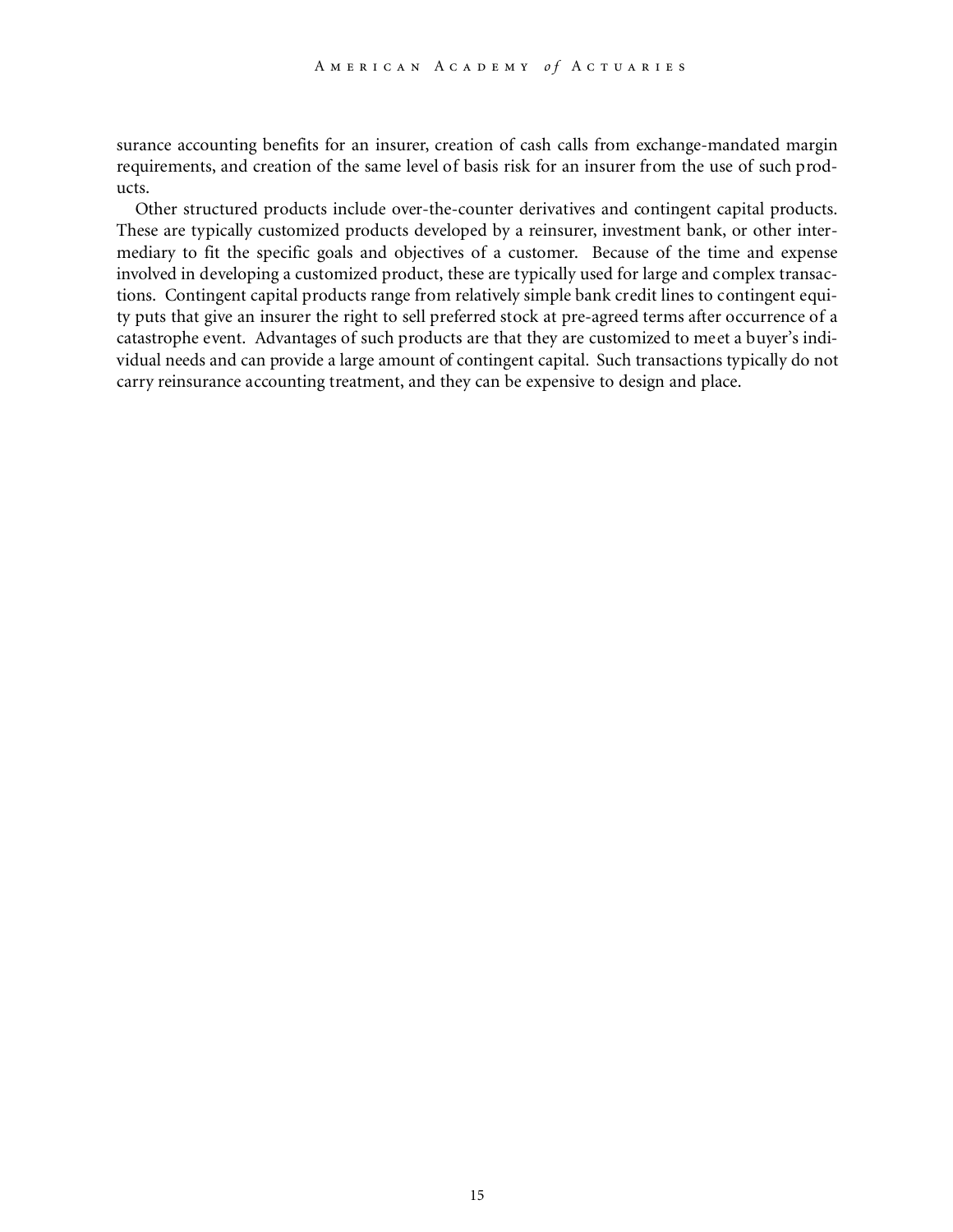surance accounting benefits for an insurer, creation of cash calls from exchange-mandated margin requirements, and creation of the same level of basis risk for an insurer from the use of such products.

Other structured products include over-the-counter derivatives and contingent capital products. These are typically customized products developed by a reinsurer, investment bank, or other intermediary to fit the specific goals and objectives of a customer. Because of the time and expense involved in developing a customized product, these are typically used for large and complex transactions. Contingent capital products range from relatively simple bank credit lines to contingent equity puts that give an insurer the right to sell preferred stock at pre-agreed terms after occurrence of a catastrophe event. Advantages of such products are that they are customized to meet a buyer's individual needs and can provide a large amount of contingent capital. Such transactions typically do not carry reinsurance accounting treatment, and they can be expensive to design and place.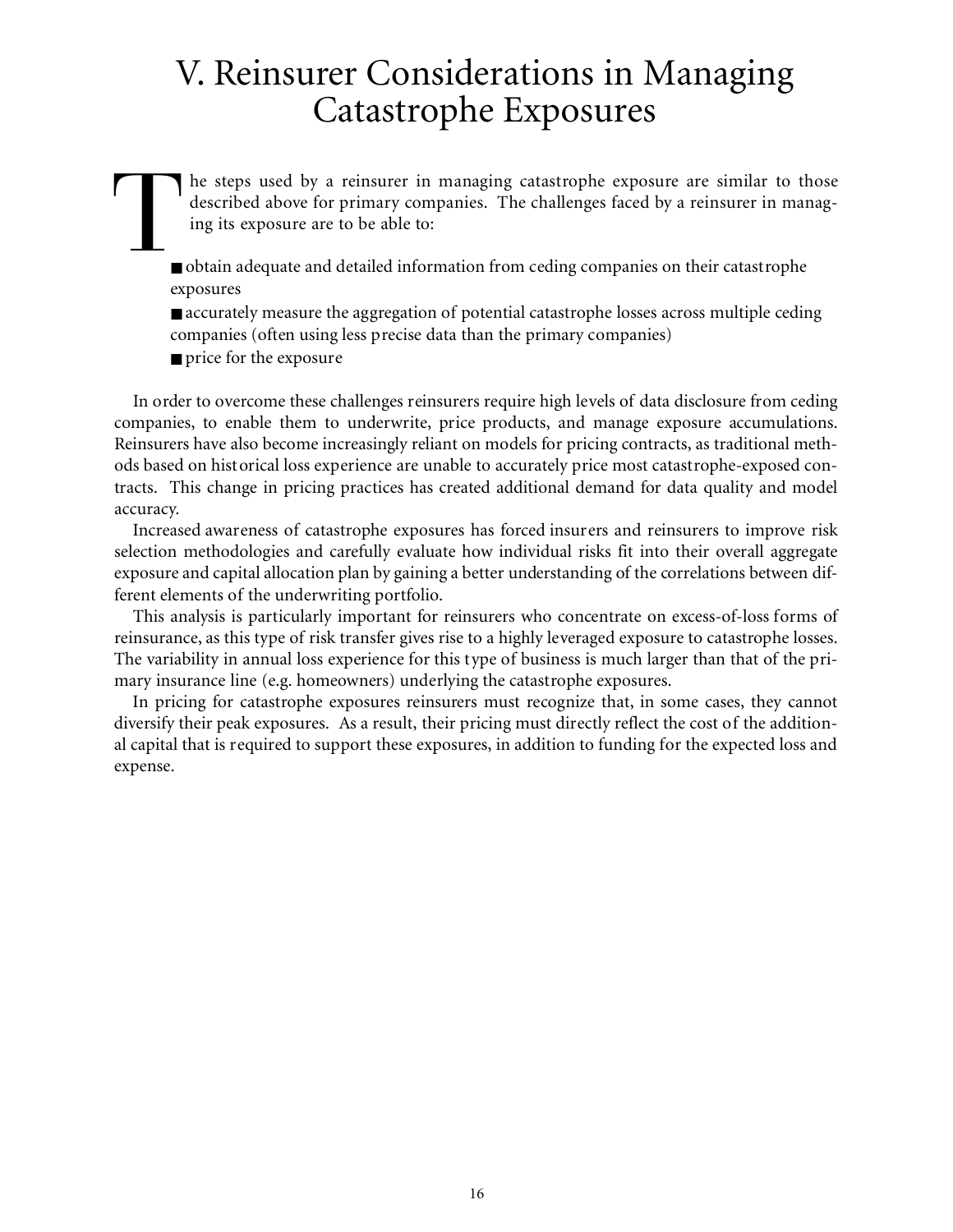## V. Reinsurer Considerations in Managing Catastrophe Exposures

 $\prod_{\blacksquare}$ he steps used by a reinsurer in managing catastrophe exposure are similar to those described above for primary companies. The challenges faced by a reinsurer in managing its exposure are to be able to:

■ obtain adequate and detailed information from ceding companies on their catastrophe exposures

■ accurately measure the aggregation of potential catastrophe losses across multiple ceding companies (often using less precise data than the primary companies)

■ price for the exposure

In order to overcome these challenges reinsurers require high levels of data disclosure from ceding companies, to enable them to underwrite, price products, and manage exposure accumulations. Reinsurers have also become increasingly reliant on models for pricing contracts, as traditional methods based on historical loss experience are unable to accurately price most catastrophe-exposed contracts. This change in pricing practices has created additional demand for data quality and model accuracy.

Increased awareness of catastrophe exposures has forced insurers and reinsurers to improve risk selection methodologies and carefully evaluate how individual risks fit into their overall aggregate exposure and capital allocation plan by gaining a better understanding of the correlations between different elements of the underwriting portfolio.

This analysis is particularly important for reinsurers who concentrate on excess-of-loss forms of reinsurance, as this type of risk transfer gives rise to a highly leveraged exposure to catastrophe losses. The variability in annual loss experience for this type of business is much larger than that of the primary insurance line (e.g. homeowners) underlying the catastrophe exposures.

In pricing for catastrophe exposures reinsurers must recognize that, in some cases, they cannot diversify their peak exposures. As a result, their pricing must directly reflect the cost of the additional capital that is required to support these exposures, in addition to funding for the expected loss and expense.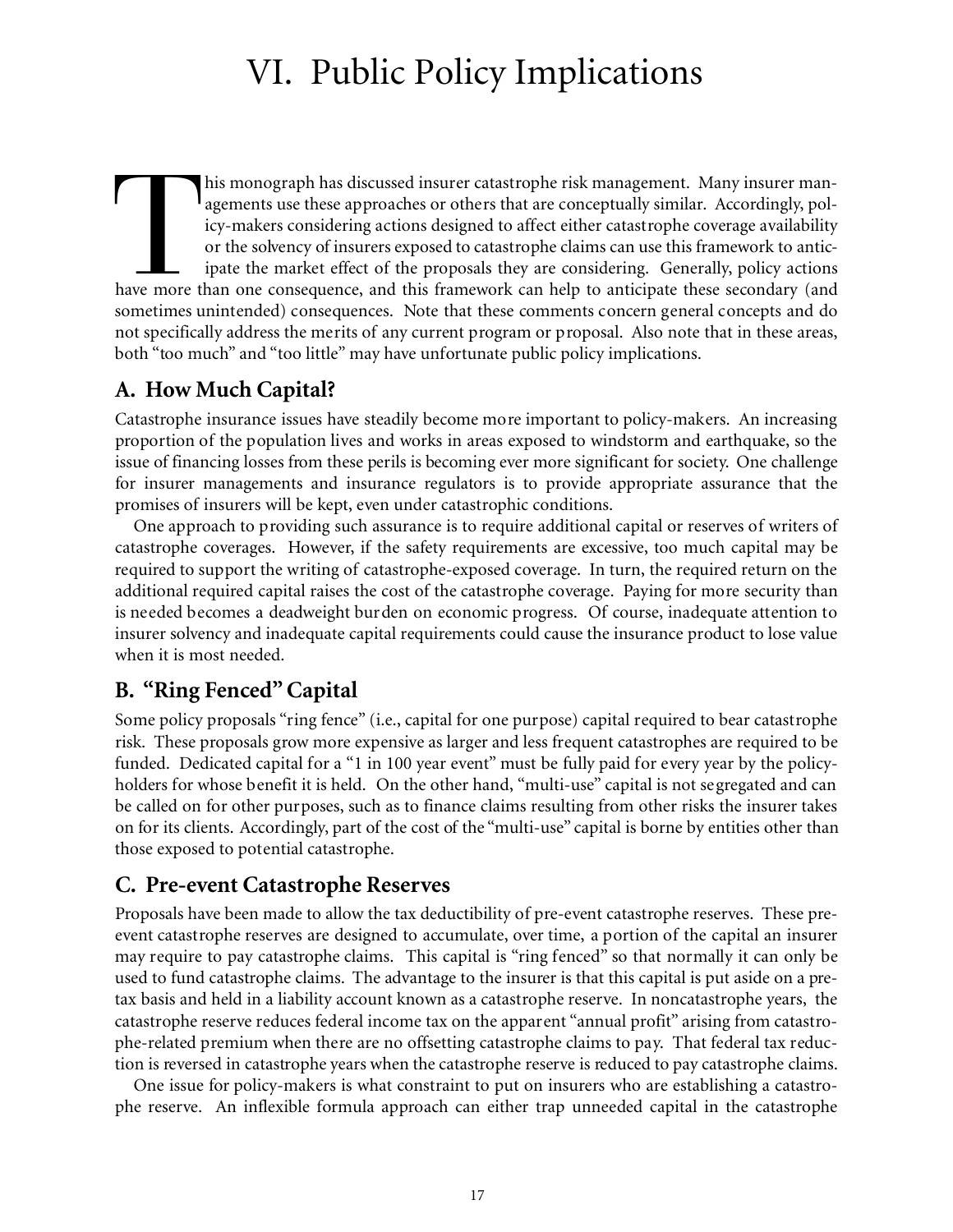## VI. Public Policy Implications

This monograph has discussed insurer catastrophe risk management. Many insurer man-<br>agements use these approaches or others that are conceptually similar. Accordingly, pol-<br>icy-makers considering actions designed to affect his monograph has discussed insurer catastrophe risk management. Many insurer managements use these approaches or others that are conceptually similar. Accordingly, policy-makers considering actions designed to affect either catastrophe coverage availability or the solvency of insurers exposed to catastrophe claims can use this framework to anticipate the market effect of the proposals they are considering. Generally, policy actions sometimes unintended) consequences. Note that these comments concern general concepts and do not specifically address the merits of any current program or proposal. Also note that in these areas, both "too much" and "too little" may have unfortunate public policy implications.

## **A. How Much Capital?**

Catastrophe insurance issues have steadily become more important to policy-makers. An increasing proportion of the population lives and works in areas exposed to windstorm and earthquake, so the issue of financing losses from these perils is becoming ever more significant for society. One challenge for insurer managements and insurance regulators is to provide appropriate assurance that the promises of insurers will be kept, even under catastrophic conditions.

One approach to providing such assurance is to require additional capital or reserves of writers of catastrophe coverages. However, if the safety requirements are excessive, too much capital may be required to support the writing of catastrophe-exposed coverage. In turn, the required return on the additional required capital raises the cost of the catastrophe coverage. Paying for more security than is needed becomes a deadweight burden on economic progress. Of course, inadequate attention to insurer solvency and inadequate capital requirements could cause the insurance product to lose value when it is most needed.

## **B. "Ring Fenced"Capital**

Some policy proposals "ring fence" (i.e., capital for one purpose) capital required to bear catastrophe risk. These proposals grow more expensive as larger and less frequent catastrophes are required to be funded. Dedicated capital for a "1 in 100 year event" must be fully paid for every year by the policyholders for whose benefit it is held. On the other hand, "multi-use" capital is not segregated and can be called on for other purposes, such as to finance claims resulting from other risks the insurer takes on for its clients. Accordingly, part of the cost of the "multi-use" capital is borne by entities other than those exposed to potential catastrophe.

## **C. Pre-event Catastrophe Reserves**

Proposals have been made to allow the tax deductibility of pre-event catastrophe reserves. These preevent catastrophe reserves are designed to accumulate, over time, a portion of the capital an insurer may require to pay catastrophe claims. This capital is "ring fenced" so that normally it can only be used to fund catastrophe claims. The advantage to the insurer is that this capital is put aside on a pretax basis and held in a liability account known as a catastrophe reserve. In noncatastrophe years, the catastrophe reserve reduces federal income tax on the apparent "annual profit" arising from catastrophe-related premium when there are no offsetting catastrophe claims to pay. That federal tax reduction is reversed in catastrophe years when the catastrophe reserve is reduced to pay catastrophe claims.

One issue for policy-makers is what constraint to put on insurers who are establishing a catastrophe reserve. An inflexible formula approach can either trap unneeded capital in the catastrophe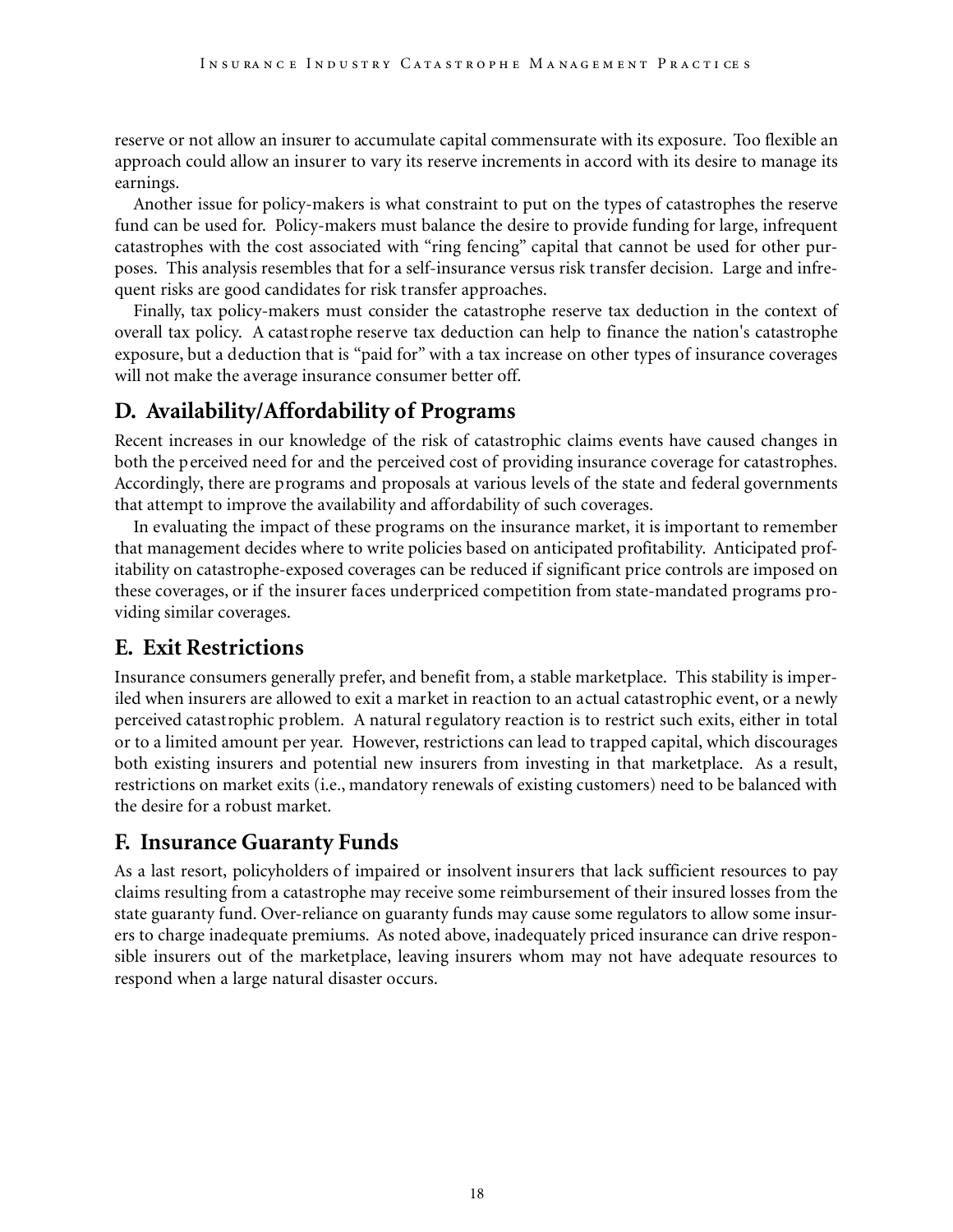reserve or not allow an insurer to accumulate capital commensurate with its exposure. Too flexible an approach could allow an insurer to vary its reserve increments in accord with its desire to manage its earnings.

Another issue for policy-makers is what constraint to put on the types of catastrophes the reserve fund can be used for. Policy-makers must balance the desire to provide funding for large, infrequent catastrophes with the cost associated with "ring fencing" capital that cannot be used for other purposes. This analysis resembles that for a self-insurance versus risk transfer decision. Large and infrequent risks are good candidates for risk transfer approaches.

Finally, tax policy-makers must consider the catastrophe reserve tax deduction in the context of overall tax policy. A catastrophe reserve tax deduction can help to finance the nation's catastrophe exposure, but a deduction that is "paid for" with a tax increase on other types of insurance coverages will not make the average insurance consumer better off.

## **D. Availability/Affordability of Programs**

Recent increases in our knowledge of the risk of catastrophic claims events have caused changes in both the perceived need for and the perceived cost of providing insurance coverage for catastrophes. Accordingly, there are programs and proposals at various levels of the state and federal governments that attempt to improve the availability and affordability of such coverages.

In evaluating the impact of these programs on the insurance market, it is important to remember that management decides where to write policies based on anticipated profitability. Anticipated profitability on catastrophe-exposed coverages can be reduced if significant price controls are imposed on these coverages, or if the insurer faces underpriced competition from state-mandated programs providing similar coverages.

## **E. Exit Restrictions**

Insurance consumers generally prefer, and benefit from, a stable marketplace. This stability is imperiled when insurers are allowed to exit a market in reaction to an actual catastrophic event, or a newly perceived catastrophic problem. A natural regulatory reaction is to restrict such exits, either in total or to a limited amount per year. However, restrictions can lead to trapped capital, which discourages both existing insurers and potential new insurers from investing in that marketplace. As a result, restrictions on market exits (i.e., mandatory renewals of existing customers) need to be balanced with the desire for a robust market.

## **F. Insurance Guaranty Funds**

As a last resort, policyholders of impaired or insolvent insurers that lack sufficient resources to pay claims resulting from a catastrophe may receive some reimbursement of their insured losses from the state guaranty fund. Over-reliance on guaranty funds may cause some regulators to allow some insurers to charge inadequate premiums. As noted above, inadequately priced insurance can drive responsible insurers out of the marketplace, leaving insurers whom may not have adequate resources to respond when a large natural disaster occurs.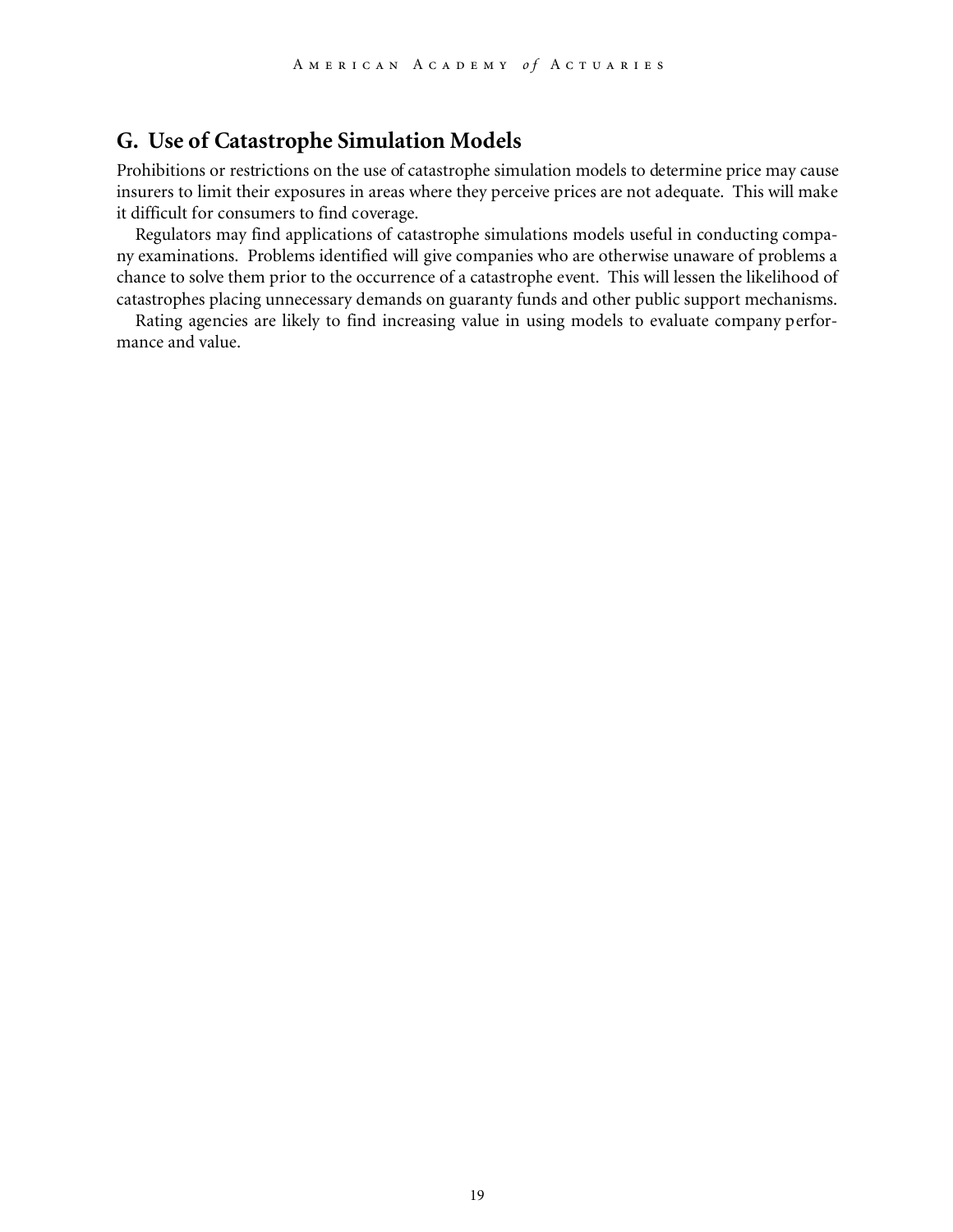### **G. Use of Catastrophe Simulation Models**

Prohibitions or restrictions on the use of catastrophe simulation models to determine price may cause insurers to limit their exposures in areas where they perceive prices are not adequate. This will make it difficult for consumers to find coverage.

Regulators may find applications of catastrophe simulations models useful in conducting company examinations. Problems identified will give companies who are otherwise unaware of problems a chance to solve them prior to the occurrence of a catastrophe event. This will lessen the likelihood of catastrophes placing unnecessary demands on guaranty funds and other public support mechanisms.

Rating agencies are likely to find increasing value in using models to evaluate company performance and value.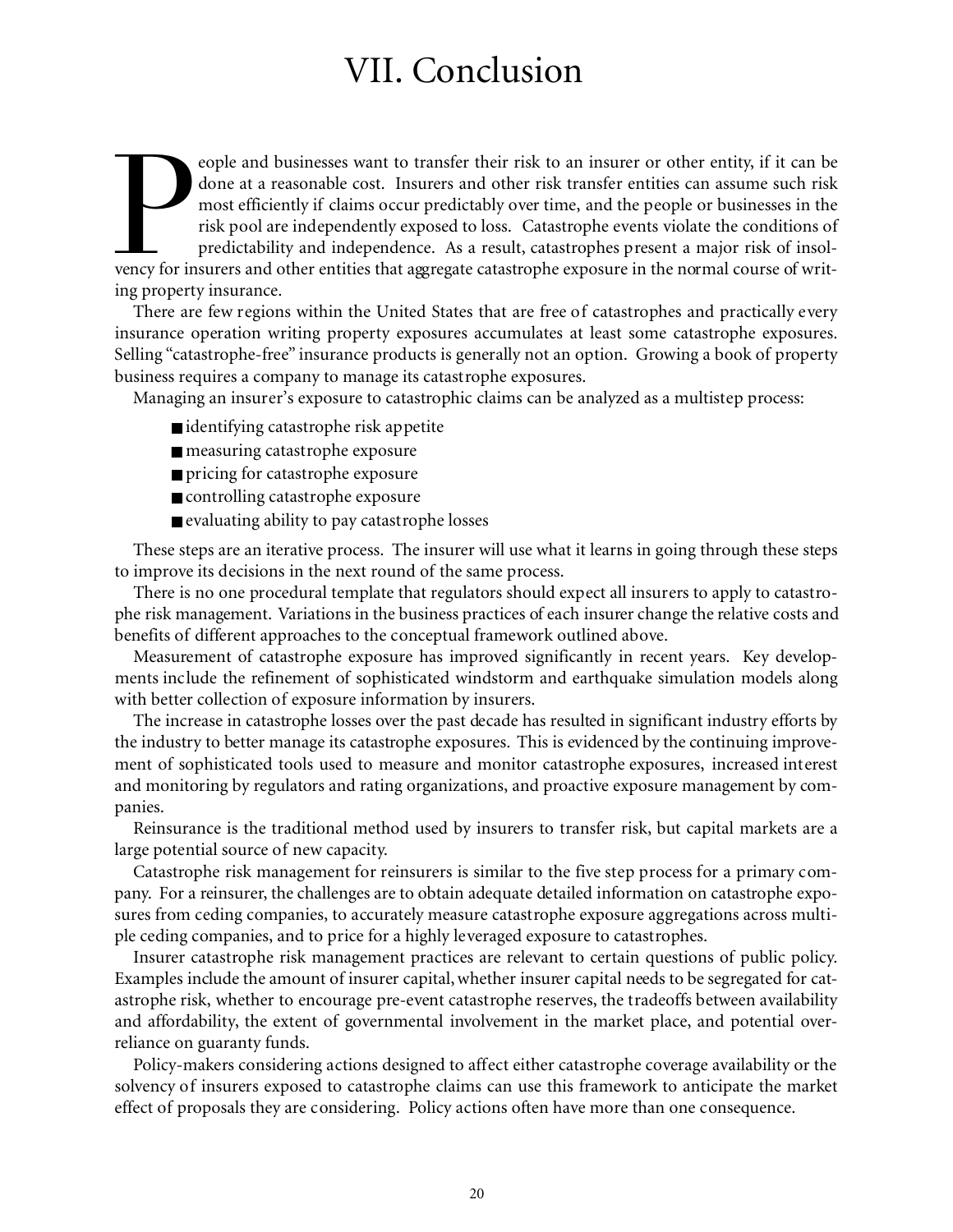## VII. Conclusion

For insurers and businesses want to transfer their risk to an insurer or other entity, if it can be done at a reasonable cost. Insurers and other risk transfer entities can assume such risk most efficiently if claims occur eople and businesses want to transfer their risk to an insurer or other entity, if it can be done at a reasonable cost. Insurers and other risk transfer entities can assume such risk most efficiently if claims occur predictably over time, and the people or businesses in the risk pool are independently exposed to loss. Catastrophe events violate the conditions of predictability and independence. As a result, catastrophes present a major risk of insoling property insurance.

There are few regions within the United States that are free of catastrophes and practically every insurance operation writing property exposures accumulates at least some catastrophe exposures. Selling "catastrophe-free" insurance products is generally not an option. Growing a book of property business requires a company to manage its catastrophe exposures.

Managing an insurer's exposure to catastrophic claims can be analyzed as a multistep process:

- identifying catastrophe risk appetite
- measuring catastrophe exposure
- pricing for catastrophe exposure
- controlling catastrophe exposure
- evaluating ability to pay catastrophe losses

These steps are an iterative process. The insurer will use what it learns in going through these steps to improve its decisions in the next round of the same process.

There is no one procedural template that regulators should expect all insurers to apply to catastrophe risk management. Variations in the business practices of each insurer change the relative costs and benefits of different approaches to the conceptual framework outlined above.

Measurement of catastrophe exposure has improved significantly in recent years. Key developments include the refinement of sophisticated windstorm and earthquake simulation models along with better collection of exposure information by insurers.

The increase in catastrophe losses over the past decade has resulted in significant industry efforts by the industry to better manage its catastrophe exposures. This is evidenced by the continuing improvement of sophisticated tools used to measure and monitor catastrophe exposures, increased interest and monitoring by regulators and rating organizations, and proactive exposure management by companies.

Reinsurance is the traditional method used by insurers to transfer risk, but capital markets are a large potential source of new capacity.

Catastrophe risk management for reinsurers is similar to the five step process for a primary company. For a reinsurer, the challenges are to obtain adequate detailed information on catastrophe exposures from ceding companies, to accurately measure catastrophe exposure aggregations across multiple ceding companies, and to price for a highly leveraged exposure to catastrophes.

Insurer catastrophe risk management practices are relevant to certain questions of public policy. Examples include the amount of insurer capital,whether insurer capital needs to be segregated for catastrophe risk, whether to encourage pre-event catastrophe reserves, the tradeoffs between availability and affordability, the extent of governmental involvement in the market place, and potential overreliance on guaranty funds.

Policy-makers considering actions designed to affect either catastrophe coverage availability or the solvency of insurers exposed to catastrophe claims can use this framework to anticipate the market effect of proposals they are considering. Policy actions often have more than one consequence.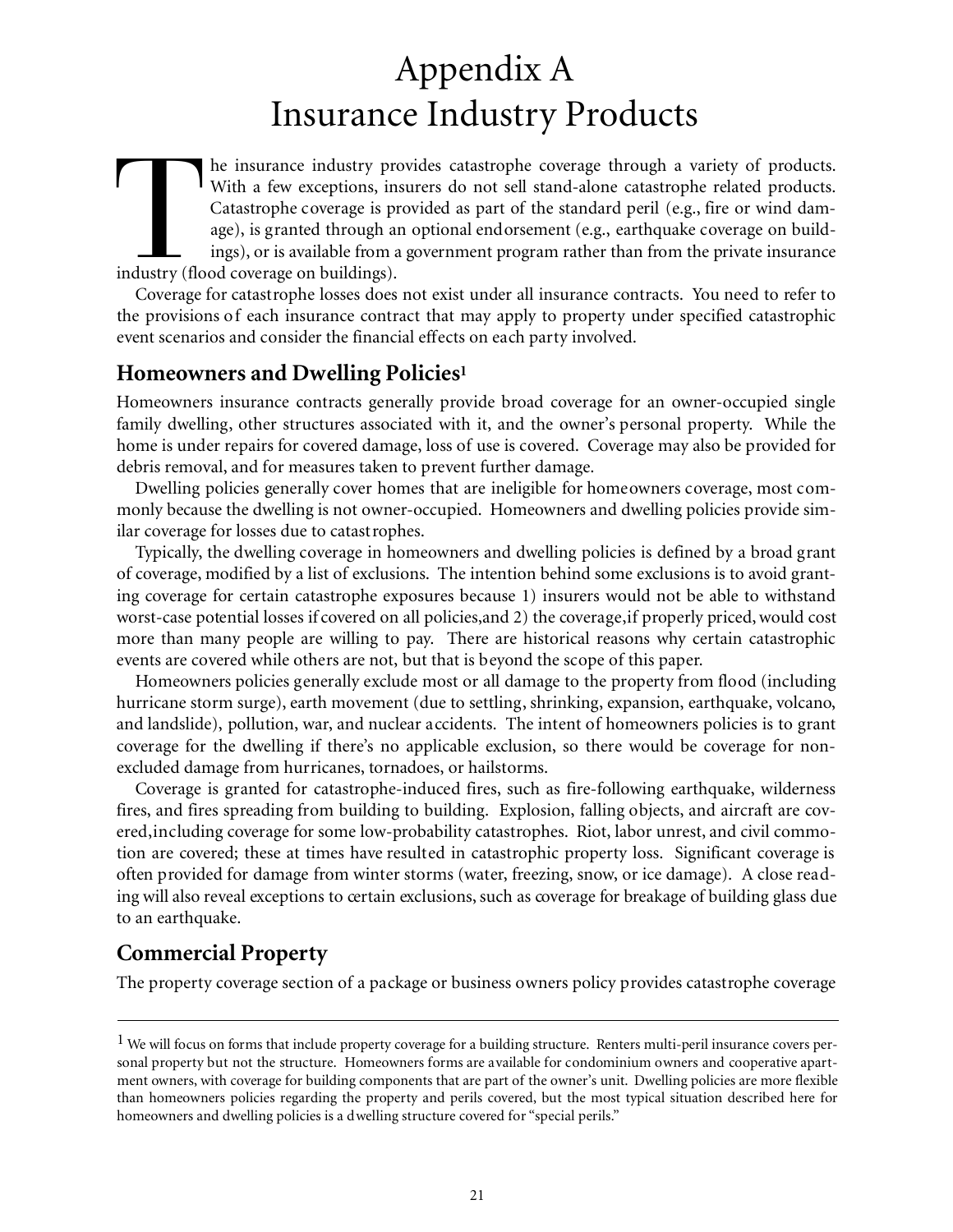## Appendix A Insurance Industry Products

The insurance industry provides in With a few exceptions, in Catastrophe coverage is provided as a ings), or is available from a industry (flood coverage on buildings). he insurance industry provides catastrophe coverage through a variety of products. With a few exceptions, insurers do not sell stand-alone catastrophe related products. Catastrophe coverage is provided as part of the standard peril (e.g., fire or wind damage), is granted through an optional endorsement (e.g., earthquake coverage on buildings), or is available from a government program rather than from the private insurance

Coverage for catastrophe losses does not exist under all insurance contracts. You need to refer to the provisions of each insurance contract that may apply to property under specified catastrophic event scenarios and consider the financial effects on each party involved.

### **Homeowners and Dwelling Policies<sup>1</sup>**

Homeowners insurance contracts generally provide broad coverage for an owner-occupied single family dwelling, other structures associated with it, and the owner's personal property. While the home is under repairs for covered damage, loss of use is covered. Coverage may also be provided for debris removal, and for measures taken to prevent further damage.

Dwelling policies generally cover homes that are ineligible for homeowners coverage, most commonly because the dwelling is not owner-occupied. Homeowners and dwelling policies provide similar coverage for losses due to catastrophes.

Typically, the dwelling coverage in homeowners and dwelling policies is defined by a broad grant of coverage, modified by a list of exclusions. The intention behind some exclusions is to avoid granting coverage for certain catastrophe exposures because 1) insurers would not be able to withstand worst-case potential losses if covered on all policies,and 2) the coverage,if properly priced,would cost more than many people are willing to pay. There are historical reasons why certain catastrophic events are covered while others are not, but that is beyond the scope of this paper.

Homeowners policies generally exclude most or all damage to the property from flood (including hurricane storm surge), earth movement (due to settling, shrinking, expansion, earthquake, volcano, and landslide), pollution, war, and nuclear accidents. The intent of homeowners policies is to grant coverage for the dwelling if there's no applicable exclusion, so there would be coverage for nonexcluded damage from hurricanes, tornadoes, or hailstorms.

Coverage is granted for catastrophe-induced fires, such as fire-following earthquake, wilderness fires, and fires spreading from building to building. Explosion, falling objects, and aircraft are covered,including coverage for some low-probability catastrophes. Riot, labor unrest, and civil commotion are covered; these at times have resulted in catastrophic property loss. Significant coverage is often provided for damage from winter storms (water, freezing, snow, or ice damage). A close reading will also reveal exceptions to certain exclusions, such as coverage for breakage of building glass due to an earthquake.

## **Commercial Property**

The property coverage section of a package or business owners policy provides catastrophe coverage

<sup>&</sup>lt;sup>1</sup> We will focus on forms that include property coverage for a building structure. Renters multi-peril insurance covers personal property but not the structure. Homeowners forms are available for condominium owners and cooperative apartment owners, with coverage for building components that are part of the owner's unit. Dwelling policies are more flexible than homeowners policies regarding the property and perils covered, but the most typical situation described here for homeowners and dwelling policies is a dwelling structure covered for "special perils."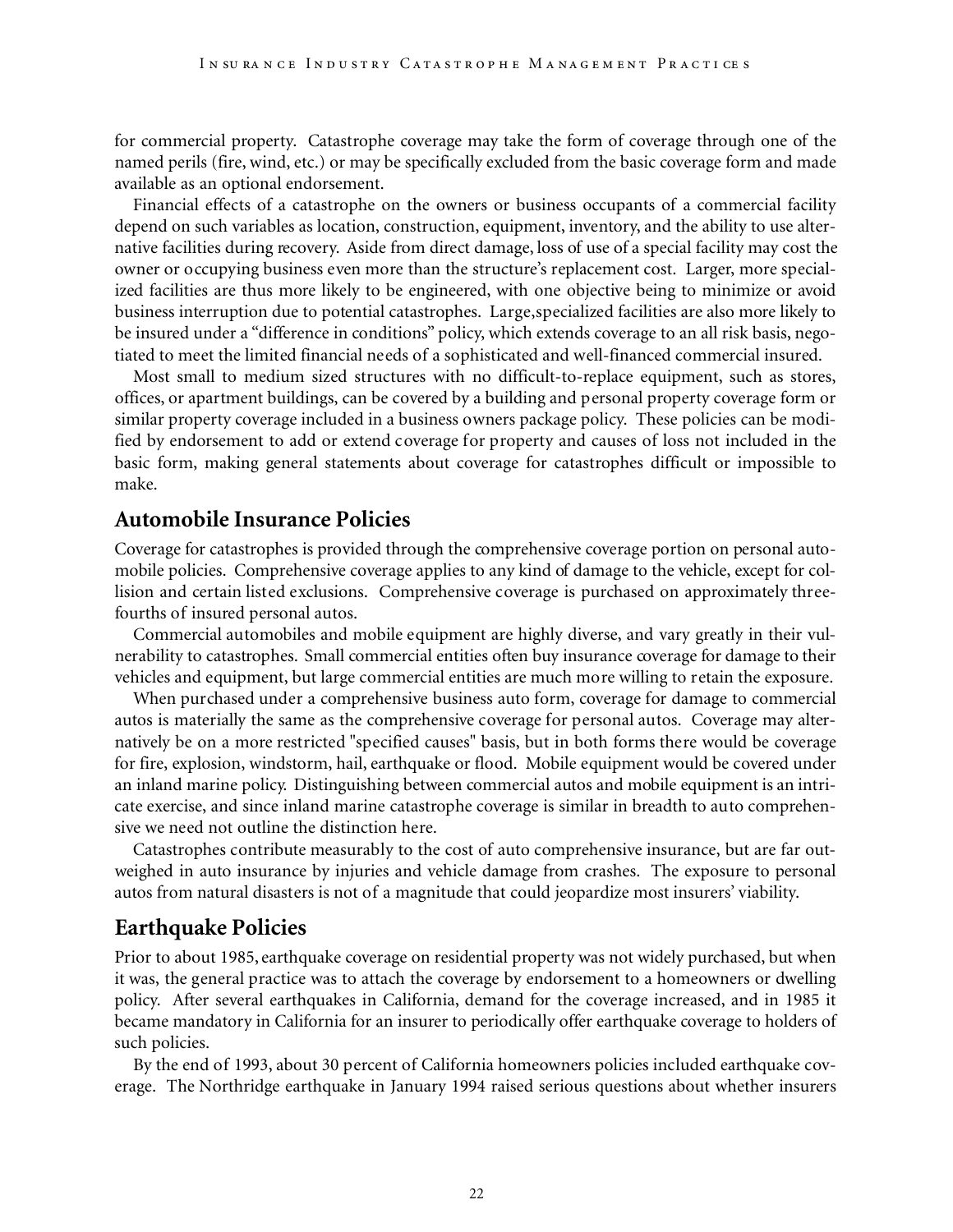for commercial property. Catastrophe coverage may take the form of coverage through one of the named perils (fire, wind, etc.) or may be specifically excluded from the basic coverage form and made available as an optional endorsement.

Financial effects of a catastrophe on the owners or business occupants of a commercial facility depend on such variables as location, construction, equipment, inventory, and the ability to use alternative facilities during recovery. Aside from direct damage, loss of use of a special facility may cost the owner or occupying business even more than the structure's replacement cost. Larger, more specialized facilities are thus more likely to be engineered, with one objective being to minimize or avoid business interruption due to potential catastrophes. Large,specialized facilities are also more likely to be insured under a "difference in conditions" policy, which extends coverage to an all risk basis, negotiated to meet the limited financial needs of a sophisticated and well-financed commercial insured.

Most small to medium sized structures with no difficult-to-replace equipment, such as stores, offices, or apartment buildings, can be covered by a building and personal property coverage form or similar property coverage included in a business owners package policy. These policies can be modified by endorsement to add or extend coverage for property and causes of loss not included in the basic form, making general statements about coverage for catastrophes difficult or impossible to make.

#### **Automobile Insurance Policies**

Coverage for catastrophes is provided through the comprehensive coverage portion on personal automobile policies. Comprehensive coverage applies to any kind of damage to the vehicle, except for collision and certain listed exclusions. Comprehensive coverage is purchased on approximately threefourths of insured personal autos.

Commercial automobiles and mobile equipment are highly diverse, and vary greatly in their vulnerability to catastrophes. Small commercial entities often buy insurance coverage for damage to their vehicles and equipment, but large commercial entities are much more willing to retain the exposure.

When purchased under a comprehensive business auto form, coverage for damage to commercial autos is materially the same as the comprehensive coverage for personal autos. Coverage may alternatively be on a more restricted "specified causes" basis, but in both forms there would be coverage for fire, explosion, windstorm, hail, earthquake or flood. Mobile equipment would be covered under an inland marine policy. Distinguishing between commercial autos and mobile equipment is an intricate exercise, and since inland marine catastrophe coverage is similar in breadth to auto comprehensive we need not outline the distinction here.

Catastrophes contribute measurably to the cost of auto comprehensive insurance, but are far outweighed in auto insurance by injuries and vehicle damage from crashes. The exposure to personal autos from natural disasters is not of a magnitude that could jeopardize most insurers' viability.

#### **Earthquake Policies**

Prior to about 1985, earthquake coverage on residential property was not widely purchased, but when it was, the general practice was to attach the coverage by endorsement to a homeowners or dwelling policy. After several earthquakes in California, demand for the coverage increased, and in 1985 it became mandatory in California for an insurer to periodically offer earthquake coverage to holders of such policies.

By the end of 1993, about 30 percent of California homeowners policies included earthquake coverage. The Northridge earthquake in January 1994 raised serious questions about whether insurers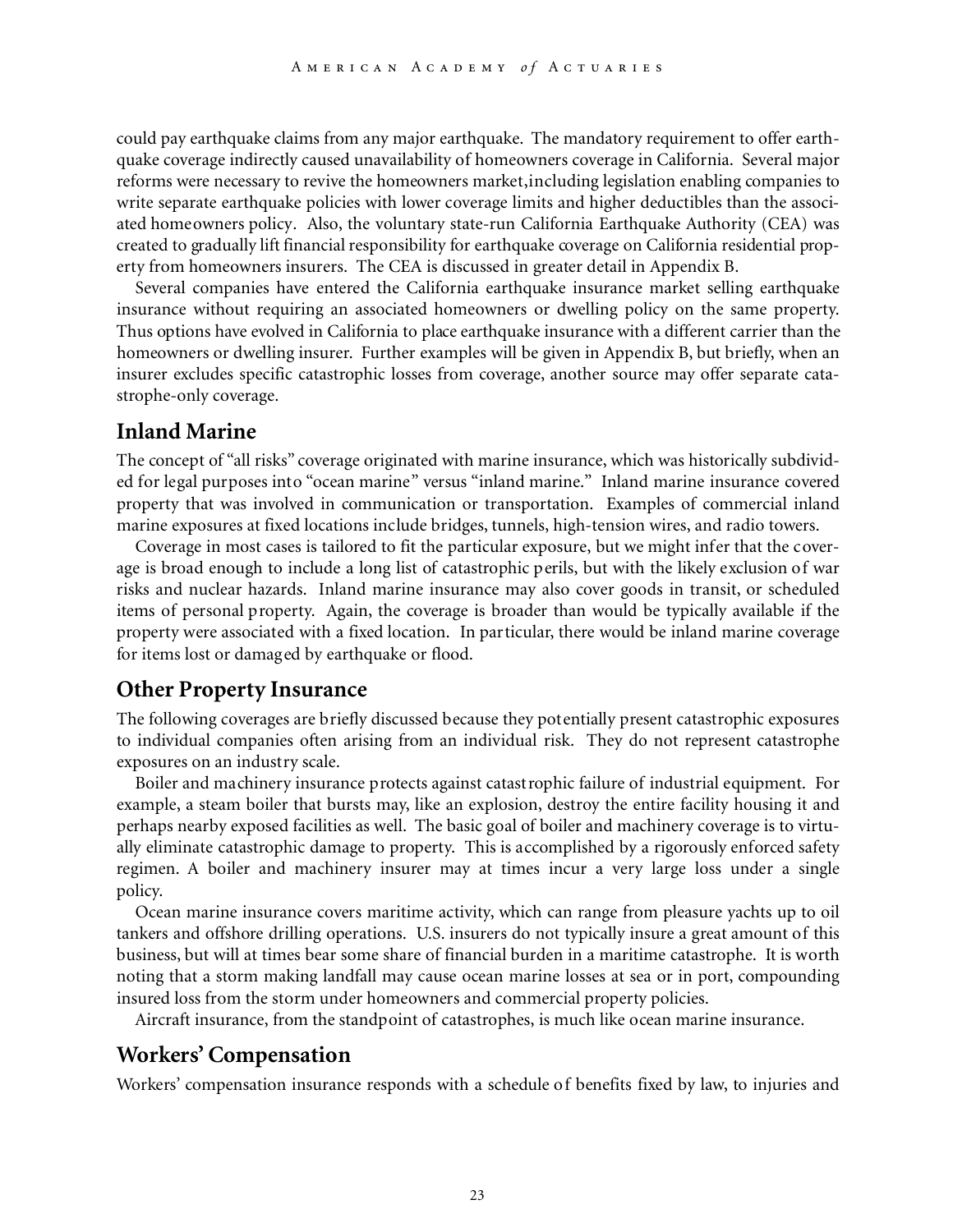could pay earthquake claims from any major earthquake. The mandatory requirement to offer earthquake coverage indirectly caused unavailability of homeowners coverage in California. Several major reforms were necessary to revive the homeowners market,including legislation enabling companies to write separate earthquake policies with lower coverage limits and higher deductibles than the associated homeowners policy. Also, the voluntary state-run California Earthquake Authority (CEA) was created to gradually lift financial responsibility for earthquake coverage on California residential property from homeowners insurers. The CEA is discussed in greater detail in Appendix B.

Several companies have entered the California earthquake insurance market selling earthquake insurance without requiring an associated homeowners or dwelling policy on the same property. Thus options have evolved in California to place earthquake insurance with a different carrier than the homeowners or dwelling insurer. Further examples will be given in Appendix B, but briefly, when an insurer excludes specific catastrophic losses from coverage, another source may offer separate catastrophe-only coverage.

#### **Inland Marine**

The concept of "all risks" coverage originated with marine insurance, which was historically subdivided for legal purposes into "ocean marine" versus "inland marine." Inland marine insurance covered property that was involved in communication or transportation. Examples of commercial inland marine exposures at fixed locations include bridges, tunnels, high-tension wires, and radio towers.

Coverage in most cases is tailored to fit the particular exposure, but we might infer that the coverage is broad enough to include a long list of catastrophic perils, but with the likely exclusion of war risks and nuclear hazards. Inland marine insurance may also cover goods in transit, or scheduled items of personal property. Again, the coverage is broader than would be typically available if the property were associated with a fixed location. In particular, there would be inland marine coverage for items lost or damaged by earthquake or flood.

#### **Other Property Insurance**

The following coverages are briefly discussed because they potentially present catastrophic exposures to individual companies often arising from an individual risk. They do not represent catastrophe exposures on an industry scale.

Boiler and machinery insurance protects against catastrophic failure of industrial equipment. For example, a steam boiler that bursts may, like an explosion, destroy the entire facility housing it and perhaps nearby exposed facilities as well. The basic goal of boiler and machinery coverage is to virtually eliminate catastrophic damage to property. This is accomplished by a rigorously enforced safety regimen. A boiler and machinery insurer may at times incur a very large loss under a single policy.

Ocean marine insurance covers maritime activity, which can range from pleasure yachts up to oil tankers and offshore drilling operations. U.S. insurers do not typically insure a great amount of this business, but will at times bear some share of financial burden in a maritime catastrophe. It is worth noting that a storm making landfall may cause ocean marine losses at sea or in port, compounding insured loss from the storm under homeowners and commercial property policies.

Aircraft insurance, from the standpoint of catastrophes, is much like ocean marine insurance.

### **Workers' Compensation**

Workers' compensation insurance responds with a schedule of benefits fixed by law, to injuries and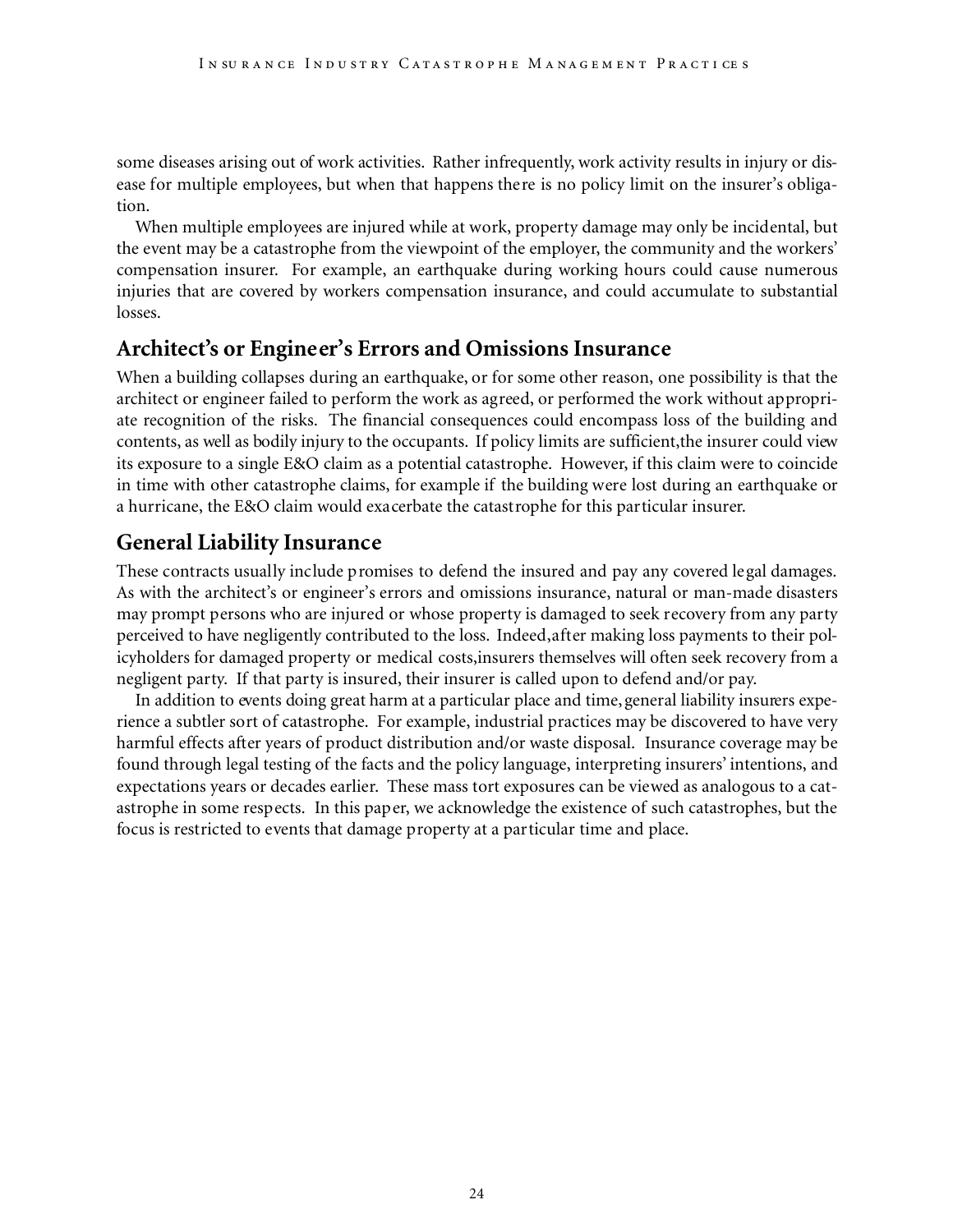some diseases arising out of work activities. Rather infrequently, work activity results in injury or disease for multiple employees, but when that happens there is no policy limit on the insurer's obligation.

When multiple employees are injured while at work, property damage may only be incidental, but the event may be a catastrophe from the viewpoint of the employer, the community and the workers' compensation insurer. For example, an earthquake during working hours could cause numerous injuries that are covered by workers compensation insurance, and could accumulate to substantial losses.

## **Architect's or Engineer's Errors and Omissions Insurance**

When a building collapses during an earthquake, or for some other reason, one possibility is that the architect or engineer failed to perform the work as agreed, or performed the work without appropriate recognition of the risks. The financial consequences could encompass loss of the building and contents, as well as bodily injury to the occupants. If policy limits are sufficient,the insurer could view its exposure to a single E&O claim as a potential catastrophe. However, if this claim were to coincide in time with other catastrophe claims, for example if the building were lost during an earthquake or a hurricane, the E&O claim would exacerbate the catastrophe for this particular insurer.

## **General Liability Insurance**

These contracts usually include promises to defend the insured and pay any covered legal damages. As with the architect's or engineer's errors and omissions insurance, natural or man-made disasters may prompt persons who are injured or whose property is damaged to seek recovery from any party perceived to have negligently contributed to the loss. Indeed,after making loss payments to their policyholders for damaged property or medical costs,insurers themselves will often seek recovery from a negligent party. If that party is insured, their insurer is called upon to defend and/or pay.

In addition to events doing great harm at a particular place and time, general liability insurers experience a subtler sort of catastrophe. For example, industrial practices may be discovered to have very harmful effects after years of product distribution and/or waste disposal. Insurance coverage may be found through legal testing of the facts and the policy language, interpreting insurers' intentions, and expectations years or decades earlier. These mass tort exposures can be viewed as analogous to a catastrophe in some respects. In this paper, we acknowledge the existence of such catastrophes, but the focus is restricted to events that damage property at a particular time and place.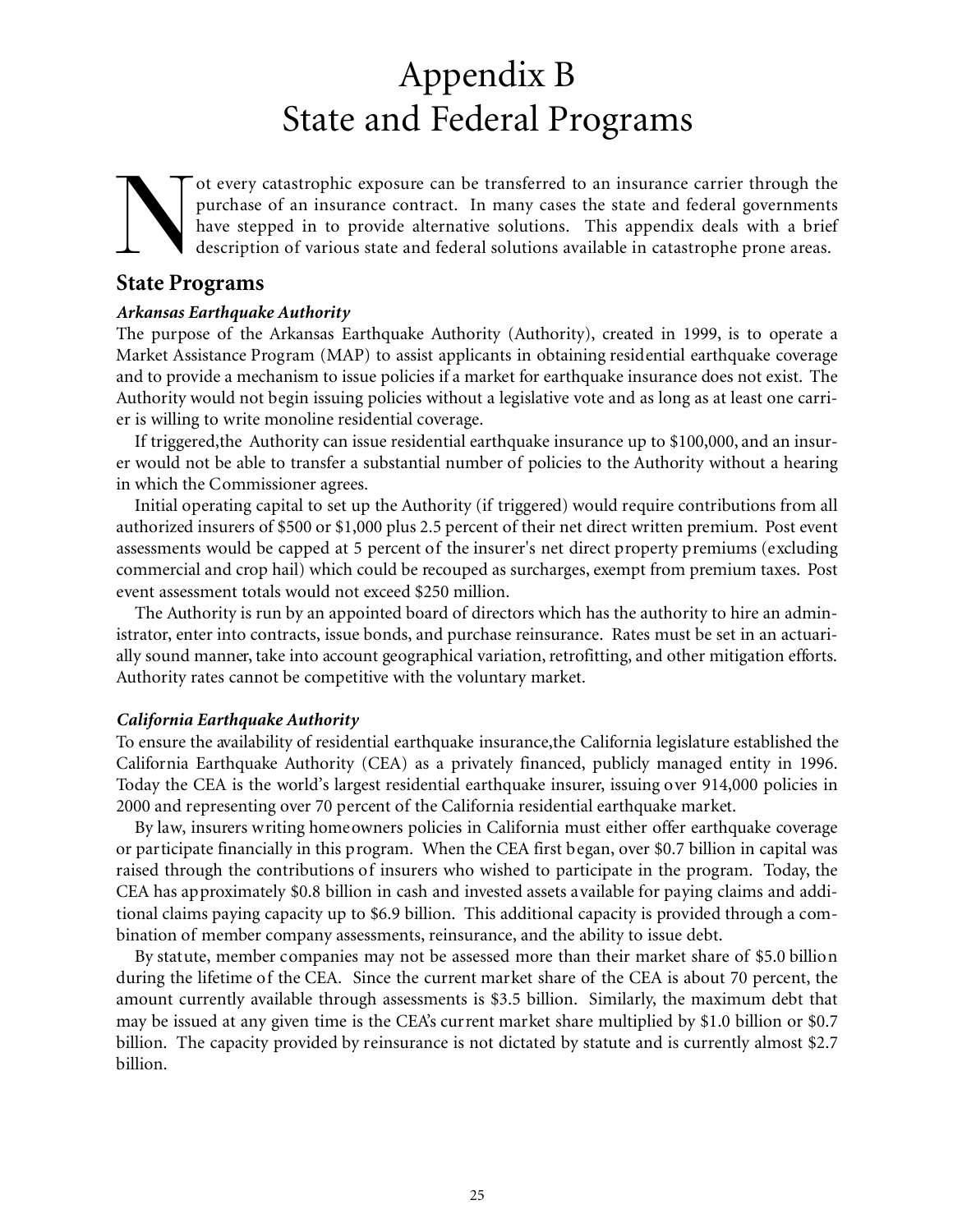## Appendix B State and Federal Programs

 $\sum_{\text{Stats Per}}$ ot every catastrophic exposure can be transferred to an insurance carrier through the purchase of an insurance contract. In many cases the state and federal governments have stepped in to provide alternative solutions. This appendix deals with a brief description of various state and federal solutions available in catastrophe prone areas.

### **State Programs**

#### *Arkansas Earthquake Authority*

The purpose of the Arkansas Earthquake Authority (Authority), created in 1999, is to operate a Market Assistance Program (MAP) to assist applicants in obtaining residential earthquake coverage and to provide a mechanism to issue policies if a market for earthquake insurance does not exist. The Authority would not begin issuing policies without a legislative vote and as long as at least one carrier is willing to write monoline residential coverage.

If triggered,the Authority can issue residential earthquake insurance up to \$100,000, and an insurer would not be able to transfer a substantial number of policies to the Authority without a hearing in which the Commissioner agrees.

Initial operating capital to set up the Authority (if triggered) would require contributions from all authorized insurers of \$500 or \$1,000 plus 2.5 percent of their net direct written premium. Post event assessments would be capped at 5 percent of the insurer's net direct property premiums (excluding commercial and crop hail) which could be recouped as surcharges, exempt from premium taxes. Post event assessment totals would not exceed \$250 million.

The Authority is run by an appointed board of directors which has the authority to hire an administrator, enter into contracts, issue bonds, and purchase reinsurance. Rates must be set in an actuarially sound manner, take into account geographical variation, retrofitting, and other mitigation efforts. Authority rates cannot be competitive with the voluntary market.

#### *California Earthquake Authority*

To ensure the availability of residential earthquake insurance,the California legislature established the California Earthquake Authority (CEA) as a privately financed, publicly managed entity in 1996. Today the CEA is the world's largest residential earthquake insurer, issuing over 914,000 policies in 2000 and representing over 70 percent of the California residential earthquake market.

By law, insurers writing homeowners policies in California must either offer earthquake coverage or participate financially in this program. When the CEA first began, over \$0.7 billion in capital was raised through the contributions of insurers who wished to participate in the program. Today, the CEA has approximately \$0.8 billion in cash and invested assets available for paying claims and additional claims paying capacity up to \$6.9 billion. This additional capacity is provided through a combination of member company assessments, reinsurance, and the ability to issue debt.

By statute, member companies may not be assessed more than their market share of \$5.0 billion during the lifetime of the CEA. Since the current market share of the CEA is about 70 percent, the amount currently available through assessments is \$3.5 billion. Similarly, the maximum debt that may be issued at any given time is the CEA's current market share multiplied by \$1.0 billion or \$0.7 billion. The capacity provided by reinsurance is not dictated by statute and is currently almost \$2.7 billion.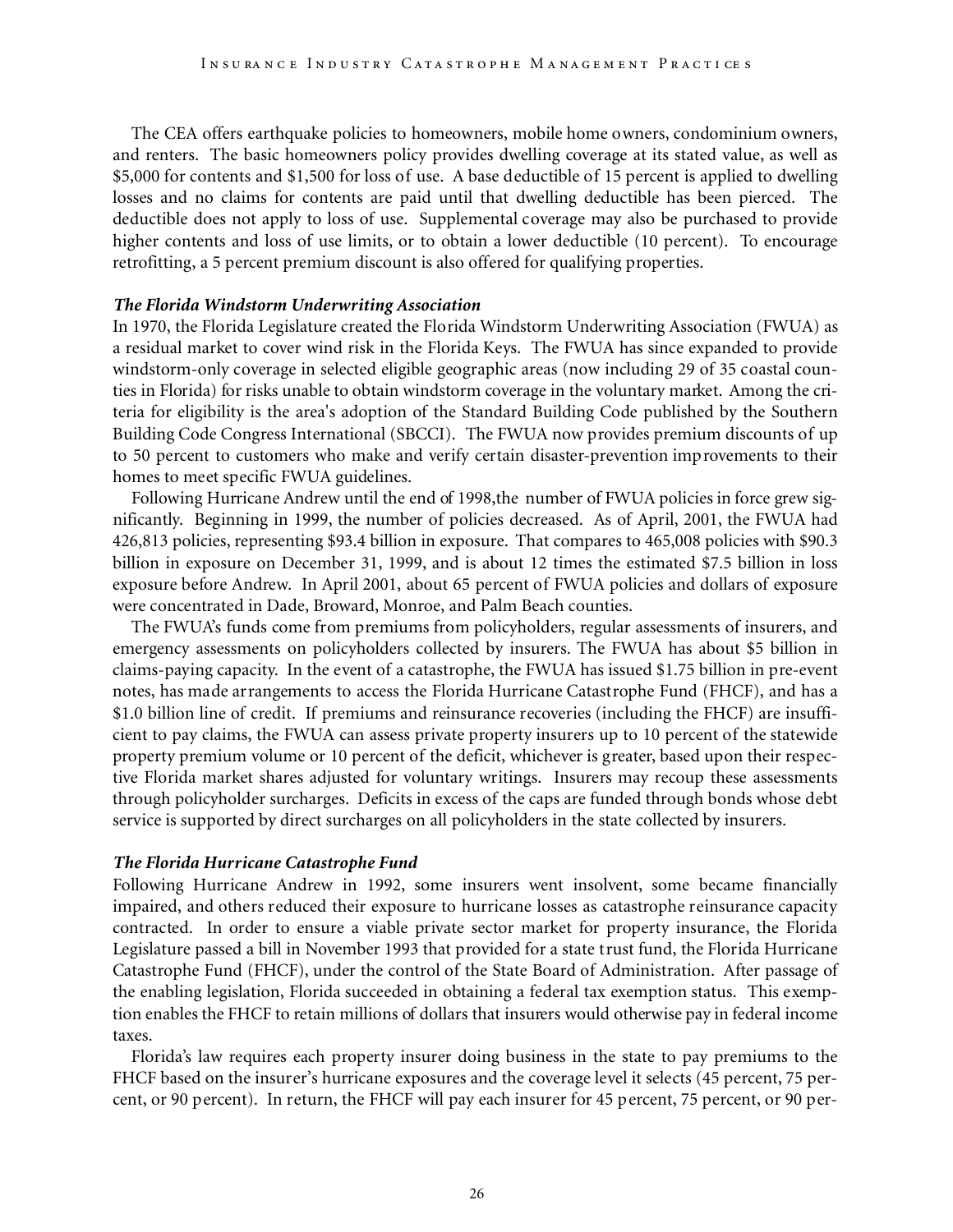The CEA offers earthquake policies to homeowners, mobile home owners, condominium owners, and renters. The basic homeowners policy provides dwelling coverage at its stated value, as well as \$5,000 for contents and \$1,500 for loss of use. A base deductible of 15 percent is applied to dwelling losses and no claims for contents are paid until that dwelling deductible has been pierced. The deductible does not apply to loss of use. Supplemental coverage may also be purchased to provide higher contents and loss of use limits, or to obtain a lower deductible (10 percent). To encourage retrofitting, a 5 percent premium discount is also offered for qualifying properties.

#### *The Florida Windstorm Underwriting Association*

In 1970, the Florida Legislature created the Florida Windstorm Underwriting Association (FWUA) as a residual market to cover wind risk in the Florida Keys. The FWUA has since expanded to provide windstorm-only coverage in selected eligible geographic areas (now including 29 of 35 coastal counties in Florida) for risks unable to obtain windstorm coverage in the voluntary market. Among the criteria for eligibility is the area's adoption of the Standard Building Code published by the Southern Building Code Congress International (SBCCI). The FWUA now provides premium discounts of up to 50 percent to customers who make and verify certain disaster-prevention improvements to their homes to meet specific FWUA guidelines.

Following Hurricane Andrew until the end of 1998,the number of FWUA policies in force grew significantly. Beginning in 1999, the number of policies decreased. As of April, 2001, the FWUA had 426,813 policies, representing \$93.4 billion in exposure. That compares to 465,008 policies with \$90.3 billion in exposure on December 31, 1999, and is about 12 times the estimated \$7.5 billion in loss exposure before Andrew. In April 2001, about 65 percent of FWUA policies and dollars of exposure were concentrated in Dade, Broward, Monroe, and Palm Beach counties.

The FWUA's funds come from premiums from policyholders, regular assessments of insurers, and emergency assessments on policyholders collected by insurers. The FWUA has about \$5 billion in claims-paying capacity. In the event of a catastrophe, the FWUA has issued \$1.75 billion in pre-event notes, has made arrangements to access the Florida Hurricane Catastrophe Fund (FHCF), and has a \$1.0 billion line of credit. If premiums and reinsurance recoveries (including the FHCF) are insufficient to pay claims, the FWUA can assess private property insurers up to 10 percent of the statewide property premium volume or 10 percent of the deficit, whichever is greater, based upon their respective Florida market shares adjusted for voluntary writings. Insurers may recoup these assessments through policyholder surcharges. Deficits in excess of the caps are funded through bonds whose debt service is supported by direct surcharges on all policyholders in the state collected by insurers.

#### *The Florida Hurricane Catastrophe Fund*

Following Hurricane Andrew in 1992, some insurers went insolvent, some became financially impaired, and others reduced their exposure to hurricane losses as catastrophe reinsurance capacity contracted. In order to ensure a viable private sector market for property insurance, the Florida Legislature passed a bill in November 1993 that provided for a state trust fund, the Florida Hurricane Catastrophe Fund (FHCF), under the control of the State Board of Administration. After passage of the enabling legislation, Florida succeeded in obtaining a federal tax exemption status. This exemption enables the FHCF to retain millions of dollars that insurers would otherwise pay in federal income taxes.

Florida's law requires each property insurer doing business in the state to pay premiums to the FHCF based on the insurer's hurricane exposures and the coverage level it selects (45 percent, 75 percent, or 90 percent). In return, the FHCF will pay each insurer for 45 percent, 75 percent, or 90 per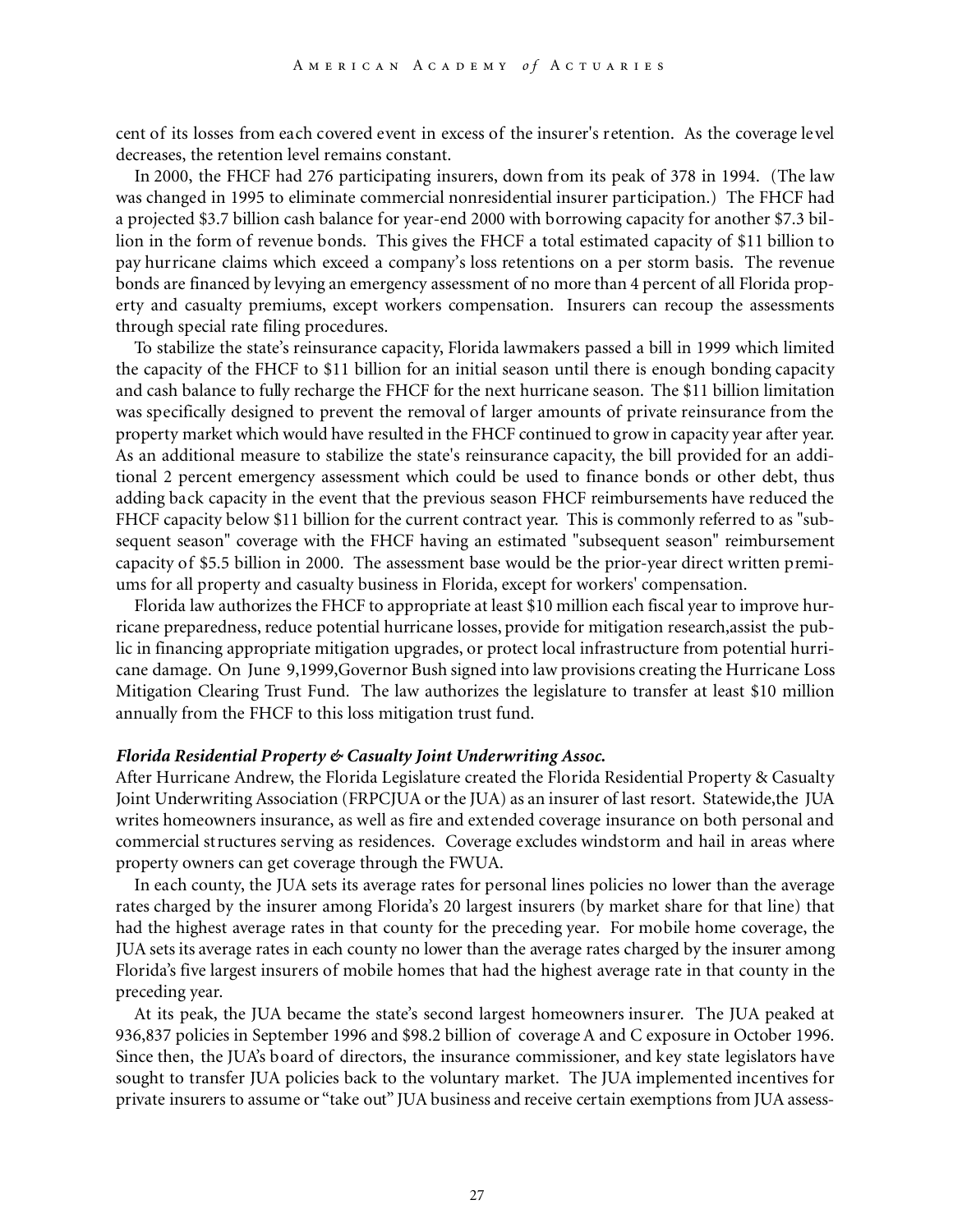cent of its losses from each covered event in excess of the insurer's retention. As the coverage level decreases, the retention level remains constant.

In 2000, the FHCF had 276 participating insurers, down from its peak of 378 in 1994. (The law was changed in 1995 to eliminate commercial nonresidential insurer participation.) The FHCF had a projected \$3.7 billion cash balance for year-end 2000 with borrowing capacity for another \$7.3 billion in the form of revenue bonds. This gives the FHCF a total estimated capacity of \$11 billion to pay hurricane claims which exceed a company's loss retentions on a per storm basis. The revenue bonds are financed by levying an emergency assessment of no more than 4 percent of all Florida property and casualty premiums, except workers compensation. Insurers can recoup the assessments through special rate filing procedures.

To stabilize the state's reinsurance capacity, Florida lawmakers passed a bill in 1999 which limited the capacity of the FHCF to \$11 billion for an initial season until there is enough bonding capacity and cash balance to fully recharge the FHCF for the next hurricane season. The \$11 billion limitation was specifically designed to prevent the removal of larger amounts of private reinsurance from the property market which would have resulted in the FHCF continued to grow in capacity year after year. As an additional measure to stabilize the state's reinsurance capacity, the bill provided for an additional 2 percent emergency assessment which could be used to finance bonds or other debt, thus adding back capacity in the event that the previous season FHCF reimbursements have reduced the FHCF capacity below \$11 billion for the current contract year. This is commonly referred to as "subsequent season" coverage with the FHCF having an estimated "subsequent season" reimbursement capacity of \$5.5 billion in 2000. The assessment base would be the prior-year direct written premiums for all property and casualty business in Florida, except for workers' compensation.

Florida law authorizes the FHCF to appropriate at least \$10 million each fiscal year to improve hurricane preparedness, reduce potential hurricane losses, provide for mitigation research,assist the public in financing appropriate mitigation upgrades, or protect local infrastructure from potential hurricane damage. On June 9,1999,Governor Bush signed into law provisions creating the Hurricane Loss Mitigation Clearing Trust Fund. The law authorizes the legislature to transfer at least \$10 million annually from the FHCF to this loss mitigation trust fund.

#### *Florida Residential Property & Casualty Joint Underwriting Assoc.*

After Hurricane Andrew, the Florida Legislature created the Florida Residential Property & Casualty Joint Underwriting Association (FRPCJUA or the JUA) as an insurer of last resort. Statewide,the JUA writes homeowners insurance, as well as fire and extended coverage insurance on both personal and commercial structures serving as residences. Coverage excludes windstorm and hail in areas where property owners can get coverage through the FWUA.

In each county, the JUA sets its average rates for personal lines policies no lower than the average rates charged by the insurer among Florida's 20 largest insurers (by market share for that line) that had the highest average rates in that county for the preceding year. For mobile home coverage, the JUA sets its average rates in each county no lower than the average rates charged by the insurer among Florida's five largest insurers of mobile homes that had the highest average rate in that county in the preceding year.

At its peak, the JUA became the state's second largest homeowners insurer. The JUA peaked at 936,837 policies in September 1996 and \$98.2 billion of coverage A and C exposure in October 1996. Since then, the JUA's board of directors, the insurance commissioner, and key state legislators have sought to transfer JUA policies back to the voluntary market. The JUA implemented incentives for private insurers to assume or "take out" JUA business and receive certain exemptions from JUA assess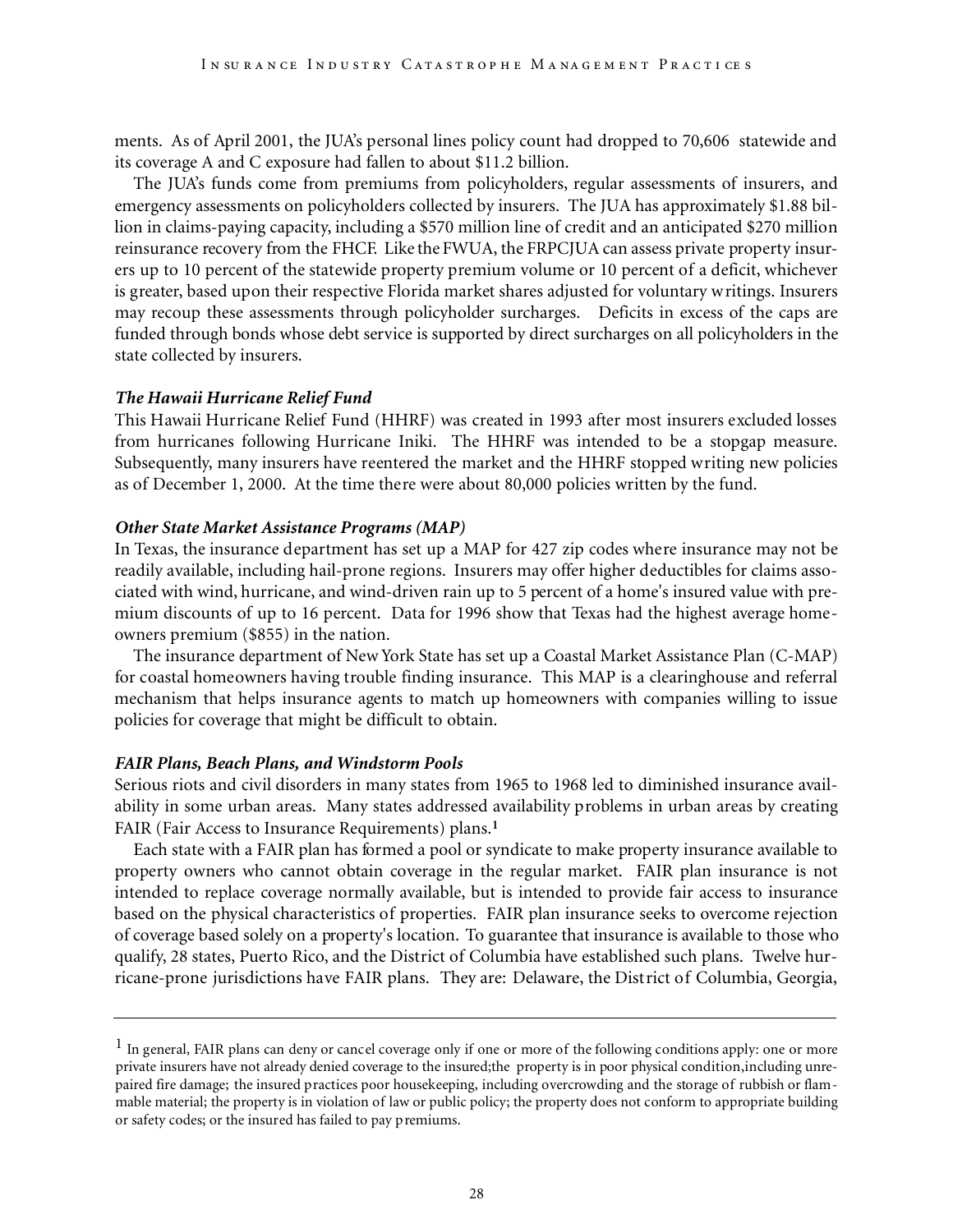ments. As of April 2001, the JUA's personal lines policy count had dropped to 70,606 statewide and its coverage A and C exposure had fallen to about \$11.2 billion.

The JUA's funds come from premiums from policyholders, regular assessments of insurers, and emergency assessments on policyholders collected by insurers. The JUA has approximately \$1.88 billion in claims-paying capacity, including a \$570 million line of credit and an anticipated \$270 million reinsurance recovery from the FHCF. Like the FWUA, the FRPCJUA can assess private property insurers up to 10 percent of the statewide property premium volume or 10 percent of a deficit, whichever is greater, based upon their respective Florida market shares adjusted for voluntary writings. Insurers may recoup these assessments through policyholder surcharges. Deficits in excess of the caps are funded through bonds whose debt service is supported by direct surcharges on all policyholders in the state collected by insurers.

#### *The Hawaii Hurricane Relief Fund*

This Hawaii Hurricane Relief Fund (HHRF) was created in 1993 after most insurers excluded losses from hurricanes following Hurricane Iniki. The HHRF was intended to be a stopgap measure. Subsequently, many insurers have reentered the market and the HHRF stopped writing new policies as of December 1, 2000. At the time there were about 80,000 policies written by the fund.

#### *Other State Market Assistance Programs (MAP)*

In Texas, the insurance department has set up a MAP for 427 zip codes where insurance may not be readily available, including hail-prone regions. Insurers may offer higher deductibles for claims associated with wind, hurricane, and wind-driven rain up to 5 percent of a home's insured value with premium discounts of up to 16 percent. Data for 1996 show that Texas had the highest average homeowners premium (\$855) in the nation.

The insurance department of New York State has set up a Coastal Market Assistance Plan (C-MAP) for coastal homeowners having trouble finding insurance. This MAP is a clearinghouse and referral mechanism that helps insurance agents to match up homeowners with companies willing to issue policies for coverage that might be difficult to obtain.

#### *FAIR Plans, Beach Plans, and Windstorm Pools*

Serious riots and civil disorders in many states from 1965 to 1968 led to diminished insurance availability in some urban areas. Many states addressed availability problems in urban areas by creating FAIR (Fair Access to Insurance Requirements) plans.**<sup>1</sup>**

Each state with a FAIR plan has formed a pool or syndicate to make property insurance available to property owners who cannot obtain coverage in the regular market. FAIR plan insurance is not intended to replace coverage normally available, but is intended to provide fair access to insurance based on the physical characteristics of properties. FAIR plan insurance seeks to overcome rejection of coverage based solely on a property's location. To guarantee that insurance is available to those who qualify, 28 states, Puerto Rico, and the District of Columbia have established such plans. Twelve hurricane-prone jurisdictions have FAIR plans. They are: Delaware, the District of Columbia, Georgia,

 $<sup>1</sup>$  In general, FAIR plans can deny or cancel coverage only if one or more of the following conditions apply: one or more</sup> private insurers have not already denied coverage to the insured;the property is in poor physical condition,including unrepaired fire damage; the insured practices poor housekeeping, including overcrowding and the storage of rubbish or flammable material; the property is in violation of law or public policy; the property does not conform to appropriate building or safety codes; or the insured has failed to pay premiums.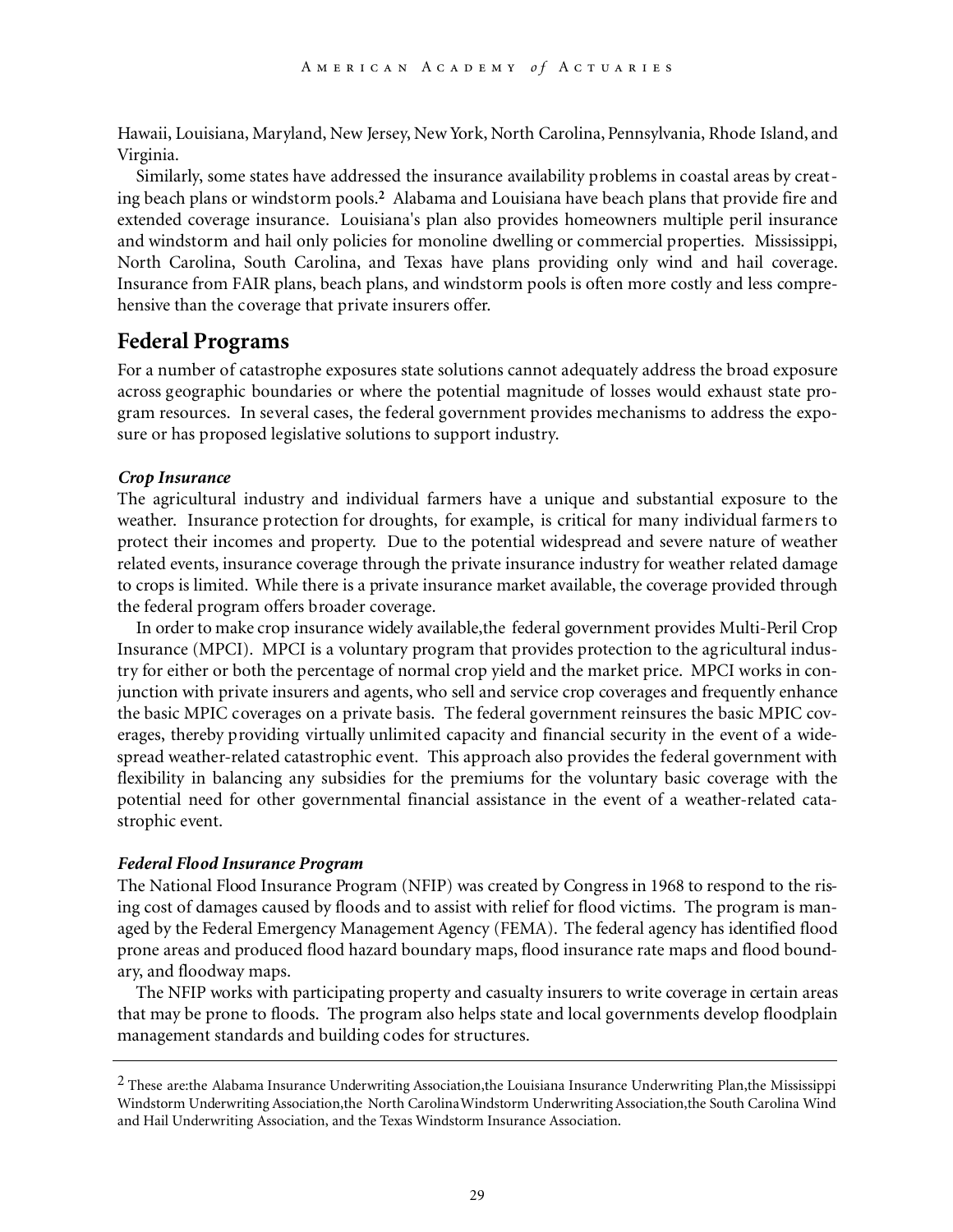Hawaii, Louisiana, Maryland, New Jersey, New York, North Carolina, Pennsylvania, Rhode Island, and Virginia.

Similarly, some states have addressed the insurance availability problems in coastal areas by creating beach plans or windstorm pools.**<sup>2</sup>** Alabama and Louisiana have beach plans that provide fire and extended coverage insurance. Louisiana's plan also provides homeowners multiple peril insurance and windstorm and hail only policies for monoline dwelling or commercial properties. Mississippi, North Carolina, South Carolina, and Texas have plans providing only wind and hail coverage. Insurance from FAIR plans, beach plans, and windstorm pools is often more costly and less comprehensive than the coverage that private insurers offer.

### **Federal Programs**

For a number of catastrophe exposures state solutions cannot adequately address the broad exposure across geographic boundaries or where the potential magnitude of losses would exhaust state program resources. In several cases, the federal government provides mechanisms to address the exposure or has proposed legislative solutions to support industry.

#### *Crop Insurance*

The agricultural industry and individual farmers have a unique and substantial exposure to the weather. Insurance protection for droughts, for example, is critical for many individual farmers to protect their incomes and property. Due to the potential widespread and severe nature of weather related events, insurance coverage through the private insurance industry for weather related damage to crops is limited. While there is a private insurance market available, the coverage provided through the federal program offers broader coverage.

In order to make crop insurance widely available,the federal government provides Multi-Peril Crop Insurance (MPCI). MPCI is a voluntary program that provides protection to the agricultural industry for either or both the percentage of normal crop yield and the market price. MPCI works in conjunction with private insurers and agents, who sell and service crop coverages and frequently enhance the basic MPIC coverages on a private basis. The federal government reinsures the basic MPIC coverages, thereby providing virtually unlimited capacity and financial security in the event of a widespread weather-related catastrophic event. This approach also provides the federal government with flexibility in balancing any subsidies for the premiums for the voluntary basic coverage with the potential need for other governmental financial assistance in the event of a weather-related catastrophic event.

#### *Federal Flood Insurance Program*

The National Flood Insurance Program (NFIP) was created by Congress in 1968 to respond to the rising cost of damages caused by floods and to assist with relief for flood victims. The program is managed by the Federal Emergency Management Agency (FEMA). The federal agency has identified flood prone areas and produced flood hazard boundary maps, flood insurance rate maps and flood boundary, and floodway maps.

The NFIP works with participating property and casualty insurers to write coverage in certain areas that may be prone to floods. The program also helps state and local governments develop floodplain management standards and building codes for structures.

<sup>2</sup> These are:the Alabama Insurance Underwriting Association,the Louisiana Insurance Underwriting Plan,the Mississippi Windstorm Underwriting Association,the North Carolina Windstorm Underwriting Association,the South Carolina Wind and Hail Underwriting Association, and the Texas Windstorm Insurance Association.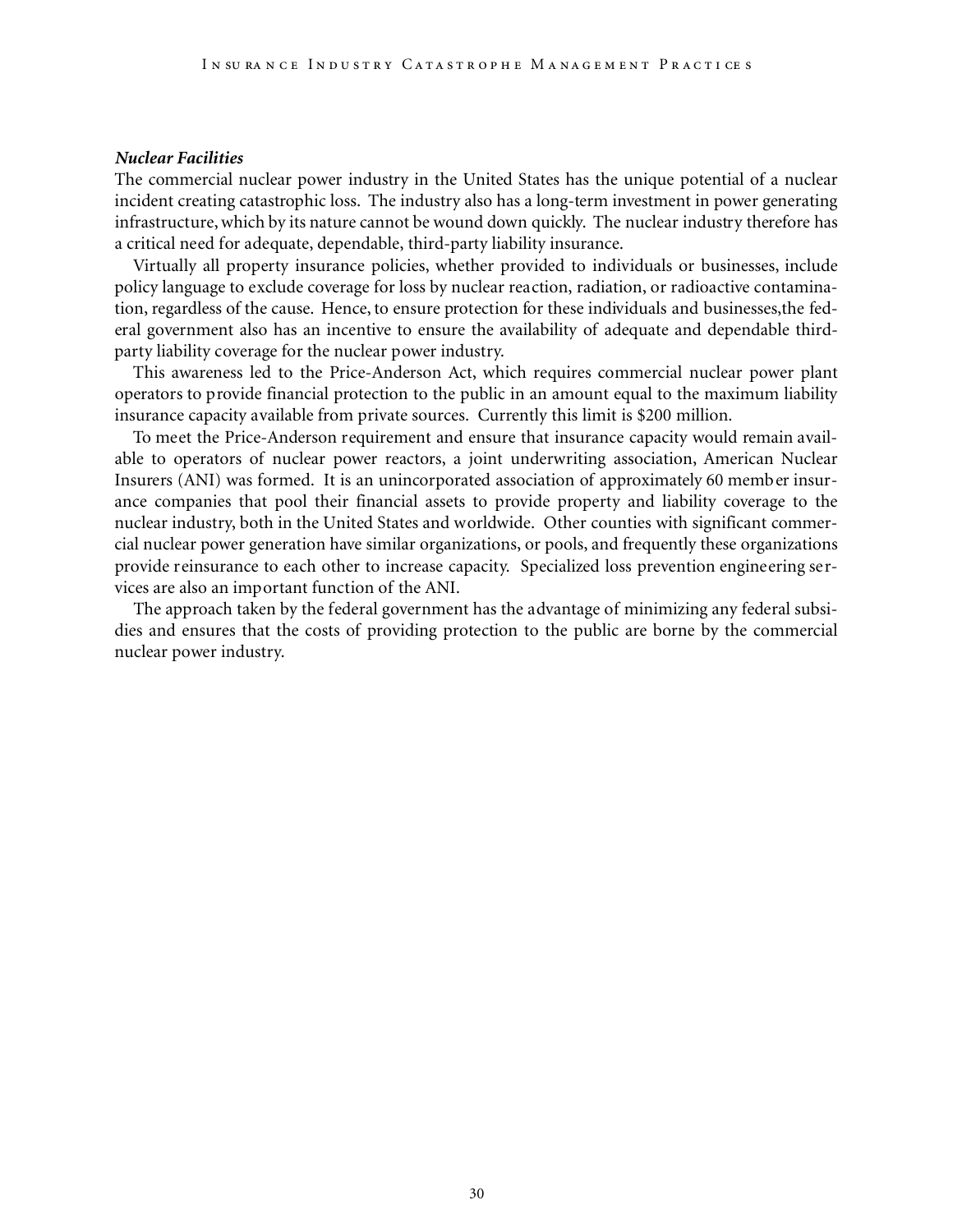#### *Nuclear Facilities*

The commercial nuclear power industry in the United States has the unique potential of a nuclear incident creating catastrophic loss. The industry also has a long-term investment in power generating infrastructure,which by its nature cannot be wound down quickly. The nuclear industry therefore has a critical need for adequate, dependable, third-party liability insurance.

Virtually all property insurance policies, whether provided to individuals or businesses, include policy language to exclude coverage for loss by nuclear reaction, radiation, or radioactive contamination, regardless of the cause. Hence, to ensure protection for these individuals and businesses, the federal government also has an incentive to ensure the availability of adequate and dependable thirdparty liability coverage for the nuclear power industry.

This awareness led to the Price-Anderson Act, which requires commercial nuclear power plant operators to provide financial protection to the public in an amount equal to the maximum liability insurance capacity available from private sources. Currently this limit is \$200 million.

To meet the Price-Anderson requirement and ensure that insurance capacity would remain available to operators of nuclear power reactors, a joint underwriting association, American Nuclear Insurers (ANI) was formed. It is an unincorporated association of approximately 60 member insurance companies that pool their financial assets to provide property and liability coverage to the nuclear industry, both in the United States and worldwide. Other counties with significant commercial nuclear power generation have similar organizations, or pools, and frequently these organizations provide reinsurance to each other to increase capacity. Specialized loss prevention engineering services are also an important function of the ANI.

The approach taken by the federal government has the advantage of minimizing any federal subsidies and ensures that the costs of providing protection to the public are borne by the commercial nuclear power industry.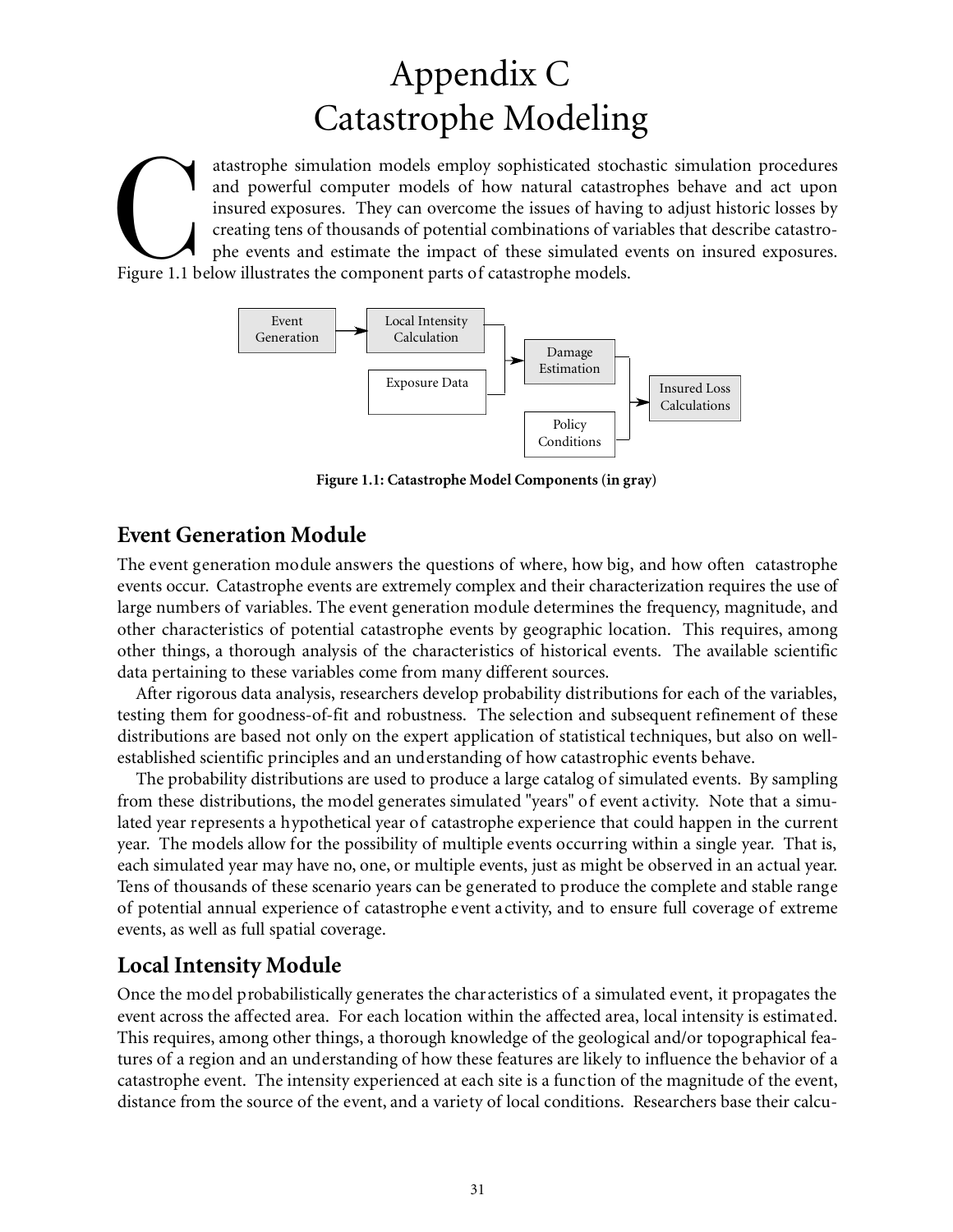## Appendix C Catastrophe Modeling

atastrophe simulation models employ sophisticated stock and powerful computer models of how natural catastre insured exposures. They can overcome the issues of havir creating tens of thousands of potential combinations of atastrophe simulation models employ sophisticated stochastic simulation procedures and powerful computer models of how natural catastrophes behave and act upon insured exposures. They can overcome the issues of having to adjust historic losses by creating tens of thousands of potential combinations of variables that describe catastrophe events and estimate the impact of these simulated events on insured exposures.



**Figure 1.1: Catastrophe Model Components (in gray)**

### **Event Generation Module**

The event generation module answers the questions of where, how big, and how often catastrophe events occur. Catastrophe events are extremely complex and their characterization requires the use of large numbers of variables. The event generation module determines the frequency, magnitude, and other characteristics of potential catastrophe events by geographic location. This requires, among other things, a thorough analysis of the characteristics of historical events. The available scientific data pertaining to these variables come from many different sources.

After rigorous data analysis, researchers develop probability distributions for each of the variables, testing them for goodness-of-fit and robustness. The selection and subsequent refinement of these distributions are based not only on the expert application of statistical techniques, but also on wellestablished scientific principles and an understanding of how catastrophic events behave.

The probability distributions are used to produce a large catalog of simulated events. By sampling from these distributions, the model generates simulated "years" of event activity. Note that a simulated year represents a hypothetical year of catastrophe experience that could happen in the current year. The models allow for the possibility of multiple events occurring within a single year. That is, each simulated year may have no, one, or multiple events, just as might be observed in an actual year. Tens of thousands of these scenario years can be generated to produce the complete and stable range of potential annual experience of catastrophe event activity, and to ensure full coverage of extreme events, as well as full spatial coverage.

## **Local Intensity Module**

Once the model probabilistically generates the characteristics of a simulated event, it propagates the event across the affected area. For each location within the affected area, local intensity is estimated. This requires, among other things, a thorough knowledge of the geological and/or topographical features of a region and an understanding of how these features are likely to influence the behavior of a catastrophe event. The intensity experienced at each site is a function of the magnitude of the event, distance from the source of the event, and a variety of local conditions. Researchers base their calcu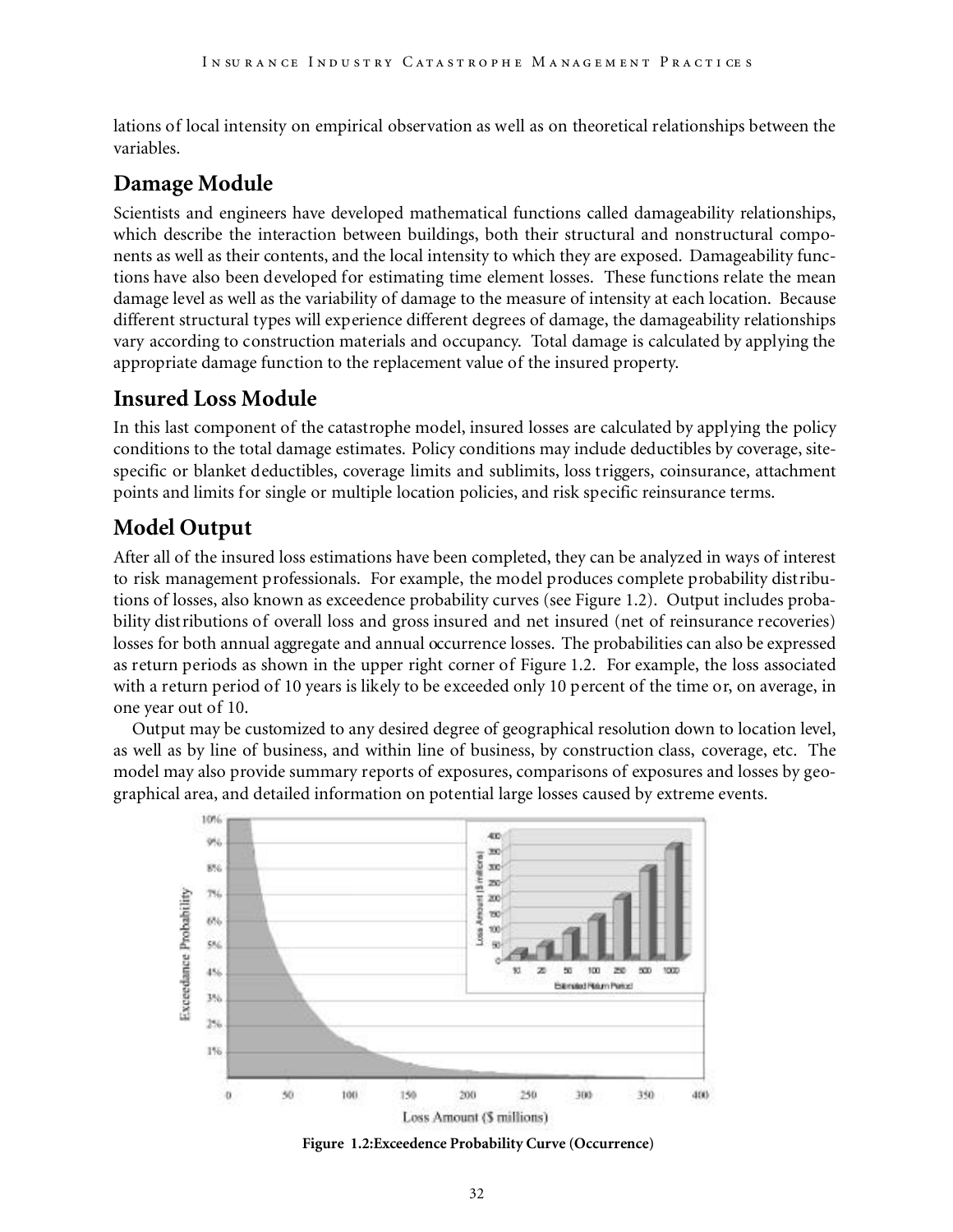lations of local intensity on empirical observation as well as on theoretical relationships between the variables.

## **Damage Module**

Scientists and engineers have developed mathematical functions called damageability relationships, which describe the interaction between buildings, both their structural and nonstructural components as well as their contents, and the local intensity to which they are exposed. Damageability functions have also been developed for estimating time element losses. These functions relate the mean damage level as well as the variability of damage to the measure of intensity at each location. Because different structural types will experience different degrees of damage, the damageability relationships vary according to construction materials and occupancy. Total damage is calculated by applying the appropriate damage function to the replacement value of the insured property.

## **Insured Loss Module**

In this last component of the catastrophe model, insured losses are calculated by applying the policy conditions to the total damage estimates. Policy conditions may include deductibles by coverage, sitespecific or blanket deductibles, coverage limits and sublimits, loss triggers, coinsurance, attachment points and limits for single or multiple location policies, and risk specific reinsurance terms.

## **Model Output**

After all of the insured loss estimations have been completed, they can be analyzed in ways of interest to risk management professionals. For example, the model produces complete probability distributions of losses, also known as exceedence probability curves (see Figure 1.2). Output includes probability distributions of overall loss and gross insured and net insured (net of reinsurance recoveries) losses for both annual aggregate and annual occurrence losses. The probabilities can also be expressed as return periods as shown in the upper right corner of Figure 1.2. For example, the loss associated with a return period of 10 years is likely to be exceeded only 10 percent of the time or, on average, in one year out of 10.

Output may be customized to any desired degree of geographical resolution down to location level, as well as by line of business, and within line of business, by construction class, coverage, etc. The model may also provide summary reports of exposures, comparisons of exposures and losses by geographical area, and detailed information on potential large losses caused by extreme events.



**Figure 1.2:Exceedence Probability Curve (Occurrence)**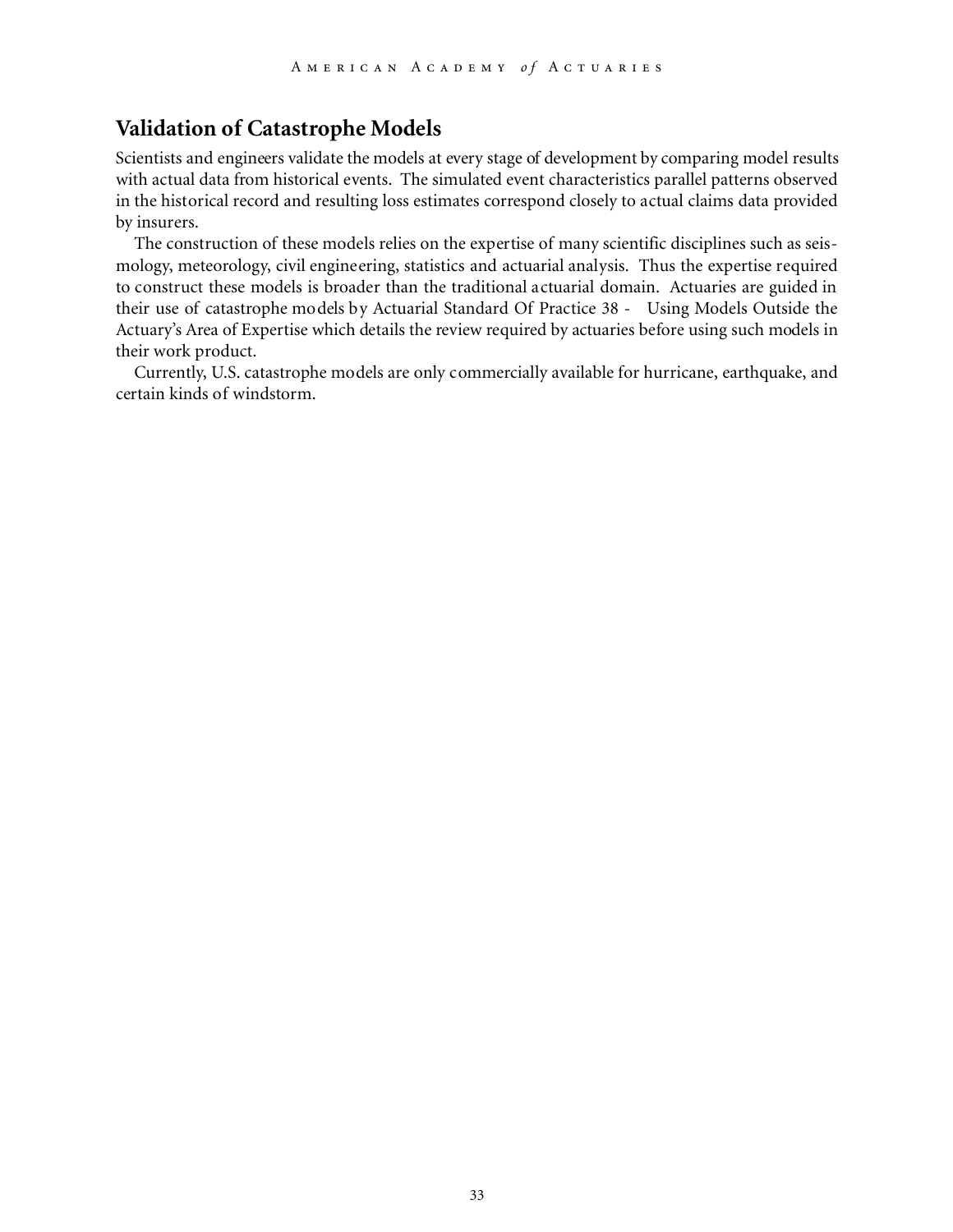### **Validation of Catastrophe Models**

Scientists and engineers validate the models at every stage of development by comparing model results with actual data from historical events. The simulated event characteristics parallel patterns observed in the historical record and resulting loss estimates correspond closely to actual claims data provided by insurers.

The construction of these models relies on the expertise of many scientific disciplines such as seismology, meteorology, civil engineering, statistics and actuarial analysis. Thus the expertise required to construct these models is broader than the traditional actuarial domain. Actuaries are guided in their use of catastrophe models by Actuarial Standard Of Practice 38 - Using Models Outside the Actuary's Area of Expertise which details the review required by actuaries before using such models in their work product.

Currently, U.S. catastrophe models are only commercially available for hurricane, earthquake, and certain kinds of windstorm.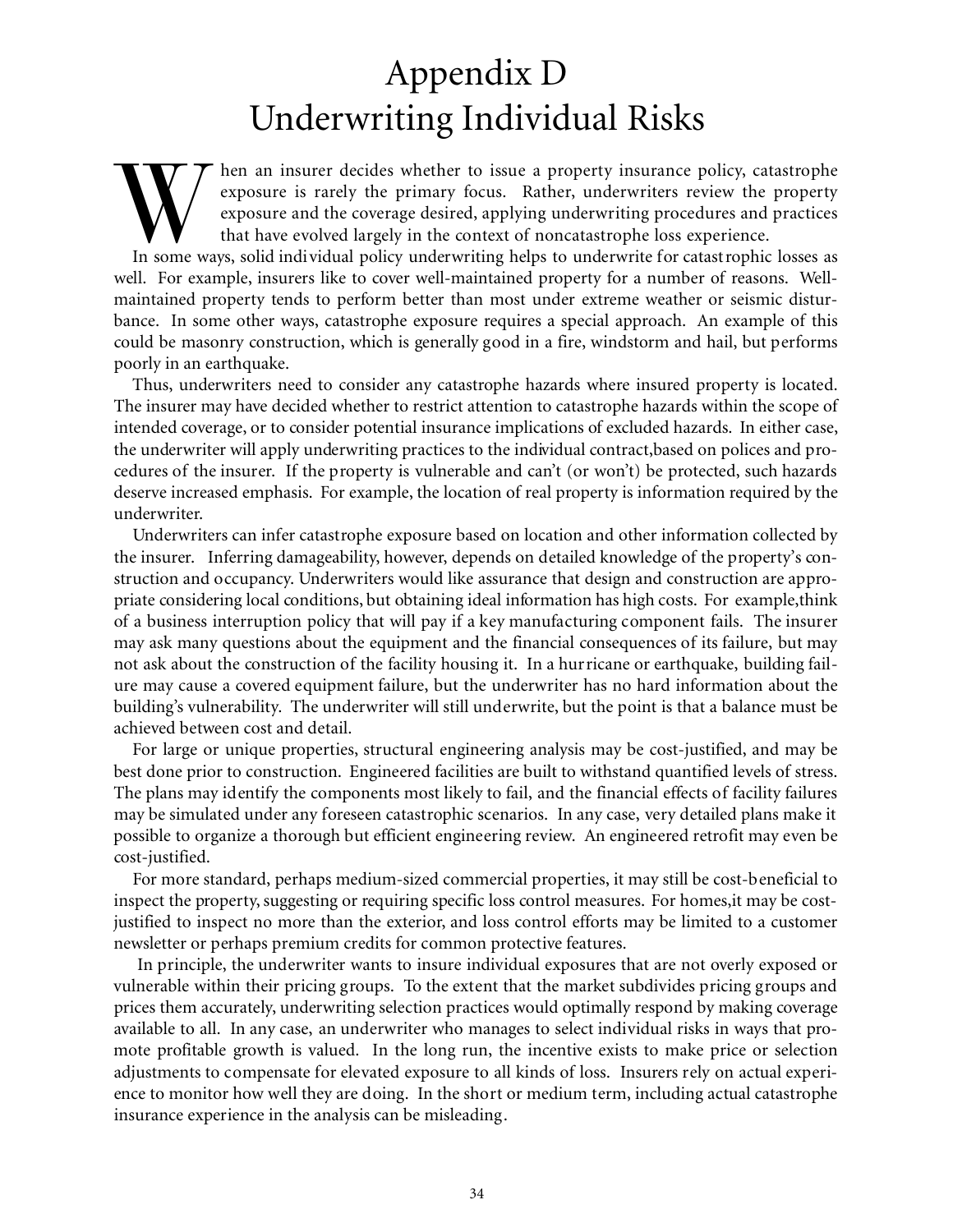## Appendix D Underwriting Individual Risks

Warren insurer decides whether to issue a property insurance policy, catastrophe exposure is rarely the primary focus. Rather, underwriters review the property exposure and the coverage desired, applying underwriting proce hen an insurer decides whether to issue a property insurance policy, catastrophe exposure is rarely the primary focus. Rather, underwriters review the property exposure and the coverage desired, applying underwriting procedures and practices that have evolved largely in the context of noncatastrophe loss experience.

well. For example, insurers like to cover well-maintained property for a number of reasons. Wellmaintained property tends to perform better than most under extreme weather or seismic disturbance. In some other ways, catastrophe exposure requires a special approach. An example of this could be masonry construction, which is generally good in a fire, windstorm and hail, but performs poorly in an earthquake.

Thus, underwriters need to consider any catastrophe hazards where insured property is located. The insurer may have decided whether to restrict attention to catastrophe hazards within the scope of intended coverage, or to consider potential insurance implications of excluded hazards. In either case, the underwriter will apply underwriting practices to the individual contract,based on polices and procedures of the insurer. If the property is vulnerable and can't (or won't) be protected, such hazards deserve increased emphasis. For example, the location of real property is information required by the underwriter.

Underwriters can infer catastrophe exposure based on location and other information collected by the insurer. Inferring damageability, however, depends on detailed knowledge of the property's construction and occupancy. Underwriters would like assurance that design and construction are appropriate considering local conditions, but obtaining ideal information has high costs. For example,think of a business interruption policy that will pay if a key manufacturing component fails. The insurer may ask many questions about the equipment and the financial consequences of its failure, but may not ask about the construction of the facility housing it. In a hurricane or earthquake, building failure may cause a covered equipment failure, but the underwriter has no hard information about the building's vulnerability. The underwriter will still underwrite, but the point is that a balance must be achieved between cost and detail.

For large or unique properties, structural engineering analysis may be cost-justified, and may be best done prior to construction. Engineered facilities are built to withstand quantified levels of stress. The plans may identify the components most likely to fail, and the financial effects of facility failures may be simulated under any foreseen catastrophic scenarios. In any case, very detailed plans make it possible to organize a thorough but efficient engineering review. An engineered retrofit may even be cost-justified.

For more standard, perhaps medium-sized commercial properties, it may still be cost-beneficial to inspect the property, suggesting or requiring specific loss control measures. For homes,it may be costjustified to inspect no more than the exterior, and loss control efforts may be limited to a customer newsletter or perhaps premium credits for common protective features.

In principle, the underwriter wants to insure individual exposures that are not overly exposed or vulnerable within their pricing groups. To the extent that the market subdivides pricing groups and prices them accurately, underwriting selection practices would optimally respond by making coverage available to all. In any case, an underwriter who manages to select individual risks in ways that promote profitable growth is valued. In the long run, the incentive exists to make price or selection adjustments to compensate for elevated exposure to all kinds of loss. Insurers rely on actual experience to monitor how well they are doing. In the short or medium term, including actual catastrophe insurance experience in the analysis can be misleading.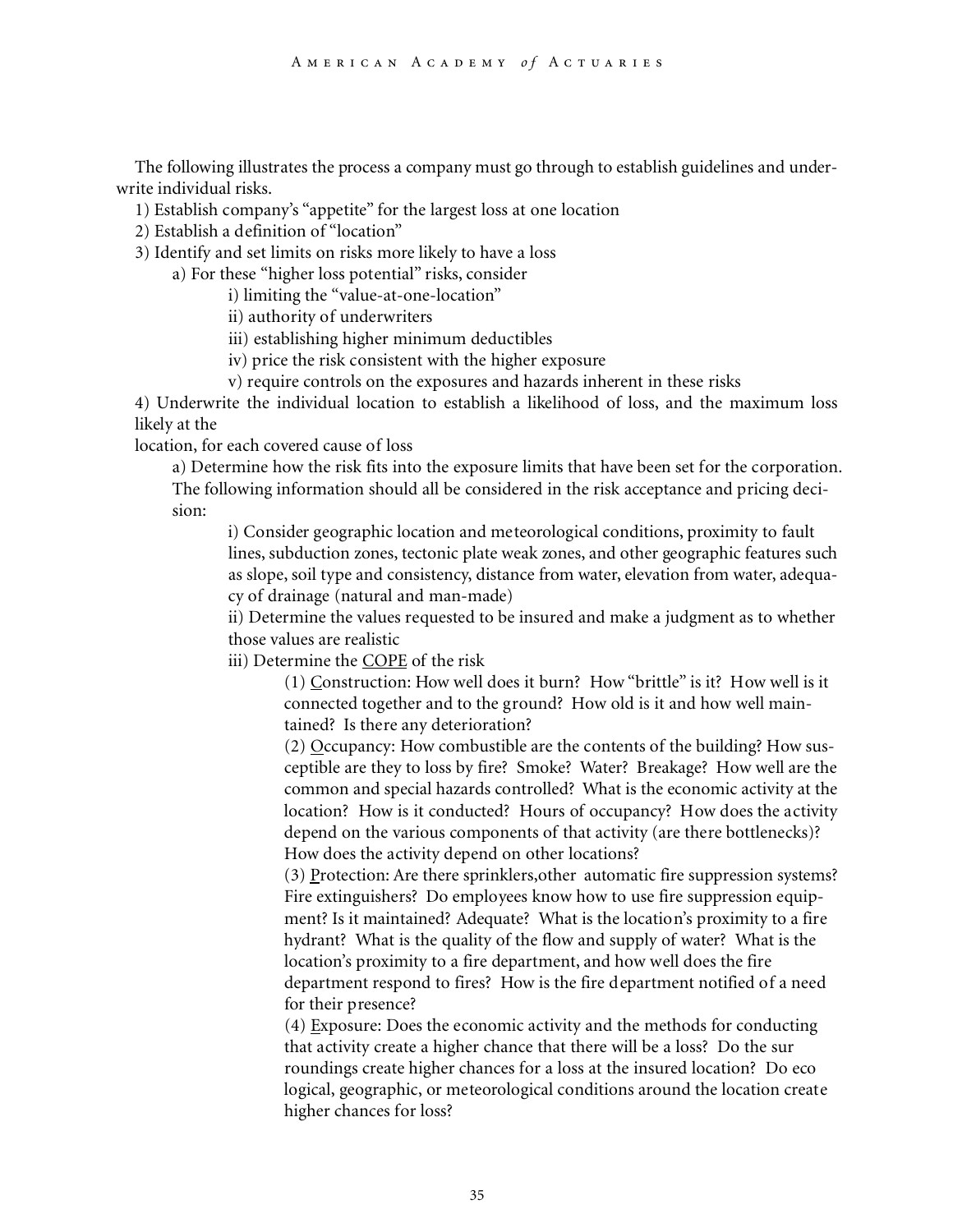The following illustrates the process a company must go through to establish guidelines and underwrite individual risks.

1) Establish company's "appetite" for the largest loss at one location

2) Establish a definition of "location"

3) Identify and set limits on risks more likely to have a loss

a) For these "higher loss potential" risks, consider

i) limiting the "value-at-one-location"

ii) authority of underwriters

- iii) establishing higher minimum deductibles
- iv) price the risk consistent with the higher exposure

v) require controls on the exposures and hazards inherent in these risks

4) Underwrite the individual location to establish a likelihood of loss, and the maximum loss likely at the

location, for each covered cause of loss

a) Determine how the risk fits into the exposure limits that have been set for the corporation. The following information should all be considered in the risk acceptance and pricing decision:

i) Consider geographic location and meteorological conditions, proximity to fault lines, subduction zones, tectonic plate weak zones, and other geographic features such as slope, soil type and consistency, distance from water, elevation from water, adequacy of drainage (natural and man-made)

ii) Determine the values requested to be insured and make a judgment as to whether those values are realistic

iii) Determine the COPE of the risk

(1) Construction: How well does it burn? How "brittle" is it? How well is it connected together and to the ground? How old is it and how well maintained? Is there any deterioration?

(2) Occupancy: How combustible are the contents of the building? How susceptible are they to loss by fire? Smoke? Water? Breakage? How well are the common and special hazards controlled? What is the economic activity at the location? How is it conducted? Hours of occupancy? How does the activity depend on the various components of that activity (are there bottlenecks)? How does the activity depend on other locations?

(3) Protection: Are there sprinklers,other automatic fire suppression systems? Fire extinguishers? Do employees know how to use fire suppression equipment? Is it maintained? Adequate? What is the location's proximity to a fire hydrant? What is the quality of the flow and supply of water? What is the location's proximity to a fire department, and how well does the fire department respond to fires? How is the fire department notified of a need for their presence?

(4) Exposure: Does the economic activity and the methods for conducting that activity create a higher chance that there will be a loss? Do the sur roundings create higher chances for a loss at the insured location? Do eco logical, geographic, or meteorological conditions around the location create higher chances for loss?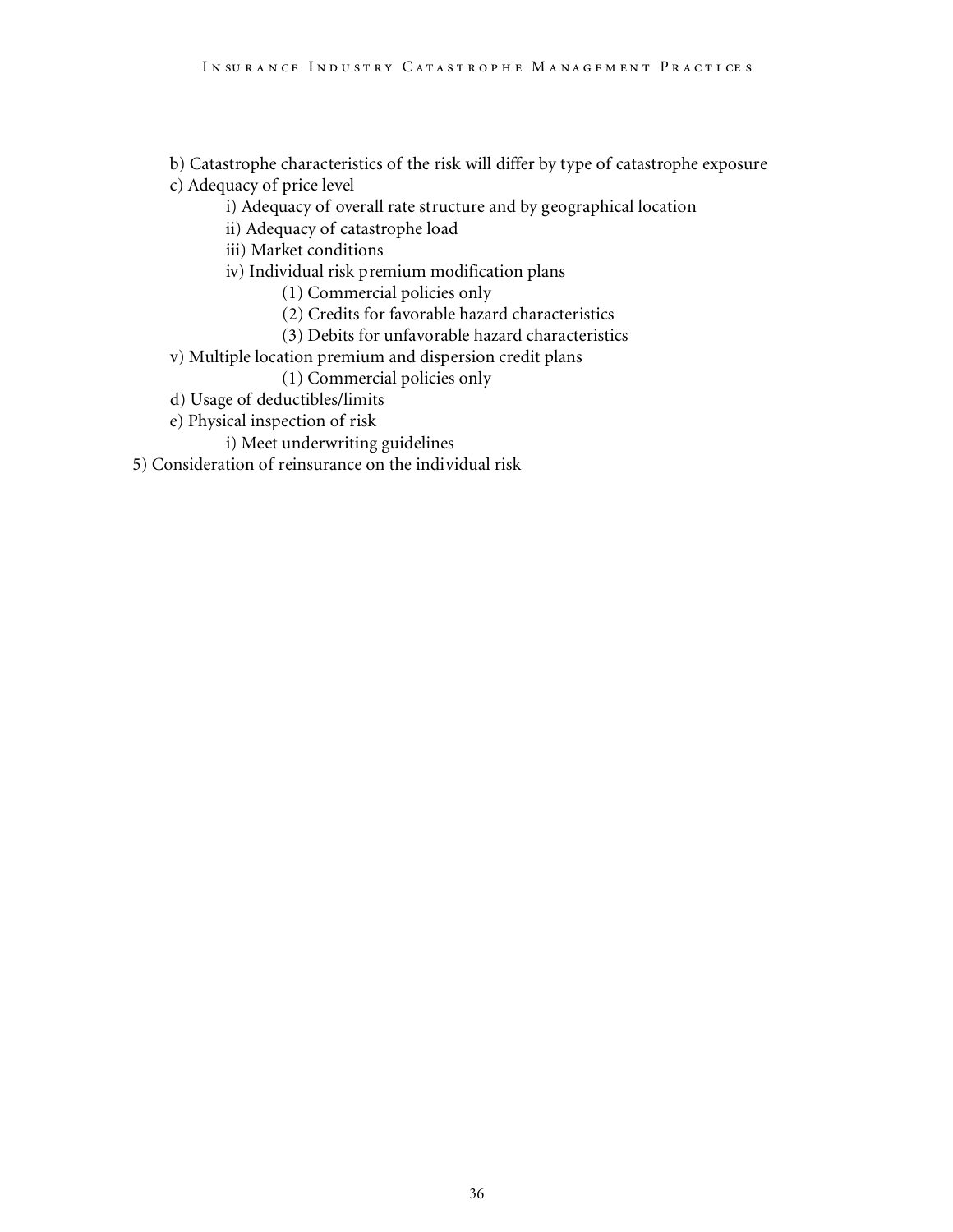b) Catastrophe characteristics of the risk will differ by type of catastrophe exposure

- c) Adequacy of price level
	- i) Adequacy of overall rate structure and by geographical location
	- ii) Adequacy of catastrophe load
	- iii) Market conditions
	- iv) Individual risk premium modification plans
		- (1) Commercial policies only
		- (2) Credits for favorable hazard characteristics
		- (3) Debits for unfavorable hazard characteristics
- v) Multiple location premium and dispersion credit plans
	- (1) Commercial policies only
- d) Usage of deductibles/limits
- e) Physical inspection of risk
	- i) Meet underwriting guidelines
- 5) Consideration of reinsurance on the individual risk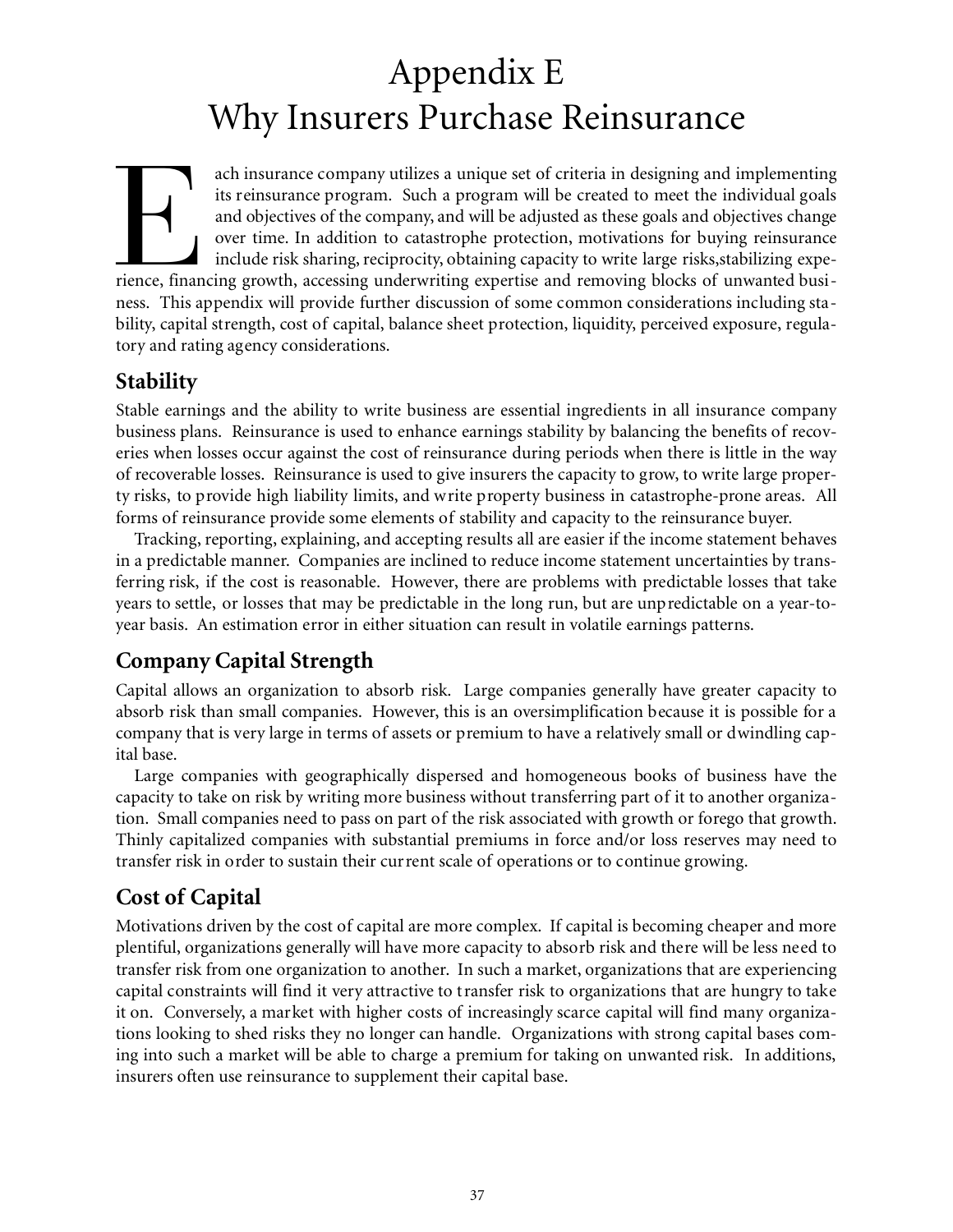## Appendix E Why Insurers Purchase Reinsurance

ach insurance company utilizes a unique set of criteria in designing and implementing<br>its reinsurance program. Such a program will be created to meet the individual goals<br>and objectives of the company, and will be adjusted ach insurance company utilizes a unique set of criteria in designing and implementing its reinsurance program. Such a program will be created to meet the individual goals and objectives of the company, and will be adjusted as these goals and objectives change over time. In addition to catastrophe protection, motivations for buying reinsurance include risk sharing, reciprocity, obtaining capacity to write large risks,stabilizing expeness. This appendix will provide further discussion of some common considerations including stability, capital strength, cost of capital, balance sheet protection, liquidity, perceived exposure, regulatory and rating agency considerations.

## **Stability**

Stable earnings and the ability to write business are essential ingredients in all insurance company business plans. Reinsurance is used to enhance earnings stability by balancing the benefits of recoveries when losses occur against the cost of reinsurance during periods when there is little in the way of recoverable losses. Reinsurance is used to give insurers the capacity to grow, to write large property risks, to provide high liability limits, and write property business in catastrophe-prone areas. All forms of reinsurance provide some elements of stability and capacity to the reinsurance buyer.

Tracking, reporting, explaining, and accepting results all are easier if the income statement behaves in a predictable manner. Companies are inclined to reduce income statement uncertainties by transferring risk, if the cost is reasonable. However, there are problems with predictable losses that take years to settle, or losses that may be predictable in the long run, but are unpredictable on a year-toyear basis. An estimation error in either situation can result in volatile earnings patterns.

## **Company Capital Strength**

Capital allows an organization to absorb risk. Large companies generally have greater capacity to absorb risk than small companies. However, this is an oversimplification because it is possible for a company that is very large in terms of assets or premium to have a relatively small or dwindling capital base.

Large companies with geographically dispersed and homogeneous books of business have the capacity to take on risk by writing more business without transferring part of it to another organization. Small companies need to pass on part of the risk associated with growth or forego that growth. Thinly capitalized companies with substantial premiums in force and/or loss reserves may need to transfer risk in order to sustain their current scale of operations or to continue growing.

## **Cost of Capital**

Motivations driven by the cost of capital are more complex. If capital is becoming cheaper and more plentiful, organizations generally will have more capacity to absorb risk and there will be less need to transfer risk from one organization to another. In such a market, organizations that are experiencing capital constraints will find it very attractive to transfer risk to organizations that are hungry to take it on. Conversely, a market with higher costs of increasingly scarce capital will find many organizations looking to shed risks they no longer can handle. Organizations with strong capital bases coming into such a market will be able to charge a premium for taking on unwanted risk. In additions, insurers often use reinsurance to supplement their capital base.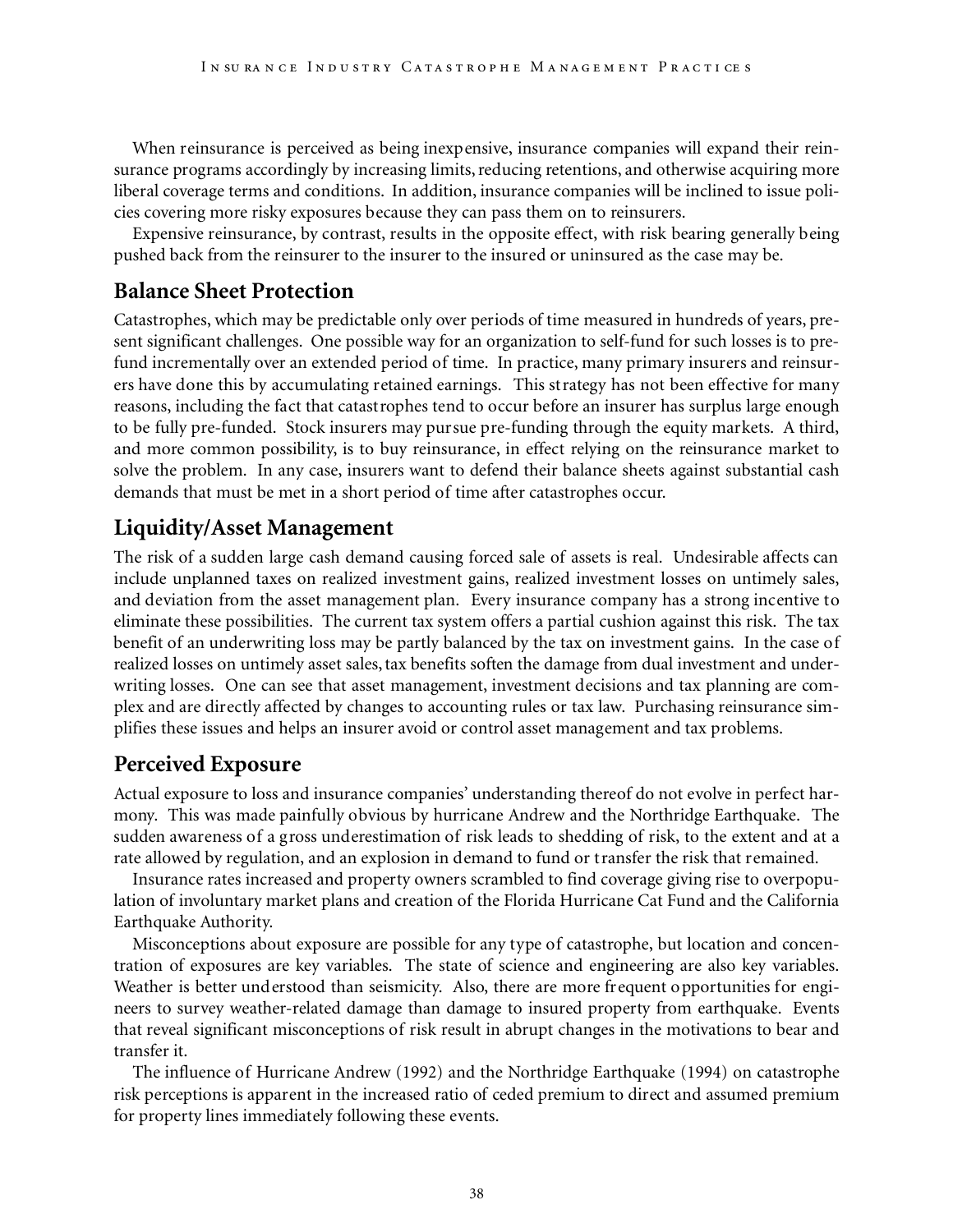When reinsurance is perceived as being inexpensive, insurance companies will expand their reinsurance programs accordingly by increasing limits, reducing retentions, and otherwise acquiring more liberal coverage terms and conditions. In addition, insurance companies will be inclined to issue policies covering more risky exposures because they can pass them on to reinsurers.

Expensive reinsurance, by contrast, results in the opposite effect, with risk bearing generally being pushed back from the reinsurer to the insurer to the insured or uninsured as the case may be.

### **Balance Sheet Protection**

Catastrophes, which may be predictable only over periods of time measured in hundreds of years, present significant challenges. One possible way for an organization to self-fund for such losses is to prefund incrementally over an extended period of time. In practice, many primary insurers and reinsurers have done this by accumulating retained earnings. This strategy has not been effective for many reasons, including the fact that catastrophes tend to occur before an insurer has surplus large enough to be fully pre-funded. Stock insurers may pursue pre-funding through the equity markets. A third, and more common possibility, is to buy reinsurance, in effect relying on the reinsurance market to solve the problem. In any case, insurers want to defend their balance sheets against substantial cash demands that must be met in a short period of time after catastrophes occur.

### **Liquidity/Asset Management**

The risk of a sudden large cash demand causing forced sale of assets is real. Undesirable affects can include unplanned taxes on realized investment gains, realized investment losses on untimely sales, and deviation from the asset management plan. Every insurance company has a strong incentive to eliminate these possibilities. The current tax system offers a partial cushion against this risk. The tax benefit of an underwriting loss may be partly balanced by the tax on investment gains. In the case of realized losses on untimely asset sales, tax benefits soften the damage from dual investment and underwriting losses. One can see that asset management, investment decisions and tax planning are complex and are directly affected by changes to accounting rules or tax law. Purchasing reinsurance simplifies these issues and helps an insurer avoid or control asset management and tax problems.

## **Perceived Exposure**

Actual exposure to loss and insurance companies' understanding thereof do not evolve in perfect harmony. This was made painfully obvious by hurricane Andrew and the Northridge Earthquake. The sudden awareness of a gross underestimation of risk leads to shedding of risk, to the extent and at a rate allowed by regulation, and an explosion in demand to fund or transfer the risk that remained.

Insurance rates increased and property owners scrambled to find coverage giving rise to overpopulation of involuntary market plans and creation of the Florida Hurricane Cat Fund and the California Earthquake Authority.

Misconceptions about exposure are possible for any type of catastrophe, but location and concentration of exposures are key variables. The state of science and engineering are also key variables. Weather is better understood than seismicity. Also, there are more frequent opportunities for engineers to survey weather-related damage than damage to insured property from earthquake. Events that reveal significant misconceptions of risk result in abrupt changes in the motivations to bear and transfer it.

The influence of Hurricane Andrew (1992) and the Northridge Earthquake (1994) on catastrophe risk perceptions is apparent in the increased ratio of ceded premium to direct and assumed premium for property lines immediately following these events.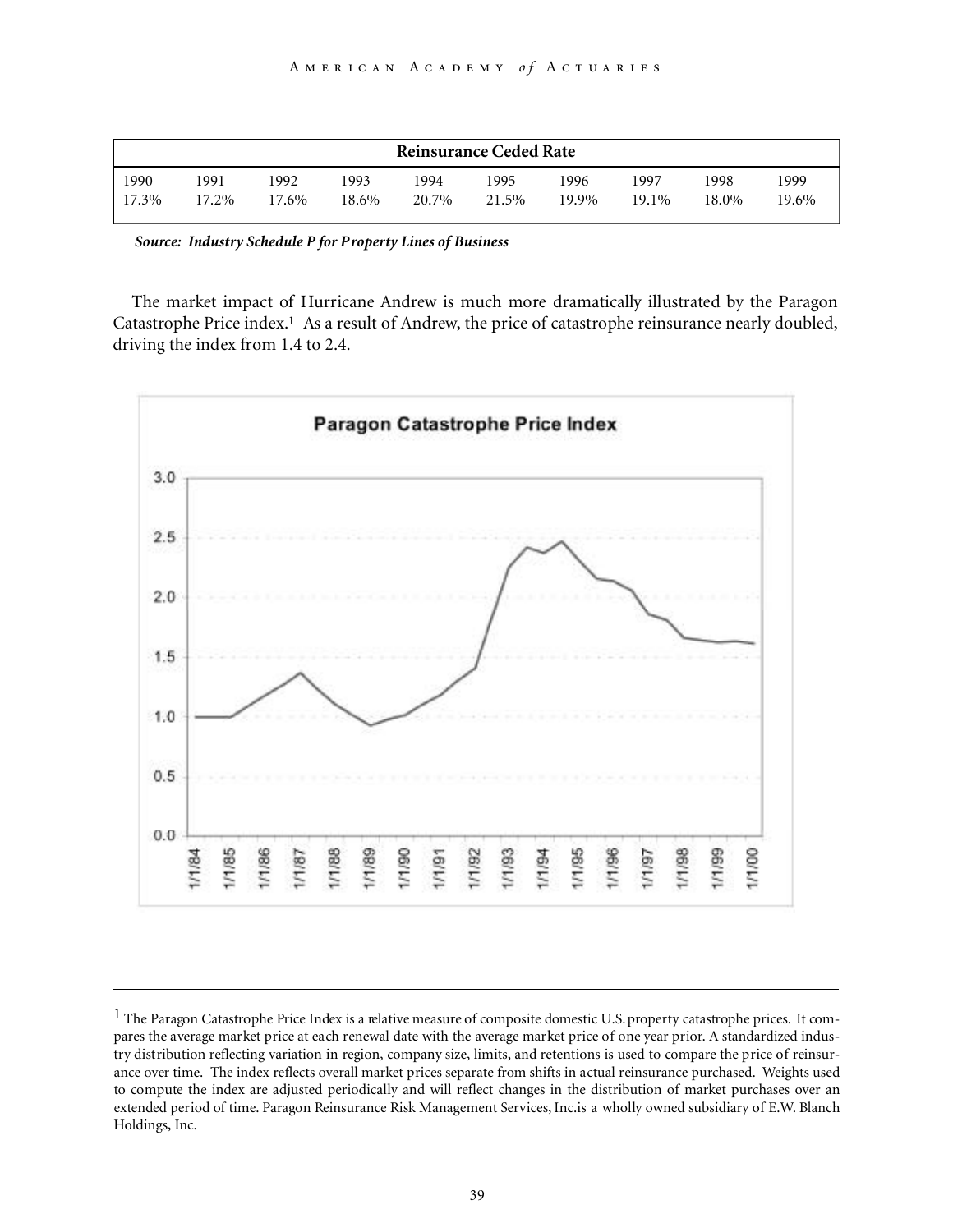| <b>Reinsurance Ceded Rate</b>     |               |               |               |               |               |               |               |               |  |
|-----------------------------------|---------------|---------------|---------------|---------------|---------------|---------------|---------------|---------------|--|
| 1990<br>1991<br>$17.3\%$<br>17.2% | 1992<br>17.6% | 1993<br>18.6% | 1994<br>20.7% | 1995<br>21.5% | 1996<br>19.9% | 1997<br>19.1% | 1998<br>18.0% | 1999<br>19.6% |  |

*Source: Industry Schedule P for Property Lines of Business*

The market impact of Hurricane Andrew is much more dramatically illustrated by the Paragon Catastrophe Price index.**<sup>1</sup>** As a result of Andrew, the price of catastrophe reinsurance nearly doubled, driving the index from 1.4 to 2.4.



 $1$  The Paragon Catastrophe Price Index is a relative measure of composite domestic U.S. property catastrophe prices. It compares the average market price at each renewal date with the average market price of one year prior. A standardized industry distribution reflecting variation in region, company size, limits, and retentions is used to compare the price of reinsurance over time. The index reflects overall market prices separate from shifts in actual reinsurance purchased. Weights used to compute the index are adjusted periodically and will reflect changes in the distribution of market purchases over an extended period of time. Paragon Reinsurance Risk Management Services,Inc.is a wholly owned subsidiary of E.W. Blanch Holdings, Inc.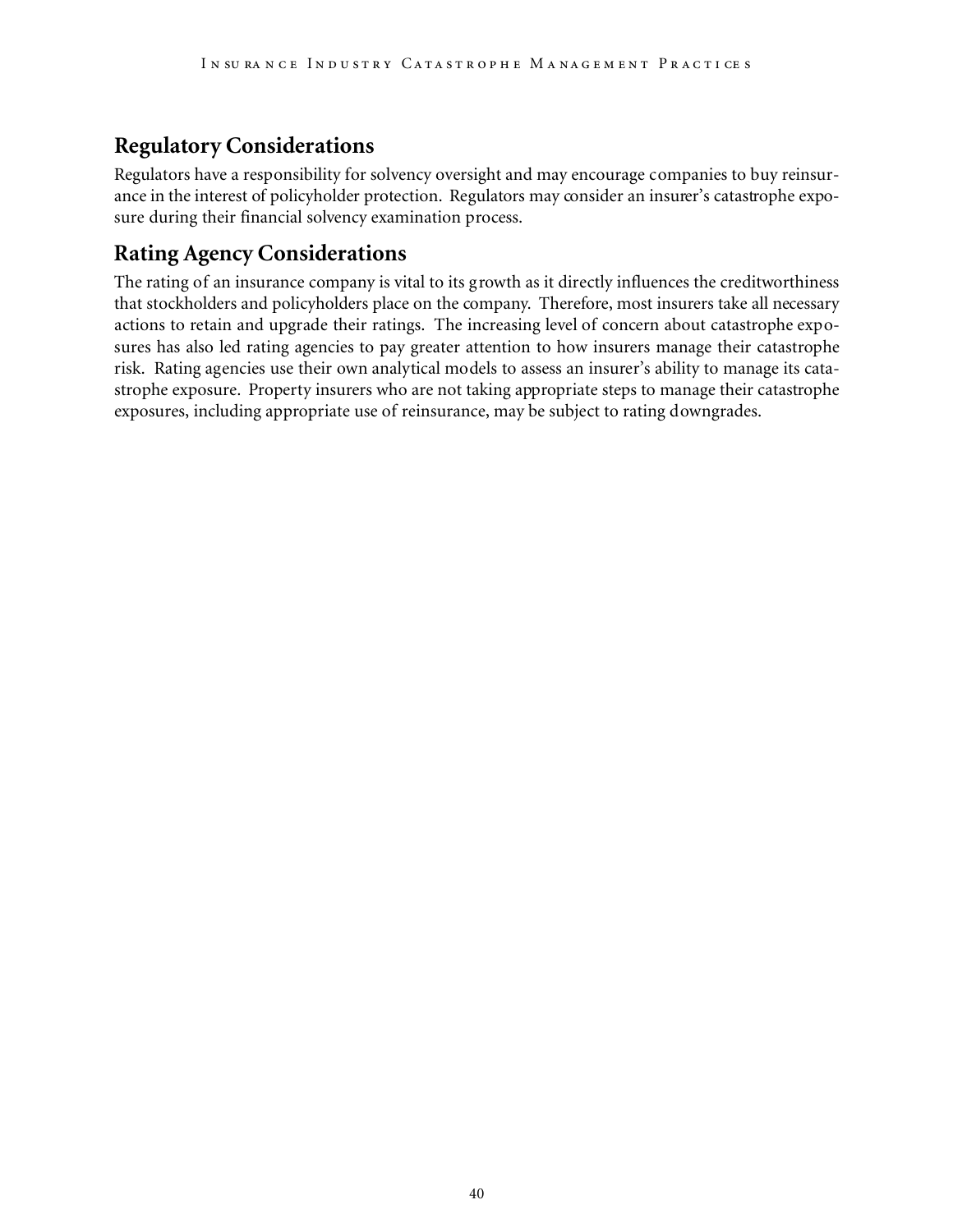## **Regulatory Considerations**

Regulators have a responsibility for solvency oversight and may encourage companies to buy reinsurance in the interest of policyholder protection. Regulators may consider an insurer's catastrophe exposure during their financial solvency examination process.

## **Rating Agency Considerations**

The rating of an insurance company is vital to its growth as it directly influences the creditworthiness that stockholders and policyholders place on the company. Therefore, most insurers take all necessary actions to retain and upgrade their ratings. The increasing level of concern about catastrophe exposures has also led rating agencies to pay greater attention to how insurers manage their catastrophe risk. Rating agencies use their own analytical models to assess an insurer's ability to manage its catastrophe exposure. Property insurers who are not taking appropriate steps to manage their catastrophe exposures, including appropriate use of reinsurance, may be subject to rating downgrades.